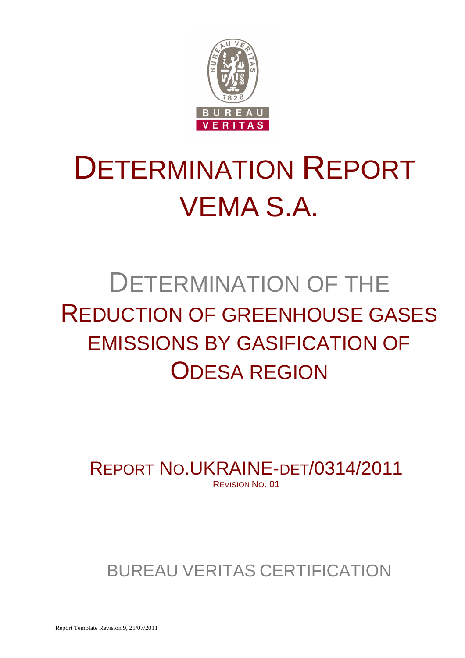

# DETERMINATION REPORT VEMA S.A.

# DETERMINATION OF THE REDUCTION OF GREENHOUSE GASES EMISSIONS BY GASIFICATION OF ODESA REGION

REPORT NO.UKRAINE-DET/0314/2011 REVISION NO. 01

# BUREAU VERITAS CERTIFICATION

Report Template Revision 9, 21/07/2011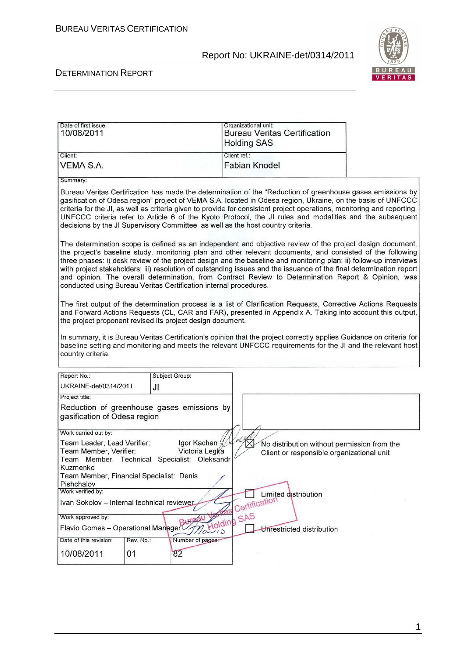

#### DETERMINATION REPORT

| Date of first issue:<br>10/08/2011                                                                                |           |                                 | Organizational unit:<br><b>Bureau Veritas Certification</b><br><b>Holding SAS</b>                                                                                                                                                                                                                                                                                                                                                                                                                                                                                          |  |
|-------------------------------------------------------------------------------------------------------------------|-----------|---------------------------------|----------------------------------------------------------------------------------------------------------------------------------------------------------------------------------------------------------------------------------------------------------------------------------------------------------------------------------------------------------------------------------------------------------------------------------------------------------------------------------------------------------------------------------------------------------------------------|--|
| Client:                                                                                                           |           |                                 | Client ref.:                                                                                                                                                                                                                                                                                                                                                                                                                                                                                                                                                               |  |
| <b>VEMA S.A.</b>                                                                                                  |           |                                 | <b>Fabian Knodel</b>                                                                                                                                                                                                                                                                                                                                                                                                                                                                                                                                                       |  |
| Summary:                                                                                                          |           |                                 |                                                                                                                                                                                                                                                                                                                                                                                                                                                                                                                                                                            |  |
|                                                                                                                   |           |                                 | Bureau Veritas Certification has made the determination of the "Reduction of greenhouse gases emissions by<br>gasification of Odesa region" project of VEMA S.A. located in Odesa region, Ukraine, on the basis of UNFCCC<br>criteria for the JI, as well as criteria given to provide for consistent project operations, monitoring and reporting.<br>UNFCCC criteria refer to Article 6 of the Kyoto Protocol, the JI rules and modalities and the subsequent<br>decisions by the JI Supervisory Committee, as well as the host country criteria.                        |  |
| conducted using Bureau Veritas Certification internal procedures.                                                 |           |                                 | The determination scope is defined as an independent and objective review of the project design document,<br>the project's baseline study, monitoring plan and other relevant documents, and consisted of the following<br>three phases: i) desk review of the project design and the baseline and monitoring plan; ii) follow-up interviews<br>with project stakeholders; iii) resolution of outstanding issues and the issuance of the final determination report<br>and opinion. The overall determination, from Contract Review to Determination Report & Opinion, was |  |
| the project proponent revised its project design document.                                                        |           |                                 | The first output of the determination process is a list of Clarification Requests, Corrective Actions Requests<br>and Forward Actions Requests (CL, CAR and FAR), presented in Appendix A. Taking into account this output,                                                                                                                                                                                                                                                                                                                                                |  |
| country criteria.                                                                                                 |           |                                 | In summary, it is Bureau Veritas Certification's opinion that the project correctly applies Guidance on criteria for<br>baseline setting and monitoring and meets the relevant UNFCCC requirements for the JI and the relevant host                                                                                                                                                                                                                                                                                                                                        |  |
| Report No.:                                                                                                       |           | Subject Group:                  |                                                                                                                                                                                                                                                                                                                                                                                                                                                                                                                                                                            |  |
| UKRAINE-det/0314/2011                                                                                             | JI        |                                 |                                                                                                                                                                                                                                                                                                                                                                                                                                                                                                                                                                            |  |
| Project title:                                                                                                    |           |                                 |                                                                                                                                                                                                                                                                                                                                                                                                                                                                                                                                                                            |  |
| Reduction of greenhouse gases emissions by<br>gasification of Odesa region                                        |           |                                 |                                                                                                                                                                                                                                                                                                                                                                                                                                                                                                                                                                            |  |
| Work carried out by:                                                                                              |           |                                 |                                                                                                                                                                                                                                                                                                                                                                                                                                                                                                                                                                            |  |
| Team Leader, Lead Verifier:<br>Team Member, Verifier:<br>Team Member, Technical Specialist: Oleksandr<br>Kuzmenko |           | Igor Kachan %<br>Victoria Legka | No distribution without permission from the<br>Client or responsible organizational unit                                                                                                                                                                                                                                                                                                                                                                                                                                                                                   |  |
| Team Member, Financial Specialist: Denis<br>Pishchalov                                                            |           |                                 |                                                                                                                                                                                                                                                                                                                                                                                                                                                                                                                                                                            |  |
| Work verified by:                                                                                                 |           |                                 | Limited distribution                                                                                                                                                                                                                                                                                                                                                                                                                                                                                                                                                       |  |
| Ivan Sokolov - Internal technical reviewer                                                                        |           |                                 | Certification                                                                                                                                                                                                                                                                                                                                                                                                                                                                                                                                                              |  |
| Work approved by:<br>Flavio Gomes - Operational Manager                                                           |           |                                 | Holding SAS<br>Unrestricted distribution                                                                                                                                                                                                                                                                                                                                                                                                                                                                                                                                   |  |
| Date of this revision:                                                                                            | Rev. No.: | $0\nu$<br>Number of pages:      |                                                                                                                                                                                                                                                                                                                                                                                                                                                                                                                                                                            |  |
| 10/08/2011                                                                                                        | 01        | 82                              |                                                                                                                                                                                                                                                                                                                                                                                                                                                                                                                                                                            |  |
|                                                                                                                   |           |                                 |                                                                                                                                                                                                                                                                                                                                                                                                                                                                                                                                                                            |  |

1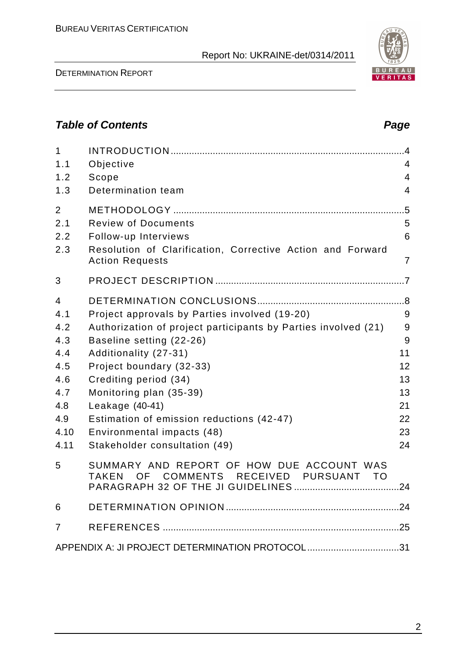| 1<br>1.1<br>1.2<br>1.3                                                           | Objective<br>Scope<br>Determination team                                                                                                                                                                                                                                                                                                                                            | .4<br>$\overline{4}$<br>4<br>4                              |
|----------------------------------------------------------------------------------|-------------------------------------------------------------------------------------------------------------------------------------------------------------------------------------------------------------------------------------------------------------------------------------------------------------------------------------------------------------------------------------|-------------------------------------------------------------|
| $\overline{2}$<br>2.1<br>2.2<br>2.3                                              | <b>Review of Documents</b><br>Follow-up Interviews<br>Resolution of Clarification, Corrective Action and Forward<br><b>Action Requests</b>                                                                                                                                                                                                                                          | .5<br>5<br>6<br>$\overline{7}$                              |
| 3                                                                                |                                                                                                                                                                                                                                                                                                                                                                                     |                                                             |
| 4<br>4.1<br>4.2<br>4.3<br>4.4<br>4.5<br>4.6<br>4.7<br>4.8<br>4.9<br>4.10<br>4.11 | Project approvals by Parties involved (19-20)<br>Authorization of project participants by Parties involved (21)<br>Baseline setting (22-26)<br>Additionality (27-31)<br>Project boundary (32-33)<br>Crediting period (34)<br>Monitoring plan (35-39)<br>Leakage (40-41)<br>Estimation of emission reductions (42-47)<br>Environmental impacts (48)<br>Stakeholder consultation (49) | 9<br>9<br>9<br>11<br>12<br>13<br>13<br>21<br>22<br>23<br>24 |
| 5                                                                                | SUMMARY AND REPORT OF HOW DUE ACCOUNT WAS<br><b>COMMENTS</b><br>RECEIVED<br><b>PURSUANT</b><br><b>TAKEN</b><br>OF.<br>- TO                                                                                                                                                                                                                                                          |                                                             |
| 6                                                                                |                                                                                                                                                                                                                                                                                                                                                                                     |                                                             |
| 7                                                                                |                                                                                                                                                                                                                                                                                                                                                                                     |                                                             |
|                                                                                  | APPENDIX A: JI PROJECT DETERMINATION PROTOCOL31                                                                                                                                                                                                                                                                                                                                     |                                                             |

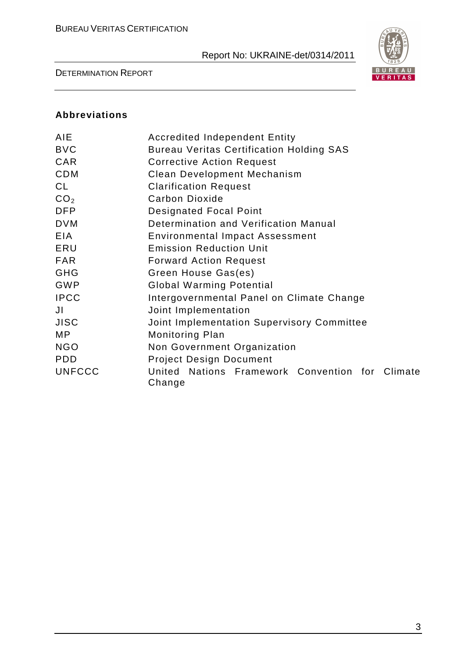

DETERMINATION REPORT

#### **Abbreviations**

| AIE             | <b>Accredited Independent Entity</b>                      |  |  |  |
|-----------------|-----------------------------------------------------------|--|--|--|
| <b>BVC</b>      | <b>Bureau Veritas Certification Holding SAS</b>           |  |  |  |
| <b>CAR</b>      | <b>Corrective Action Request</b>                          |  |  |  |
| <b>CDM</b>      | <b>Clean Development Mechanism</b>                        |  |  |  |
| <b>CL</b>       | <b>Clarification Request</b>                              |  |  |  |
| CO <sub>2</sub> | <b>Carbon Dioxide</b>                                     |  |  |  |
| <b>DFP</b>      | <b>Designated Focal Point</b>                             |  |  |  |
| <b>DVM</b>      | Determination and Verification Manual                     |  |  |  |
| EIA             | <b>Environmental Impact Assessment</b>                    |  |  |  |
| ERU             | <b>Emission Reduction Unit</b>                            |  |  |  |
| <b>FAR</b>      | <b>Forward Action Request</b>                             |  |  |  |
| <b>GHG</b>      | Green House Gas(es)                                       |  |  |  |
| GWP             | <b>Global Warming Potential</b>                           |  |  |  |
| <b>IPCC</b>     | Intergovernmental Panel on Climate Change                 |  |  |  |
| JI              | Joint Implementation                                      |  |  |  |
| <b>JISC</b>     | Joint Implementation Supervisory Committee                |  |  |  |
| MP.             | <b>Monitoring Plan</b>                                    |  |  |  |
| <b>NGO</b>      | Non Government Organization                               |  |  |  |
| <b>PDD</b>      | <b>Project Design Document</b>                            |  |  |  |
| <b>UNFCCC</b>   | United Nations Framework Convention for Climate<br>Change |  |  |  |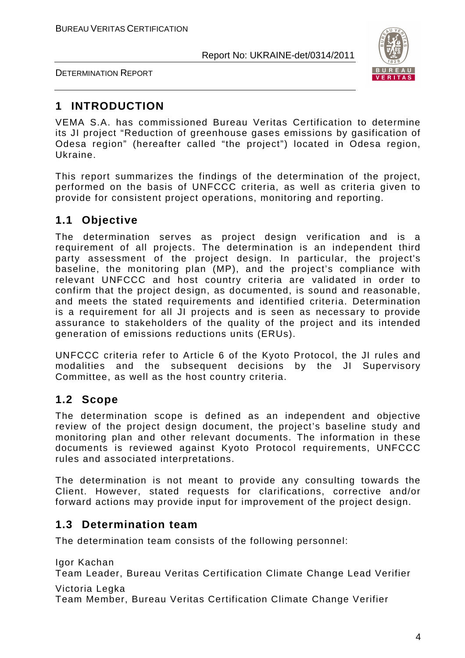

DETERMINATION REPORT

# **1 INTRODUCTION**

VEMA S.A. has commissioned Bureau Veritas Certification to determine its JI project "Reduction of greenhouse gases emissions by gasification of Odesa region" (hereafter called "the project") located in Odesa region, Ukraine.

This report summarizes the findings of the determination of the project, performed on the basis of UNFCCC criteria, as well as criteria given to provide for consistent project operations, monitoring and reporting.

# **1.1 Objective**

The determination serves as project design verification and is a requirement of all projects. The determination is an independent third party assessment of the project design. In particular, the project's baseline, the monitoring plan (MP), and the project's compliance with relevant UNFCCC and host country criteria are validated in order to confirm that the project design, as documented, is sound and reasonable, and meets the stated requirements and identified criteria. Determination is a requirement for all JI projects and is seen as necessary to provide assurance to stakeholders of the quality of the project and its intended generation of emissions reductions units (ERUs).

UNFCCC criteria refer to Article 6 of the Kyoto Protocol, the JI rules and modalities and the subsequent decisions by the JI Supervisory Committee, as well as the host country criteria.

# **1.2 Scope**

The determination scope is defined as an independent and objective review of the project design document, the project's baseline study and monitoring plan and other relevant documents. The information in these documents is reviewed against Kyoto Protocol requirements, UNFCCC rules and associated interpretations.

The determination is not meant to provide any consulting towards the Client. However, stated requests for clarifications, corrective and/or forward actions may provide input for improvement of the project design.

# **1.3 Determination team**

The determination team consists of the following personnel:

Igor Kachan

Team Leader, Bureau Veritas Certification Climate Change Lead Verifier

Victoria Legka Team Member, Bureau Veritas Certification Climate Change Verifier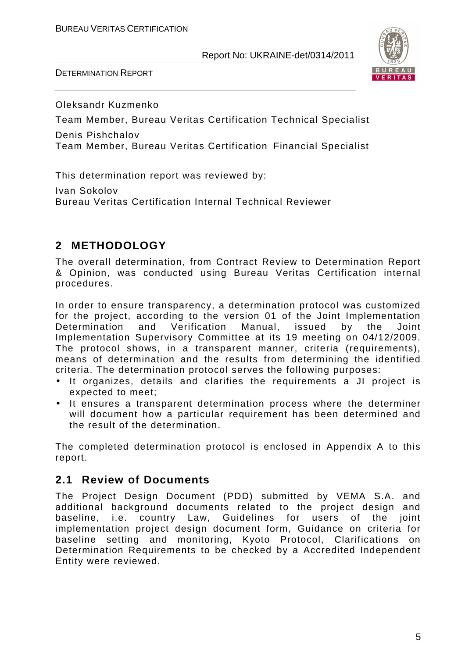



Oleksandr Kuzmenko

Team Member, Bureau Veritas Certification Technical Specialist

Denis Pishchalov

Team Member, Bureau Veritas Certification Financial Specialist

This determination report was reviewed by:

Ivan Sokolov Bureau Veritas Certification Internal Technical Reviewer

# **2 METHODOLOGY**

The overall determination, from Contract Review to Determination Report & Opinion, was conducted using Bureau Veritas Certification internal procedures.

In order to ensure transparency, a determination protocol was customized for the project, according to the version 01 of the Joint Implementation Determination and Verification Manual, issued by the Joint Implementation Supervisory Committee at its 19 meeting on 04/12/2009. The protocol shows, in a transparent manner, criteria (requirements), means of determination and the results from determining the identified criteria. The determination protocol serves the following purposes:

- It organizes, details and clarifies the requirements a JI project is expected to meet;
- It ensures a transparent determination process where the determiner will document how a particular requirement has been determined and the result of the determination.

The completed determination protocol is enclosed in Appendix A to this report.

# **2.1 Review of Documents**

The Project Design Document (PDD) submitted by VEMA S.A. and additional background documents related to the project design and baseline, i.e. country Law, Guidelines for users of the joint implementation project design document form, Guidance on criteria for baseline setting and monitoring, Kyoto Protocol, Clarifications on Determination Requirements to be checked by a Accredited Independent Entity were reviewed.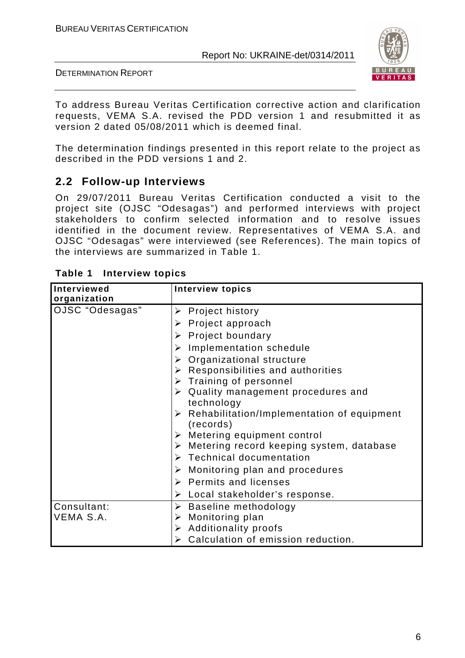

DETERMINATION REPORT

To address Bureau Veritas Certification corrective action and clarification requests, VEMA S.A. revised the PDD version 1 and resubmitted it as version 2 dated 05/08/2011 which is deemed final.

The determination findings presented in this report relate to the project as described in the PDD versions 1 and 2.

# **2.2 Follow-up Interviews**

On 29/07/2011 Bureau Veritas Certification conducted a visit to the project site (OJSC "Odesagas") and performed interviews with project stakeholders to confirm selected information and to resolve issues identified in the document review. Representatives of VEMA S.A. and OJSC "Odesagas" were interviewed (see References). The main topics of the interviews are summarized in Table 1.

| Interviewed     | <b>Interview topics</b>                                                  |
|-----------------|--------------------------------------------------------------------------|
| organization    |                                                                          |
| OJSC "Odesagas" | $\triangleright$ Project history                                         |
|                 | $\triangleright$ Project approach                                        |
|                 | $\triangleright$ Project boundary                                        |
|                 | $\triangleright$ Implementation schedule                                 |
|                 | $\triangleright$ Organizational structure                                |
|                 | $\triangleright$ Responsibilities and authorities                        |
|                 | $\triangleright$ Training of personnel                                   |
|                 | $\triangleright$ Quality management procedures and                       |
|                 | technology                                                               |
|                 | $\triangleright$ Rehabilitation/Implementation of equipment<br>(records) |
|                 | $\triangleright$ Metering equipment control                              |
|                 | $\triangleright$ Metering record keeping system, database                |
|                 | $\triangleright$ Technical documentation                                 |
|                 | $\triangleright$ Monitoring plan and procedures                          |
|                 | $\triangleright$ Permits and licenses                                    |
|                 | $\triangleright$ Local stakeholder's response.                           |
| Consultant:     | $\triangleright$ Baseline methodology                                    |
| VEMA S.A.       | $\triangleright$ Monitoring plan                                         |
|                 | $\triangleright$ Additionality proofs                                    |
|                 | $\triangleright$ Calculation of emission reduction.                      |

| Interview topics | Table 1 |  |  |  |  |
|------------------|---------|--|--|--|--|
|------------------|---------|--|--|--|--|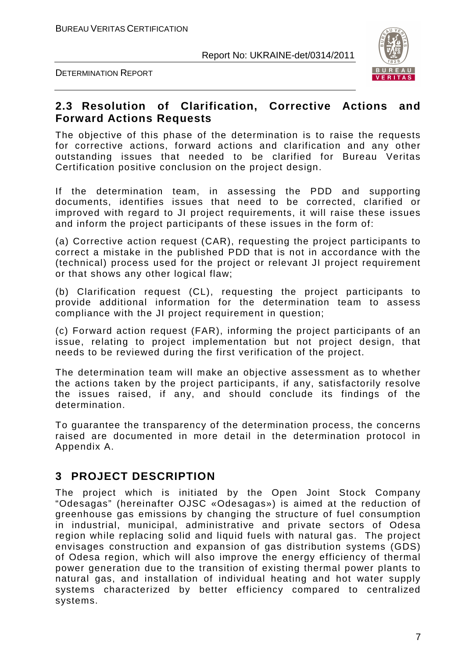

#### **2.3 Resolution of Clarification, Corrective Actions and Forward Actions Requests**

The objective of this phase of the determination is to raise the requests for corrective actions, forward actions and clarification and any other outstanding issues that needed to be clarified for Bureau Veritas Certification positive conclusion on the project design.

If the determination team, in assessing the PDD and supporting documents, identifies issues that need to be corrected, clarified or improved with regard to JI project requirements, it will raise these issues and inform the project participants of these issues in the form of:

(a) Corrective action request (CAR), requesting the project participants to correct a mistake in the published PDD that is not in accordance with the (technical) process used for the project or relevant JI project requirement or that shows any other logical flaw;

(b) Clarification request (CL), requesting the project participants to provide additional information for the determination team to assess compliance with the JI project requirement in question;

(c) Forward action request (FAR), informing the project participants of an issue, relating to project implementation but not project design, that needs to be reviewed during the first verification of the project.

The determination team will make an objective assessment as to whether the actions taken by the project participants, if any, satisfactorily resolve the issues raised, if any, and should conclude its findings of the determination.

To guarantee the transparency of the determination process, the concerns raised are documented in more detail in the determination protocol in Appendix A.

# **3 PROJECT DESCRIPTION**

The project which is initiated by the Open Joint Stock Company "Odesagas" (hereinafter OJSC «Odesagas») is aimed at the reduction of greenhouse gas emissions by changing the structure of fuel consumption in industrial, municipal, administrative and private sectors of Odesa region while replacing solid and liquid fuels with natural gas. The project envisages construction and expansion of gas distribution systems (GDS) of Odesa region, which will also improve the energy efficiency of thermal power generation due to the transition of existing thermal power plants to natural gas, and installation of individual heating and hot water supply systems characterized by better efficiency compared to centralized systems.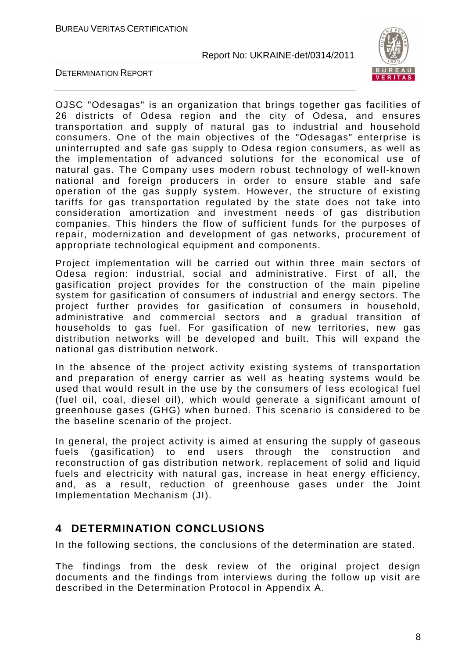

DETERMINATION REPORT

OJSC "Odesagas" is an organization that brings together gas facilities of 26 districts of Odesa region and the city of Odesa, and ensures transportation and supply of natural gas to industrial and household consumers. One of the main objectives of the "Odesagas" enterprise is uninterrupted and safe gas supply to Odesa region consumers, as well as the implementation of advanced solutions for the economical use of natural gas. The Company uses modern robust technology of well-known national and foreign producers in order to ensure stable and safe operation of the gas supply system. However, the structure of existing tariffs for gas transportation regulated by the state does not take into consideration amortization and investment needs of gas distribution companies. This hinders the flow of sufficient funds for the purposes of repair, modernization and development of gas networks, procurement of appropriate technological equipment and components.

Project implementation will be carried out within three main sectors of Odesa region: industrial, social and administrative. First of all, the gasification project provides for the construction of the main pipeline system for gasification of consumers of industrial and energy sectors. The project further provides for gasification of consumers in household, administrative and commercial sectors and a gradual transition of households to gas fuel. For gasification of new territories, new gas distribution networks will be developed and built. This will expand the national gas distribution network.

In the absence of the project activity existing systems of transportation and preparation of energy carrier as well as heating systems would be used that would result in the use by the consumers of less ecological fuel (fuel oil, coal, diesel oil), which would generate a significant amount of greenhouse gases (GHG) when burned. This scenario is considered to be the baseline scenario of the project.

In general, the project activity is aimed at ensuring the supply of gaseous fuels (gasification) to end users through the construction and reconstruction of gas distribution network, replacement of solid and liquid fuels and electricity with natural gas, increase in heat energy efficiency, and, as a result, reduction of greenhouse gases under the Joint Implementation Mechanism (JI).

# **4 DETERMINATION CONCLUSIONS**

In the following sections, the conclusions of the determination are stated.

The findings from the desk review of the original project design documents and the findings from interviews during the follow up visit are described in the Determination Protocol in Appendix A.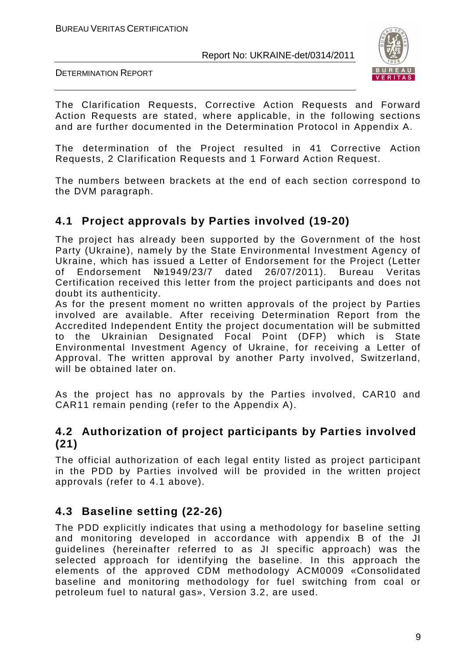

DETERMINATION REPORT

The Clarification Requests, Corrective Action Requests and Forward Action Requests are stated, where applicable, in the following sections and are further documented in the Determination Protocol in Appendix A.

The determination of the Project resulted in 41 Corrective Action Requests, 2 Clarification Requests and 1 Forward Action Request.

The numbers between brackets at the end of each section correspond to the DVM paragraph.

# **4.1 Project approvals by Parties involved (19-20)**

The project has already been supported by the Government of the host Party (Ukraine), namely by the State Environmental Investment Agency of Ukraine, which has issued a Letter of Endorsement for the Project (Letter of Endorsement №1949/23/7 dated 26/07/2011). Bureau Veritas Certification received this letter from the project participants and does not doubt its authenticity.

As for the present moment no written approvals of the project by Parties involved are available. After receiving Determination Report from the Accredited Independent Entity the project documentation will be submitted to the Ukrainian Designated Focal Point (DFP) which is State Environmental Investment Agency of Ukraine, for receiving a Letter of Approval. The written approval by another Party involved, Switzerland, will be obtained later on.

As the project has no approvals by the Parties involved, CAR10 and CAR11 remain pending (refer to the Appendix A).

# **4.2 Authorization of project participants by Parties involved (21)**

The official authorization of each legal entity listed as project participant in the PDD by Parties involved will be provided in the written project approvals (refer to 4.1 above).

# **4.3 Baseline setting (22-26)**

The PDD explicitly indicates that using a methodology for baseline setting and monitoring developed in accordance with appendix B of the JI guidelines (hereinafter referred to as JI specific approach) was the selected approach for identifying the baseline. In this approach the elements of the approved CDM methodology ACM0009 «Consolidated baseline and monitoring methodology for fuel switching from coal or petroleum fuel to natural gas», Version 3.2, are used.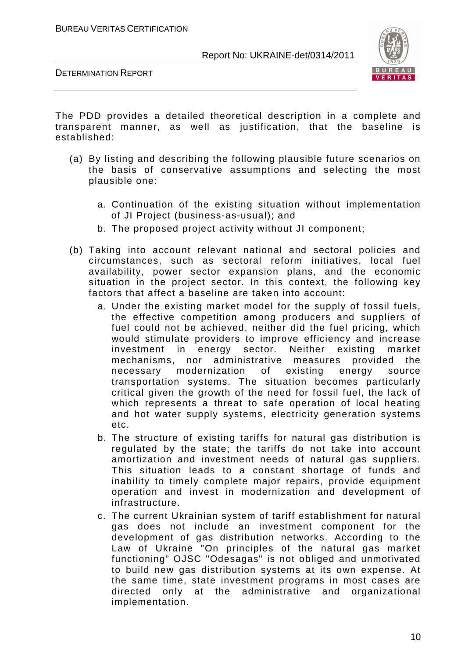

DETERMINATION REPORT

The PDD provides a detailed theoretical description in a complete and transparent manner, as well as justification, that the baseline is established:

- (a) By listing and describing the following plausible future scenarios on the basis of conservative assumptions and selecting the most plausible one:
	- a. Continuation of the existing situation without implementation of JI Project (business-as-usual); and
	- b. The proposed project activity without JI component;
- (b) Taking into account relevant national and sectoral policies and circumstances, such as sectoral reform initiatives, local fuel availability, power sector expansion plans, and the economic situation in the project sector. In this context, the following key factors that affect a baseline are taken into account:
	- a. Under the existing market model for the supply of fossil fuels, the effective competition among producers and suppliers of fuel could not be achieved, neither did the fuel pricing, which would stimulate providers to improve efficiency and increase investment in energy sector. Neither existing market mechanisms, nor administrative measures provided the necessary modernization of existing energy source transportation systems. The situation becomes particularly critical given the growth of the need for fossil fuel, the lack of which represents a threat to safe operation of local heating and hot water supply systems, electricity generation systems etc.
	- b. The structure of existing tariffs for natural gas distribution is regulated by the state; the tariffs do not take into account amortization and investment needs of natural gas suppliers. This situation leads to a constant shortage of funds and inability to timely complete major repairs, provide equipment operation and invest in modernization and development of infrastructure.
	- c. The current Ukrainian system of tariff establishment for natural gas does not include an investment component for the development of gas distribution networks. According to the Law of Ukraine "On principles of the natural gas market functioning" OJSC "Odesagas" is not obliged and unmotivated to build new gas distribution systems at its own expense. At the same time, state investment programs in most cases are directed only at the administrative and organizational implementation.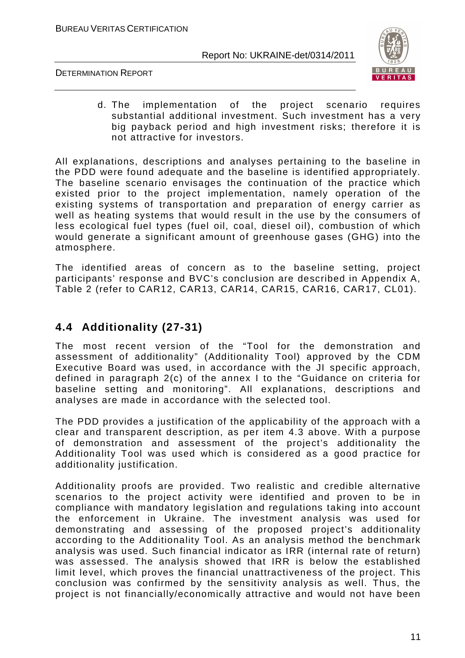



d. The implementation of the project scenario requires substantial additional investment. Such investment has a very big payback period and high investment risks; therefore it is not attractive for investors.

All explanations, descriptions and analyses pertaining to the baseline in the PDD were found adequate and the baseline is identified appropriately. The baseline scenario envisages the continuation of the practice which existed prior to the project implementation, namely operation of the existing systems of transportation and preparation of energy carrier as well as heating systems that would result in the use by the consumers of less ecological fuel types (fuel oil, coal, diesel oil), combustion of which would generate a significant amount of greenhouse gases (GHG) into the atmosphere.

The identified areas of concern as to the baseline setting, project participants' response and BVC's conclusion are described in Appendix A, Table 2 (refer to CAR12, CAR13, CAR14, CAR15, CAR16, CAR17, CL01).

# **4.4 Additionality (27-31)**

The most recent version of the "Tool for the demonstration and assessment of additionality" (Additionality Tool) approved by the CDM Executive Board was used, in accordance with the JI specific approach, defined in paragraph 2(c) of the annex I to the "Guidance on criteria for baseline setting and monitoring". All explanations, descriptions and analyses are made in accordance with the selected tool.

The PDD provides a justification of the applicability of the approach with a clear and transparent description, as per item 4.3 above. With a purpose of demonstration and assessment of the project's additionality the Additionality Tool was used which is considered as a good practice for additionality justification.

Additionality proofs are provided. Two realistic and credible alternative scenarios to the project activity were identified and proven to be in compliance with mandatory legislation and regulations taking into account the enforcement in Ukraine. The investment analysis was used for demonstrating and assessing of the proposed project's additionality according to the Additionality Tool. As an analysis method the benchmark analysis was used. Such financial indicator as IRR (internal rate of return) was assessed. The analysis showed that IRR is below the established limit level, which proves the financial unattractiveness of the project. This conclusion was confirmed by the sensitivity analysis as well. Thus, the project is not financially/economically attractive and would not have been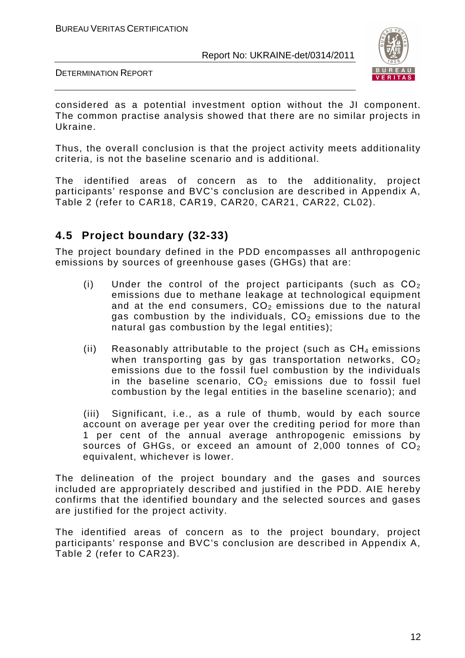

DETERMINATION REPORT

considered as a potential investment option without the JI component. The common practise analysis showed that there are no similar projects in Ukraine.

Thus, the overall conclusion is that the project activity meets additionality criteria, is not the baseline scenario and is additional.

The identified areas of concern as to the additionality, project participants' response and BVC's conclusion are described in Appendix A, Table 2 (refer to CAR18, CAR19, CAR20, CAR21, CAR22, CL02).

# **4.5 Project boundary (32-33)**

The project boundary defined in the PDD encompasses all anthropogenic emissions by sources of greenhouse gases (GHGs) that are:

- (i) Under the control of the project participants (such as  $CO<sub>2</sub>$ emissions due to methane leakage at technological equipment and at the end consumers,  $CO<sub>2</sub>$  emissions due to the natural gas combustion by the individuals,  $CO<sub>2</sub>$  emissions due to the natural gas combustion by the legal entities);
- (ii) Reasonably attributable to the project (such as  $CH_4$  emissions when transporting gas by gas transportation networks,  $CO<sub>2</sub>$ emissions due to the fossil fuel combustion by the individuals in the baseline scenario,  $CO<sub>2</sub>$  emissions due to fossil fuel combustion by the legal entities in the baseline scenario); and

(iii) Significant, i.e., as a rule of thumb, would by each source account on average per year over the crediting period for more than 1 per cent of the annual average anthropogenic emissions by sources of GHGs, or exceed an amount of 2,000 tonnes of  $CO<sub>2</sub>$ equivalent, whichever is lower.

The delineation of the project boundary and the gases and sources included are appropriately described and justified in the PDD. AIE hereby confirms that the identified boundary and the selected sources and gases are justified for the project activity.

The identified areas of concern as to the project boundary, project participants' response and BVC's conclusion are described in Appendix A, Table 2 (refer to CAR23).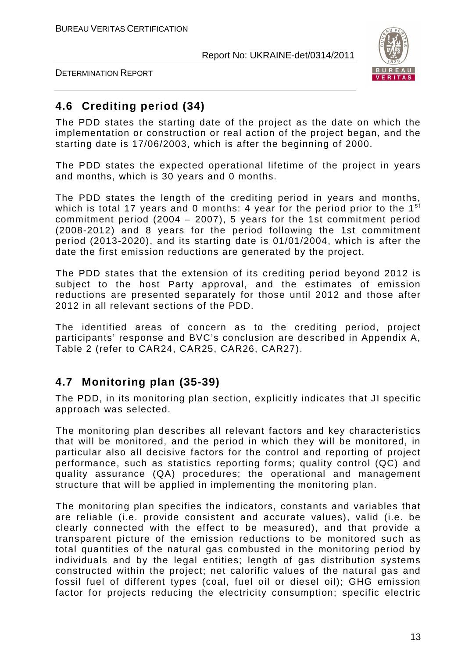

DETERMINATION REPORT

# **4.6 Crediting period (34)**

The PDD states the starting date of the project as the date on which the implementation or construction or real action of the project began, and the starting date is 17/06/2003, which is after the beginning of 2000.

The PDD states the expected operational lifetime of the project in years and months, which is 30 years and 0 months.

The PDD states the length of the crediting period in years and months, which is total 17 years and 0 months: 4 year for the period prior to the  $1<sup>st</sup>$ commitment period (2004 – 2007), 5 years for the 1st commitment period (2008-2012) and 8 years for the period following the 1st commitment period (2013-2020), and its starting date is 01/01/2004, which is after the date the first emission reductions are generated by the project.

The PDD states that the extension of its crediting period beyond 2012 is subject to the host Party approval, and the estimates of emission reductions are presented separately for those until 2012 and those after 2012 in all relevant sections of the PDD.

The identified areas of concern as to the crediting period, project participants' response and BVC's conclusion are described in Appendix A, Table 2 (refer to CAR24, CAR25, CAR26, CAR27).

# **4.7 Monitoring plan (35-39)**

The PDD, in its monitoring plan section, explicitly indicates that JI specific approach was selected.

The monitoring plan describes all relevant factors and key characteristics that will be monitored, and the period in which they will be monitored, in particular also all decisive factors for the control and reporting of project performance, such as statistics reporting forms; quality control (QC) and quality assurance (QA) procedures; the operational and management structure that will be applied in implementing the monitoring plan.

The monitoring plan specifies the indicators, constants and variables that are reliable (i.e. provide consistent and accurate values), valid (i.e. be clearly connected with the effect to be measured), and that provide a transparent picture of the emission reductions to be monitored such as total quantities of the natural gas combusted in the monitoring period by individuals and by the legal entities; length of gas distribution systems constructed within the project; net calorific values of the natural gas and fossil fuel of different types (coal, fuel oil or diesel oil); GHG emission factor for projects reducing the electricity consumption; specific electric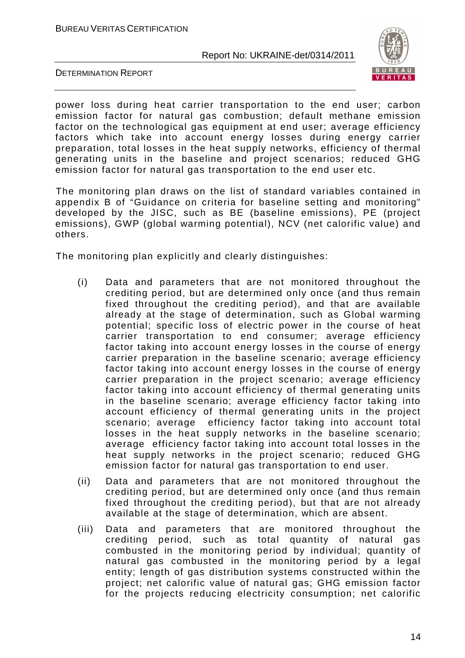

DETERMINATION REPORT

power loss during heat carrier transportation to the end user; carbon emission factor for natural gas combustion; default methane emission factor on the technological gas equipment at end user; average efficiency factors which take into account energy losses during energy carrier preparation, total losses in the heat supply networks, efficiency of thermal generating units in the baseline and project scenarios; reduced GHG emission factor for natural gas transportation to the end user etc.

The monitoring plan draws on the list of standard variables contained in appendix B of "Guidance on criteria for baseline setting and monitoring" developed by the JISC, such as BE (baseline emissions), PE (project emissions), GWP (global warming potential), NCV (net calorific value) and others.

The monitoring plan explicitly and clearly distinguishes:

- (i) Data and parameters that are not monitored throughout the crediting period, but are determined only once (and thus remain fixed throughout the crediting period), and that are available already at the stage of determination, such as Global warming potential; specific loss of electric power in the course of heat carrier transportation to end consumer; average efficiency factor taking into account energy losses in the course of energy carrier preparation in the baseline scenario; average efficiency factor taking into account energy losses in the course of energy carrier preparation in the project scenario; average efficiency factor taking into account efficiency of thermal generating units in the baseline scenario; average efficiency factor taking into account efficiency of thermal generating units in the project scenario; average efficiency factor taking into account total losses in the heat supply networks in the baseline scenario; average efficiency factor taking into account total losses in the heat supply networks in the project scenario; reduced GHG emission factor for natural gas transportation to end user.
- (ii) Data and parameters that are not monitored throughout the crediting period, but are determined only once (and thus remain fixed throughout the crediting period), but that are not already available at the stage of determination, which are absent.
- (iii) Data and parameters that are monitored throughout the crediting period, such as total quantity of natural gas combusted in the monitoring period by individual; quantity of natural gas combusted in the monitoring period by a legal entity; length of gas distribution systems constructed within the project; net calorific value of natural gas; GHG emission factor for the projects reducing electricity consumption; net calorific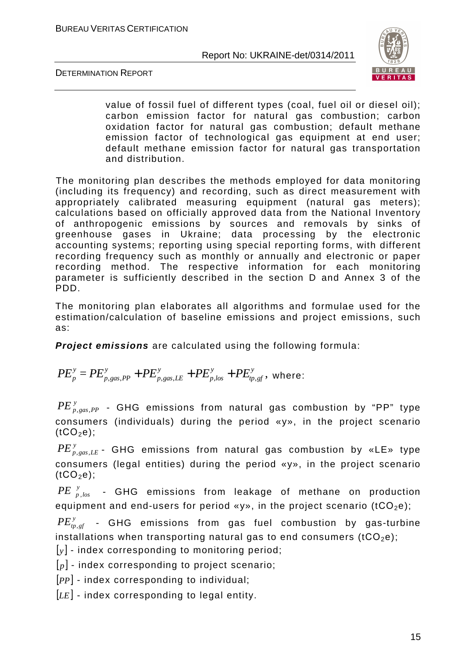

DETERMINATION REPORT

value of fossil fuel of different types (coal, fuel oil or diesel oil); carbon emission factor for natural gas combustion; carbon oxidation factor for natural gas combustion; default methane emission factor of technological gas equipment at end user; default methane emission factor for natural gas transportation and distribution.

The monitoring plan describes the methods employed for data monitoring (including its frequency) and recording, such as direct measurement with appropriately calibrated measuring equipment (natural gas meters); calculations based on officially approved data from the National Inventory of anthropogenic emissions by sources and removals by sinks of greenhouse gases in Ukraine; data processing by the electronic accounting systems; reporting using special reporting forms, with different recording frequency such as monthly or annually and electronic or paper recording method. The respective information for each monitoring parameter is sufficiently described in the section D and Annex 3 of the PDD.

The monitoring plan elaborates all algorithms and formulae used for the estimation/calculation of baseline emissions and project emissions, such as:

**Project emissions** are calculated using the following formula:

 $PE^y_p = PE^y_{p, gas, PP} + PE^y_{p, gas, LE} + PE^y_{p, los} + PE^y_{tp, gf}$ , where:

 $PE_{p, gas, PP}^y$  - GHG emissions from natural gas combustion by "PP" type consumers (individuals) during the period «y», in the project scenario  $(tCO<sub>2</sub>e)$ :

 $PE_{p, gas, LE}^y$  - GHG emissions from natural gas combustion by «LE» type consumers (legal entities) during the period «y», in the project scenario  $(tCO<sub>2</sub>e);$ 

*PE p*<sub>*n*</sub> *b*<sub>*s***</sub>** *b***<sub>***n***</sub>** *c***<sub>***s***</sub>** *b***<sub>***n***</sub>** *c***<sub>***s***</sub>** *c***<sub>***n***</sub>** *c***<sub>***n***</sub>** *c***<sub>***n***</sub>** *c***<sub>***n***</sub>** *c***<sub>***n***</sub>** *c***<sub>***n***</sub>** *c***<sub>***n***</sub>** *c***<sub>***n***</sub>** *c***<sub>***n***</sub>** *c***<sub>***n***</sub>** *c***<sub>***n***</sub>** *c***<sub>***n***</sub>** *c***<sub>***n***</sub>** *c***<sub>***n***</sub>** *c***<sub>***n***</sub>** *c***<sub>***n***</sub>** *c***<sub>***n***</sub>** *c***<sub>***n***</sub> </sub>** equipment and end-users for period «y», in the project scenario ( $tCO<sub>2</sub>e$ );

 $PE^{\,y}_{\it tp, gf}$  - GHG emissions from gas fuel combustion by gas-turbine installations when transporting natural gas to end consumers (tCO<sub>2</sub>e);

[*y*] - index corresponding to monitoring period;

[p] - index corresponding to project scenario;

[PP] - index corresponding to individual;

[LE] - index corresponding to legal entity.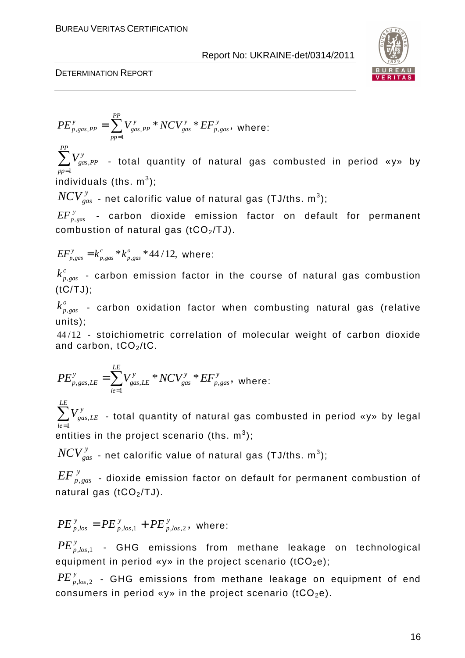

$$
PE_{p,gas,PP}^{y} = \sum_{pp=1}^{PP} V_{gas,PP}^{y} * NCV_{gas}^{y} * EF_{p,gas}^{y}, where:
$$

, 1 *PP y gas PP pp V* =  $\sum\limits_{gas,PP}^{II}V_{gas,PP}^{y}$  - total quantity of natural gas combusted in period «y» by individuals (ths.  $\mathsf{m}^3$ );

 $NCV_{\mathit{gas}}^{\mathit{y}}$  - net calorific value of natural gas (TJ/ths. m<sup>3</sup>);

 $EF_{p, gas}$  - carbon dioxide emission factor on default for permanent combustion of natural gas  $(tCO<sub>2</sub>/TJ)$ .

 $EF_{p, gas}^{y} = k_{p, gas}^{c} * k_{p, gas}^{o} * 44/12$ , where:

, *c*  $k_{_{p, gas}}^c$  - carbon emission factor in the course of natural gas combustion  $(tC/TJ)$ ;

, *o*  $k_{_{p,\, gas}}^o$  - carbon oxidation factor when combusting natural gas (relative units);

44 /12 - stoichiometric correlation of molecular weight of carbon dioxide and carbon, tCO<sub>2</sub>/tC.

$$
PE_{p,gas,LE}^y = \sum_{l=1}^{LE} V_{gas,LE}^y * NCV_{gas}^y * EF_{p,gas}^y, \text{ where:}
$$

, 1 *LE y gas LE le V* =  $\sum^{\text{2D}} V^\text{y}_{\text{gas},\text{LE}}$  - total quantity of natural gas combusted in period «y» by legal entities in the project scenario (ths. m<sup>3</sup>);

 $NCV_{\mathit{gas}}^{\mathit{y}}$  - net calorific value of natural gas (TJ/ths. m<sup>3</sup>);

 $\mathit{EF}_{p, gas}^y$  - dioxide emission factor on default for permanent combustion of natural gas (tCO<sub>2</sub>/TJ).

 $_{,los} = PE_{p,los,1}^{y} + PE_{p,los,2}^{y},$ *y p los y*  $PE_{p,los}^{y} = PE_{p,los,1}^{y} + PE_{p,los,2}^{y}$ , where:

 $PE^{\,y}_{p,los,1}$  - GHG emissions from methane leakage on technological equipment in period «y» in the project scenario ( $tCO<sub>2</sub>e$ );

 $PE^{\,y}_{\,p,los, 2}\,$  - GHG emissions from methane leakage on equipment of end consumers in period «y» in the project scenario ( $tCO<sub>2</sub>e$ ).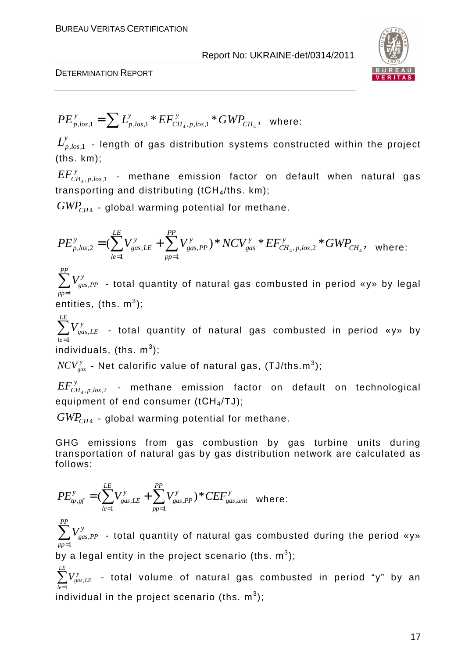

$$
PE_{p,los,1}^{y} = \sum L_{p,los,1}^{y} * EF_{CH_4, p, los,1}^{y} * GWP_{CH_4}, \text{ where:}
$$

 $L_{p,los, 1}^y$  - length of gas distribution systems constructed within the project (ths. km);

 $EF_{\scriptscriptstyle CH_4,\, p,los,1}^{\,\rm y}$  - methane emission factor on default when natural gas transporting and distributing (tCH<sub>4</sub>/ths. km);

 $GWP_{CH4}$  - global warming potential for methane.

$$
PE_{p,los,2}^{y} = \left(\sum_{le=1}^{LE} V_{gas,LE}^{y} + \sum_{pp=1}^{PP} V_{gas,PP}^{y}\right) * NCV_{gas}^{y} * EF_{CH_4, p, los,2}^{y} * GWP_{CH_4}, \text{ where:}
$$

, 1 *PP y gas PP pp V* =  $\sum\limits_{s=1}^{11} V_{gas,PP}^y$  - total quantity of natural gas combusted in period «y» by legal entities, (ths. m $^3$ );

, 1 *LE y gas LE le V* =  $\sum^{\infty} V^{\,y}_{\mathit{gas},\mathit{LE}}$  - total quantity of natural gas combusted in period «y» by individuals, (ths.  $\mathsf{m}^{3}$ );

 $\mathit{NCV}_{\mathit{gas}}^{\mathit{y}}$  - Net calorific value of natural gas, (TJ/ths.m $^3$ );

 $EF_{CH_4,p,los, 2}^{\rm y}$  - methane emission factor on default on technological equipment of end consumer (tCH<sub>4</sub>/TJ);

 $GWP_{CH4}$  - global warming potential for methane.

GHG emissions from gas combustion by gas turbine units during transportation of natural gas by gas distribution network are calculated as follows:

$$
PE_{tp, gf}^{y} = (\sum_{le=1}^{LE} V_{gas, LE}^{y} + \sum_{pp=1}^{PP} V_{gas, PP}^{y}) * CEF_{gas, unit}^{y} where:
$$

*PP*

, 1 *y gas PP pp V* =  $\sum\limits_{s=1}^{11}V^y_{\textit{gas,PP}}$  - total quantity of natural gas combusted during the period «y» by a legal entity in the project scenario (ths.  $\mathsf{m}^3$ );

, 1 *LE gas LE le V* =  $\tilde{\sum } V_{gas,LE}^y$  - total volume of natural gas combusted in period "y" by an individual in the project scenario (ths.  $\textsf{m}^{3}$ );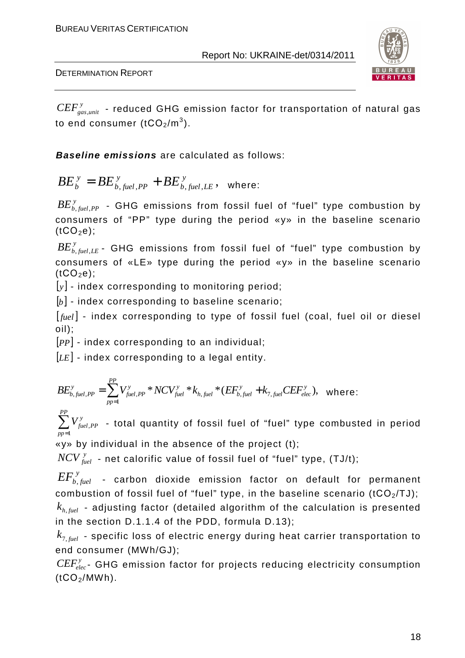

 $\it CEF_{gas,unit}^{\,y}$  - reduced GHG emission factor for transportation of natural gas to end consumer (tCO $_2$ /m $^3$ ).

**Baseline emissions** are calculated as follows:

 $\theta_{s,\textit{fuel},\textit{PP}}^{\textit{v}} + \textit{BE}_{\textit{b},\textit{fuel},\textit{LE}}^{\textit{y}},$ *y b fuel LE y*  $BE_b^y = BE_{b,\textit{fuel,PP}}^y + BE_{b,\textit{fuel,LE}}^y,$  where:

 $BE^{y}_{b, \text{fuel, PP}}$  - GHG emissions from fossil fuel of "fuel" type combustion by consumers of "PP" type during the period «y» in the baseline scenario  $(tCO<sub>2</sub>e);$ 

*BE*<sub>*b*</sub>, *fuel*, *LE* - GHG emissions from fossil fuel of "fuel" type combustion by consumers of «LE» type during the period «y» in the baseline scenario  $(tCO<sub>2</sub>e);$ 

[*y*] - index corresponding to monitoring period;

[b] - index corresponding to baseline scenario;

[*fuel*] - index corresponding to type of fossil fuel (coal, fuel oil or diesel oil);

[*PP*] - index corresponding to an individual;

[LE] - index corresponding to a legal entity.

$$
BE_{b, \text{fuel}, PP}^{y} = \sum_{pp=1}^{PP} V_{\text{fuel}, PP}^{y} * NCV_{\text{fuel}}^{y} * k_{h, \text{fuel}} * (EF_{b, \text{fuel}}^{y} + k_{7, \text{fuel}} CEF_{\text{elec}}^{y}), \text{ where:}
$$

, 1 *PP <i>y*<sub>*y*</sub> *fuel PP pp V* =  $\sum\limits_{\mathrm{final,PP}}V_{\mathrm{fuel,PP}}^{\mathrm{y}}$  - total quantity of fossil fuel of "fuel" type combusted in period «y» by individual in the absence of the project (t);

 $NCV_{\text{fuel}}^y$  - net calorific value of fossil fuel of "fuel" type, (TJ/t);

 $EF_{b.\,fuel}^y$  - carbon dioxide emission factor on default for permanent combustion of fossil fuel of "fuel" type, in the baseline scenario ( $tCO<sub>2</sub>/TJ$ );  $k_{_{h,\mathit{fuel}}}$  - adjusting factor (detailed algorithm of the calculation is presented

in the section D.1.1.4 of the PDD, formula D.13);

 $k_{_{7, \, fuel}}$  - specific loss of electric energy during heat carrier transportation to end consumer (MWh/GJ);

*CEF*<sub>elec</sub> GHG emission factor for projects reducing electricity consumption  $(tCO<sub>2</sub>/MWh)$ .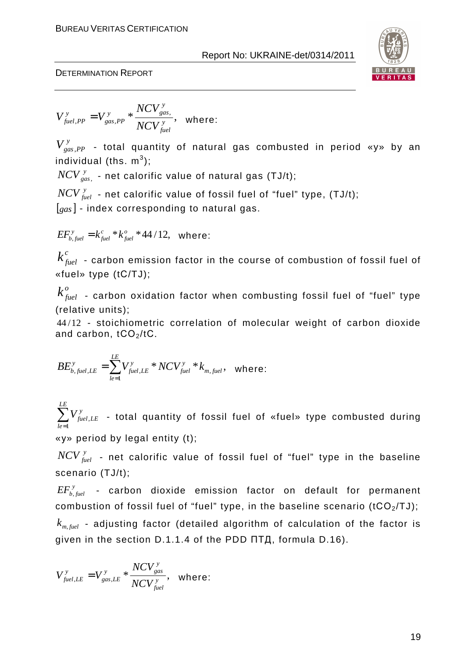

$$
V_{\text{fuel,PP}}^{\text{y}} = V_{\text{gas,PP}}^{\text{y}} * \frac{NCV_{\text{gas}}^{\text{y}}}{NCV_{\text{fuel}}^{\text{y}}}, \text{ where:}
$$

 $V_{gas,PP}$  - total quantity of natural gas combusted in period «y» by an individual (ths.  $\mathsf{m}^3$ );

 $\mathit{NCV}_{\mathit{gas},\,}^{\mathit{y}}$  - net calorific value of natural gas (TJ/t);

 $\textit{NCV}_{\textit{fuel}}^{\textit{y}}$  - net calorific value of fossil fuel of "fuel" type, (TJ/t);

[*gas*] - index corresponding to natural gas.

$$
EF_{b, fuel}^{y} = k_{fuel}^{c} * k_{fuel}^{o} * 44/12, \text{ where:}
$$

 $k_{\mathit{fuel}}^{\mathit{c}}$  - carbon emission factor in the course of combustion of fossil fuel of «fuel» type (tС/TJ);

 $k_{\mathit{fuel}}^o$  - carbon oxidation factor when combusting fossil fuel of "fuel" type (relative units);

44 /12 - stoichiometric correlation of molecular weight of carbon dioxide and carbon,  $tCO<sub>2</sub>/tC$ .

$$
BE_{b, fuel, LE}^{y} = \sum_{l=1}^{LE} V_{fuel, LE}^{y} * NCV_{fuel}^{y} * k_{m, fuel}, \text{ where:}
$$

, 1 *LE y fuel LE le V* =  $\sum^{\text{\tiny{ZU}}}V_{\text{\tiny{fuel,LE}}}^{\text{\tiny{y}}}$  - total quantity of fossil fuel of «fuel» type combusted during «у» period by legal entity (t);

 $NCV_{\text{fuel}}^y$  - net calorific value of fossil fuel of "fuel" type in the baseline scenario (TJ/t);

 $EF_{b, fuel}$  - carbon dioxide emission factor on default for permanent combustion of fossil fuel of "fuel" type, in the baseline scenario ( $tCO<sub>2</sub>/TJ$ );

 $k_{_{m,\mathrm{fuel}}}$  - adjusting factor (detailed algorithm of calculation of the factor is given in the section D.1.1.4 of the PDD ПТД, formula D.16).

$$
V_{\text{fuel,LE}}^{\text{y}} = V_{\text{gas,LE}}^{\text{y}} * \frac{NCV_{\text{gas}}^{\text{y}}}{NCV_{\text{fuel}}^{\text{y}}}, \text{ where:}
$$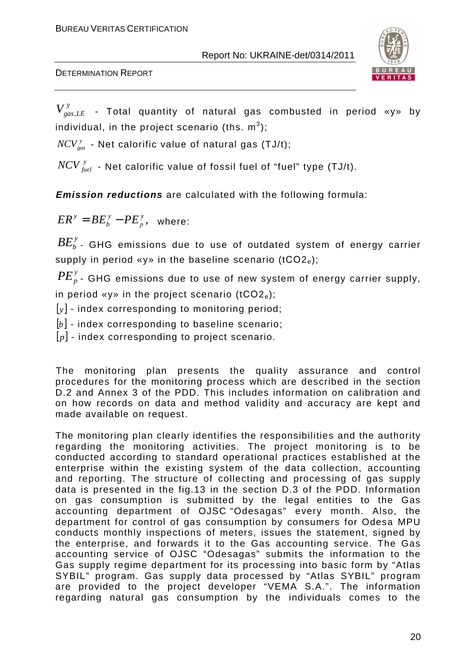

DETERMINATION REPORT

*<sup>y</sup> Vgas*,*LE* - Total quantity of natural gas combusted in period «y» by individual, in the project scenario (ths.  $\textsf{m}^{3}$ );

*<sup>y</sup> NCVgas* - Net calorific value of natural gas (TJ/t);

 $\Delta NCV_{\text{fuel}}^y$  - Net calorific value of fossil fuel of "fuel" type (TJ/t).

**Emission reductions** are calculated with the following formula:

 $ER^y = BE^y_b - PE^y_p$ , where:

 $BE<sub>b</sub><sup>y</sup>$  - GHG emissions due to use of outdated system of energy carrier supply in period «y» in the baseline scenario ( $tCO2<sub>e</sub>$ );

*<sup>y</sup> PE<sup>p</sup>* - GHG emissions due to use of new system of energy carrier supply, in period «y» in the project scenario ( $tCO2<sub>e</sub>$ );

[*y*] - index corresponding to monitoring period;

[b] - index corresponding to baseline scenario;

[p] - index corresponding to project scenario.

The monitoring plan presents the quality assurance and control procedures for the monitoring process which are described in the section D.2 and Annex 3 of the PDD. This includes information on calibration and on how records on data and method validity and accuracy are kept and made available on request.

The monitoring plan clearly identifies the responsibilities and the authority regarding the monitoring activities. The project monitoring is to be conducted according to standard operational practices established at the enterprise within the existing system of the data collection, accounting and reporting. The structure of collecting and processing of gas supply data is presented in the fig.13 in the section D.3 of the PDD. Information on gas consumption is submitted by the legal entities to the Gas accounting department of OJSC "Odesagas" every month. Also, the department for control of gas consumption by consumers for Odesa MPU conducts monthly inspections of meters, issues the statement, signed by the enterprise, and forwards it to the Gas accounting service. The Gas accounting service of OJSC "Odesagas" submits the information to the Gas supply regime department for its processing into basic form by "Atlas SYBIL" program. Gas supply data processed by "Atlas SYBIL" program are provided to the project developer "VEMA S.A.". The information regarding natural gas consumption by the individuals comes to the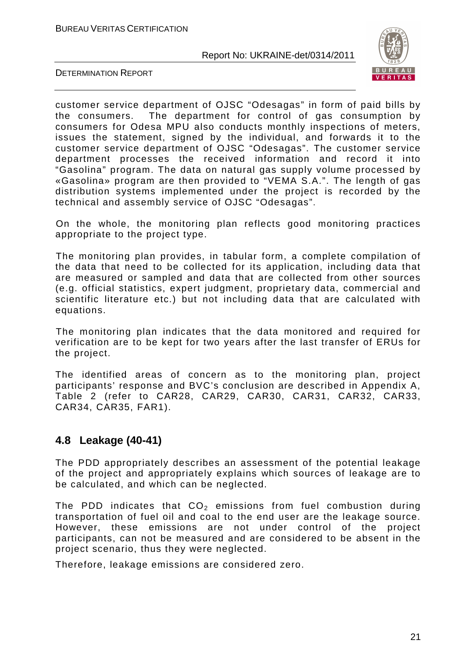

DETERMINATION REPORT

customer service department of OJSC "Odesagas" in form of paid bills by the consumers. The department for control of gas consumption by consumers for Odesa MPU also conducts monthly inspections of meters, issues the statement, signed by the individual, and forwards it to the customer service department of OJSC "Odesagas". The customer service department processes the received information and record it into "Gasolina" program. The data on natural gas supply volume processed by «Gasolina» program are then provided to "VEMA S.A.". The length of gas distribution systems implemented under the project is recorded by the technical and assembly service of OJSC "Odesagas".

On the whole, the monitoring plan reflects good monitoring practices appropriate to the project type.

The monitoring plan provides, in tabular form, a complete compilation of the data that need to be collected for its application, including data that are measured or sampled and data that are collected from other sources (e.g. official statistics, expert judgment, proprietary data, commercial and scientific literature etc.) but not including data that are calculated with equations.

The monitoring plan indicates that the data monitored and required for verification are to be kept for two years after the last transfer of ERUs for the project.

The identified areas of concern as to the monitoring plan, project participants' response and BVC's conclusion are described in Appendix A, Table 2 (refer to CAR28, CAR29, CAR30, CAR31, CAR32, CAR33, CAR34, CAR35, FAR1).

# **4.8 Leakage (40-41)**

The PDD appropriately describes an assessment of the potential leakage of the project and appropriately explains which sources of leakage are to be calculated, and which can be neglected.

The PDD indicates that  $CO<sub>2</sub>$  emissions from fuel combustion during transportation of fuel oil and coal to the end user are the leakage source. However, these emissions are not under control of the project participants, can not be measured and are considered to be absent in the project scenario, thus they were neglected.

Therefore, leakage emissions are considered zero.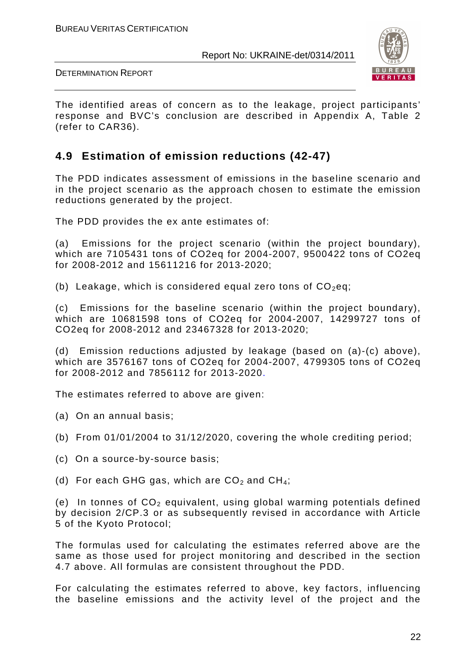

DETERMINATION REPORT

The identified areas of concern as to the leakage, project participants' response and BVC's conclusion are described in Appendix A, Table 2 (refer to CAR36).

# **4.9 Estimation of emission reductions (42-47)**

The PDD indicates assessment of emissions in the baseline scenario and in the project scenario as the approach chosen to estimate the emission reductions generated by the project.

The PDD provides the ex ante estimates of:

(a) Emissions for the project scenario (within the project boundary), which are 7105431 tons of CO2eq for 2004-2007, 9500422 tons of CO2eq for 2008-2012 and 15611216 for 2013-2020;

(b) Leakage, which is considered equal zero tons of  $CO<sub>2</sub>$ eq;

(c) Emissions for the baseline scenario (within the project boundary), which are 10681598 tons of CO2eq for 2004-2007, 14299727 tons of CO2eq for 2008-2012 and 23467328 for 2013-2020;

(d) Emission reductions adjusted by leakage (based on (a)-(c) above), which are 3576167 tons of CO2eq for 2004-2007, 4799305 tons of CO2eq for 2008-2012 and 7856112 for 2013-2020.

The estimates referred to above are given:

- (a) On an annual basis;
- (b) From 01/01/2004 to 31/12/2020, covering the whole crediting period;
- (c) On a source-by-source basis;
- (d) For each GHG gas, which are  $CO<sub>2</sub>$  and  $CH<sub>4</sub>$ ;

(e) In tonnes of  $CO<sub>2</sub>$  equivalent, using global warming potentials defined by decision 2/CP.3 or as subsequently revised in accordance with Article 5 of the Kyoto Protocol;

The formulas used for calculating the estimates referred above are the same as those used for project monitoring and described in the section 4.7 above. All formulas are consistent throughout the PDD.

For calculating the estimates referred to above, key factors, influencing the baseline emissions and the activity level of the project and the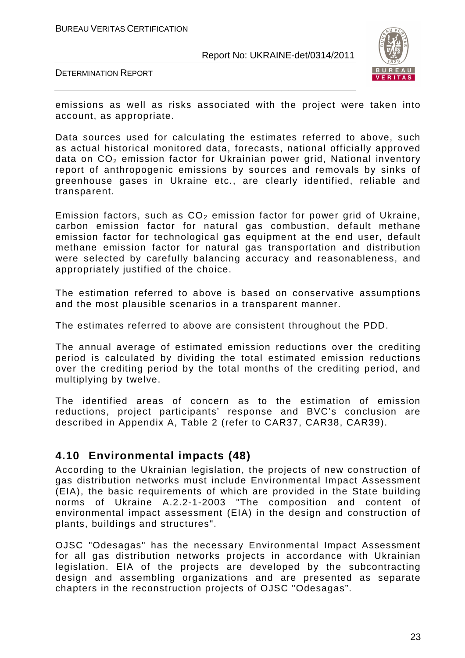

DETERMINATION REPORT

emissions as well as risks associated with the project were taken into account, as appropriate.

Data sources used for calculating the estimates referred to above, such as actual historical monitored data, forecasts, national officially approved data on  $CO<sub>2</sub>$  emission factor for Ukrainian power grid, National inventory report of anthropogenic emissions by sources and removals by sinks of greenhouse gases in Ukraine etc., are clearly identified, reliable and transparent.

Emission factors, such as  $CO<sub>2</sub>$  emission factor for power grid of Ukraine, carbon emission factor for natural gas combustion, default methane emission factor for technological gas equipment at the end user, default methane emission factor for natural gas transportation and distribution were selected by carefully balancing accuracy and reasonableness, and appropriately justified of the choice.

The estimation referred to above is based on conservative assumptions and the most plausible scenarios in a transparent manner.

The estimates referred to above are consistent throughout the PDD.

The annual average of estimated emission reductions over the crediting period is calculated by dividing the total estimated emission reductions over the crediting period by the total months of the crediting period, and multiplying by twelve.

The identified areas of concern as to the estimation of emission reductions, project participants' response and BVC's conclusion are described in Appendix A, Table 2 (refer to CAR37, CAR38, CAR39).

# **4.10 Environmental impacts (48)**

According to the Ukrainian legislation, the projects of new construction of gas distribution networks must include Environmental Impact Assessment (EIA), the basic requirements of which are provided in the State building norms of Ukraine A.2.2-1-2003 "The composition and content of environmental impact assessment (EIA) in the design and construction of plants, buildings and structures".

OJSC "Odesagas" has the necessary Environmental Impact Assessment for all gas distribution networks projects in accordance with Ukrainian legislation. EIA of the projects are developed by the subcontracting design and assembling organizations and are presented as separate chapters in the reconstruction projects of OJSC "Odesagas".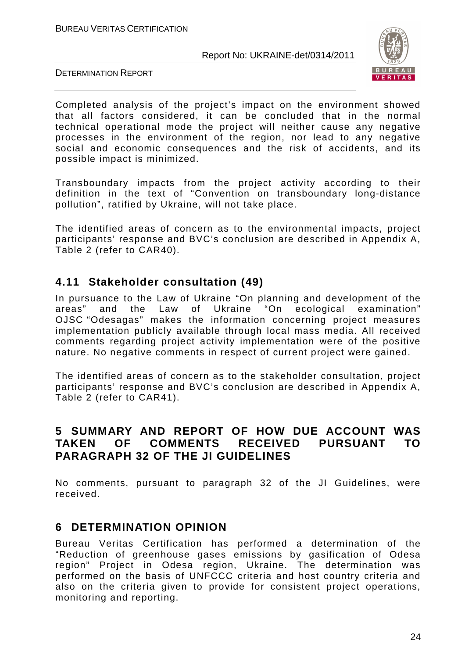

DETERMINATION REPORT

Completed analysis of the project's impact on the environment showed that all factors considered, it can be concluded that in the normal technical operational mode the project will neither cause any negative processes in the environment of the region, nor lead to any negative social and economic consequences and the risk of accidents, and its possible impact is minimized.

Transboundary impacts from the project activity according to their definition in the text of "Convention on transboundary long-distance pollution", ratified by Ukraine, will not take place.

The identified areas of concern as to the environmental impacts, project participants' response and BVC's conclusion are described in Appendix A, Table 2 (refer to CAR40).

#### **4.11 Stakeholder consultation (49)**

In pursuance to the Law of Ukraine "On planning and development of the areas" and the Law of Ukraine "On ecological examination" OJSC "Odesagas" makes the information concerning project measures implementation publicly available through local mass media. All received comments regarding project activity implementation were of the positive nature. No negative comments in respect of current project were gained.

The identified areas of concern as to the stakeholder consultation, project participants' response and BVC's conclusion are described in Appendix A, Table 2 (refer to CAR41).

# **5 SUMMARY AND REPORT OF HOW DUE ACCOUNT WAS TAKEN OF COMMENTS RECEIVED PURSUANT TO PARAGRAPH 32 OF THE JI GUIDELINES**

No comments, pursuant to paragraph 32 of the JI Guidelines, were received.

# **6 DETERMINATION OPINION**

Bureau Veritas Certification has performed a determination of the "Reduction of greenhouse gases emissions by gasification of Odesa region" Project in Odesa region, Ukraine. The determination was performed on the basis of UNFCCC criteria and host country criteria and also on the criteria given to provide for consistent project operations, monitoring and reporting.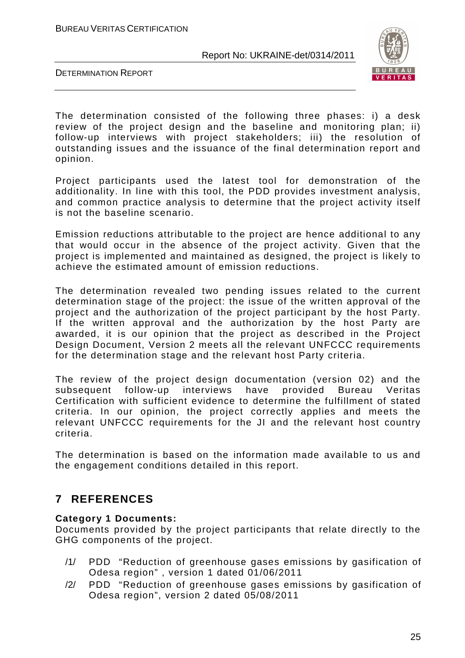

DETERMINATION REPORT

The determination consisted of the following three phases: i) a desk review of the project design and the baseline and monitoring plan; ii) follow-up interviews with project stakeholders; iii) the resolution of outstanding issues and the issuance of the final determination report and opinion.

Project participants used the latest tool for demonstration of the additionality. In line with this tool, the PDD provides investment analysis, and common practice analysis to determine that the project activity itself is not the baseline scenario.

Emission reductions attributable to the project are hence additional to any that would occur in the absence of the project activity. Given that the project is implemented and maintained as designed, the project is likely to achieve the estimated amount of emission reductions.

The determination revealed two pending issues related to the current determination stage of the project: the issue of the written approval of the project and the authorization of the project participant by the host Party. If the written approval and the authorization by the host Party are awarded, it is our opinion that the project as described in the Project Design Document, Version 2 meets all the relevant UNFCCC requirements for the determination stage and the relevant host Party criteria.

The review of the project design documentation (version 02) and the subsequent follow-up interviews have provided Bureau Veritas Certification with sufficient evidence to determine the fulfillment of stated criteria. In our opinion, the project correctly applies and meets the relevant UNFCCC requirements for the JI and the relevant host country criteria.

The determination is based on the information made available to us and the engagement conditions detailed in this report.

# **7 REFERENCES**

#### **Category 1 Documents:**

Documents provided by the project participants that relate directly to the GHG components of the project.

- /1/ PDD "Reduction of greenhouse gases emissions by gasification of Odesa region" , version 1 dated 01/06/2011
- /2/ PDD "Reduction of greenhouse gases emissions by gasification of Odesa region", version 2 dated 05/08/2011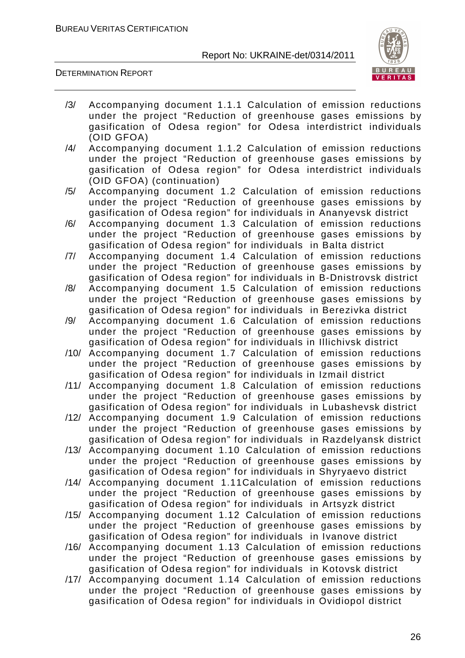

- /3/ Accompanying document 1.1.1 Calculation of emission reductions under the project "Reduction of greenhouse gases emissions by gasification of Odesa region" for Odesa interdistrict individuals (OID GFOA)
- /4/ Accompanying document 1.1.2 Calculation of emission reductions under the project "Reduction of greenhouse gases emissions by gasification of Odesa region" for Odesa interdistrict individuals (OID GFOA) (continuation)
- /5/ Accompanying document 1.2 Calculation of emission reductions under the project "Reduction of greenhouse gases emissions by gasification of Odesa region" for individuals in Ananyevsk district
- /6/ Accompanying document 1.3 Calculation of emission reductions under the project "Reduction of greenhouse gases emissions by gasification of Odesa region" for individuals in Balta district
- /7/ Accompanying document 1.4 Calculation of emission reductions under the project "Reduction of greenhouse gases emissions by gasification of Odesa region" for individuals in B-Dnistrovsk district
- /8/ Accompanying document 1.5 Calculation of emission reductions under the project "Reduction of greenhouse gases emissions by gasification of Odesa region" for individuals in Berezivka district
- /9/ Accompanying document 1.6 Calculation of emission reductions under the project "Reduction of greenhouse gases emissions by gasification of Odesa region" for individuals in Illichivsk district
- /10/ Accompanying document 1.7 Calculation of emission reductions under the project "Reduction of greenhouse gases emissions by gasification of Odesa region" for individuals in Izmail district
- /11/ Accompanying document 1.8 Calculation of emission reductions under the project "Reduction of greenhouse gases emissions by gasification of Odesa region" for individuals in Lubashevsk district
- /12/ Accompanying document 1.9 Calculation of emission reductions under the project "Reduction of greenhouse gases emissions by gasification of Odesa region" for individuals in Razdelyansk district
- /13/ Accompanying document 1.10 Calculation of emission reductions under the project "Reduction of greenhouse gases emissions by gasification of Odesa region" for individuals in Shyryaevo district
- /14/ Accompanying document 1.11Calculation of emission reductions under the project "Reduction of greenhouse gases emissions by gasification of Odesa region" for individuals in Artsyzk district
- /15/ Accompanying document 1.12 Calculation of emission reductions under the project "Reduction of greenhouse gases emissions by gasification of Odesa region" for individuals in Ivanove district
- /16/ Accompanying document 1.13 Calculation of emission reductions under the project "Reduction of greenhouse gases emissions by gasification of Odesa region" for individuals in Kotovsk district
- /17/ Accompanying document 1.14 Calculation of emission reductions under the project "Reduction of greenhouse gases emissions by gasification of Odesa region" for individuals in Ovidiopol district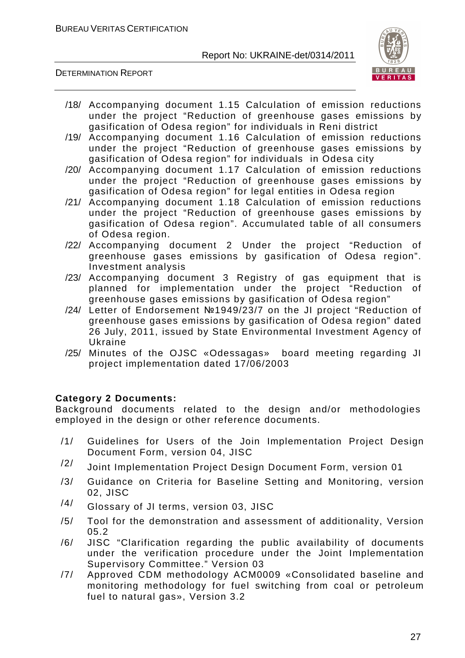

DETERMINATION REPORT

- /18/ Accompanying document 1.15 Calculation of emission reductions under the project "Reduction of greenhouse gases emissions by gasification of Odesa region" for individuals in Reni district
- /19/ Accompanying document 1.16 Calculation of emission reductions under the project "Reduction of greenhouse gases emissions by gasification of Odesa region" for individuals in Odesa city
- /20/ Accompanying document 1.17 Calculation of emission reductions under the project "Reduction of greenhouse gases emissions by gasification of Odesa region" for legal entities in Odesa region
- /21/ Accompanying document 1.18 Calculation of emission reductions under the project "Reduction of greenhouse gases emissions by gasification of Odesa region". Accumulated table of all consumers of Odesa region.
- /22/ Accompanying document 2 Under the project "Reduction of greenhouse gases emissions by gasification of Odesa region". Investment analysis
- /23/ Accompanying document 3 Registry of gas equipment that is planned for implementation under the project "Reduction of greenhouse gases emissions by gasification of Odesa region"
- /24/ Letter of Endorsement №1949/23/7 on the JI project "Reduction of greenhouse gases emissions by gasification of Odesa region" dated 26 July, 2011, issued by State Environmental Investment Agency of Ukraine
- /25/ Minutes of the OJSC «Odessagas» board meeting regarding JI project implementation dated 17/06/2003

#### **Category 2 Documents:**

Background documents related to the design and/or methodologies employed in the design or other reference documents.

- /1/ Guidelines for Users of the Join Implementation Project Design Document Form, version 04, JISC
- $\frac{12}{100}$  Joint Implementation Project Design Document Form, version 01
- /3/ Guidance on Criteria for Baseline Setting and Monitoring, version 02, JISC
- /4/ Glossary of JI terms, version 03, JISC
- /5/ Tool for the demonstration and assessment of additionality, Version 05.2
- /6/ JISC "Clarification regarding the public availability of documents under the verification procedure under the Joint Implementation Supervisory Committee." Version 03
- /7/ Approved CDM methodology ACM0009 «Consolidated baseline and monitoring methodology for fuel switching from coal or petroleum fuel to natural gas», Version 3.2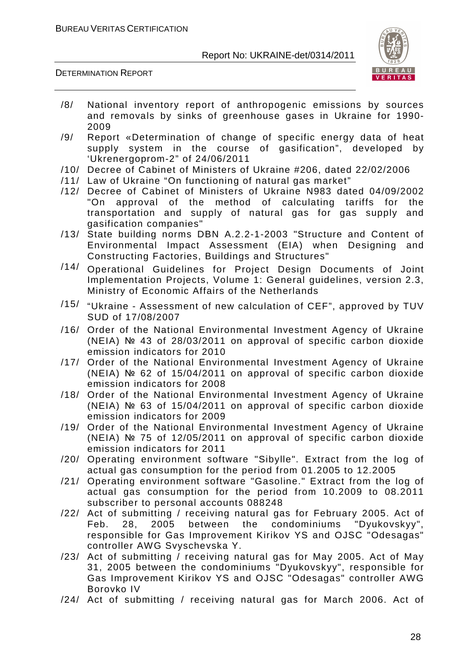

- /8/ National inventory report of anthropogenic emissions by sources and removals by sinks of greenhouse gases in Ukraine for 1990- 2009
- /9/ Report «Determination of change of specific energy data of heat supply system in the course of gasification", developed by 'Ukrenergoprom-2" of 24/06/2011
- /10/ Decree of Cabinet of Ministers of Ukraine #206, dated 22/02/2006
- /11/ Law of Ukraine "On functioning of natural gas market"
- /12/ Decree of Cabinet of Ministers of Ukraine N983 dated 04/09/2002 "On approval of the method of calculating tariffs for the transportation and supply of natural gas for gas supply and gasification companies"
- /13/ State building norms DBN A.2.2-1-2003 "Structure and Content of Environmental Impact Assessment (EIA) when Designing and Constructing Factories, Buildings and Structures"
- /14/ Operational Guidelines for Project Design Documents of Joint Implementation Projects, Volume 1: General guidelines, version 2.3, Ministry of Economic Affairs of the Netherlands
- /15/ "Ukraine Assessment of new calculation of CEF", approved by TUV SUD of 17/08/2007
- /16/ Order of the National Environmental Investment Agency of Ukraine (NEIA) № 43 of 28/03/2011 on approval of specific carbon dioxide emission indicators for 2010
- /17/ Order of the National Environmental Investment Agency of Ukraine (NEIA) № 62 of 15/04/2011 on approval of specific carbon dioxide emission indicators for 2008
- /18/ Order of the National Environmental Investment Agency of Ukraine (NEIA) № 63 of 15/04/2011 on approval of specific carbon dioxide emission indicators for 2009
- /19/ Order of the National Environmental Investment Agency of Ukraine (NEIA) № 75 of 12/05/2011 on approval of specific carbon dioxide emission indicators for 2011
- /20/ Operating environment software "Sibylle". Extract from the log of actual gas consumption for the period from 01.2005 to 12.2005
- /21/ Operating environment software "Gasoline." Extract from the log of actual gas consumption for the period from 10.2009 to 08.2011 subscriber to personal accounts 088248
- /22/ Act of submitting / receiving natural gas for February 2005. Act of Feb. 28, 2005 between the condominiums "Dyukovskyy", responsible for Gas Improvement Kirikov YS and OJSC "Odesagas" controller AWG Svyschevska Y.
- /23/ Act of submitting / receiving natural gas for May 2005. Act of May 31, 2005 between the condominiums "Dyukovskyy", responsible for Gas Improvement Kirikov YS and OJSC "Odesagas" controller AWG Borovko IV
- /24/ Act of submitting / receiving natural gas for March 2006. Act of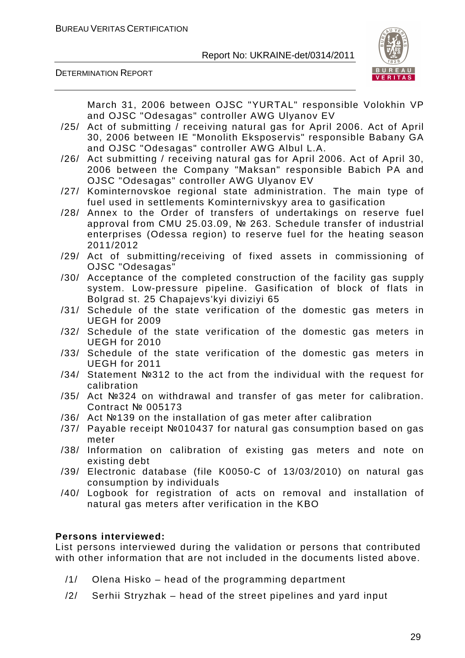

DETERMINATION REPORT

March 31, 2006 between OJSC "YURTAL" responsible Volokhin VP and OJSC "Odesagas" controller AWG Ulyanov EV

- /25/ Act of submitting / receiving natural gas for April 2006. Act of April 30, 2006 between IE "Monolith Eksposervis" responsible Babany GA and OJSC "Odesagas" controller AWG Albul L.A.
- /26/ Act submitting / receiving natural gas for April 2006. Act of April 30, 2006 between the Company "Maksan" responsible Babich PA and OJSC "Odesagas" controller AWG Ulyanov EV
- /27/ Kominternovskoe regional state administration. The main type of fuel used in settlements Kominternivskyy area to gasification
- /28/ Annex to the Order of transfers of undertakings on reserve fuel approval from CMU 25.03.09, № 263. Schedule transfer of industrial enterprises (Odessa region) to reserve fuel for the heating season 2011/2012
- /29/ Act of submitting/receiving of fixed assets in commissioning of OJSC "Odesagas"
- /30/ Acceptance of the completed construction of the facility gas supply system. Low-pressure pipeline. Gasification of block of flats in Bolgrad st. 25 Chapajevs'kyi diviziyi 65
- /31/ Schedule of the state verification of the domestic gas meters in UEGH for 2009
- /32/ Schedule of the state verification of the domestic gas meters in UEGH for 2010
- /33/ Schedule of the state verification of the domestic gas meters in UEGH for 2011
- /34/ Statement №312 to the act from the individual with the request for calibration
- /35/ Act №324 on withdrawal and transfer of gas meter for calibration. Contract № 005173
- /36/ Act №139 on the installation of gas meter after calibration
- /37/ Payable receipt №010437 for natural gas consumption based on gas meter
- /38/ Information on calibration of existing gas meters and note on existing debt
- /39/ Electronic database (file K0050-C of 13/03/2010) on natural gas consumption by individuals
- /40/ Logbook for registration of acts on removal and installation of natural gas meters after verification in the KBO

#### **Persons interviewed:**

List persons interviewed during the validation or persons that contributed with other information that are not included in the documents listed above.

- /1/ Olena Hisko head of the programming department
- /2/ Serhii Stryzhak head of the street pipelines and yard input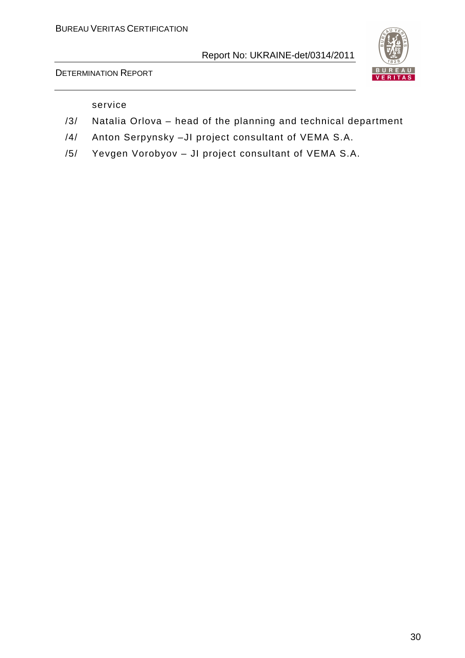

DETERMINATION REPORT

service

- /3/ Natalia Orlova head of the planning and technical department
- /4/ Anton Serpynsky –JI project consultant of VEMA S.A.
- /5/ Yevgen Vorobyov JI project consultant of VEMA S.A.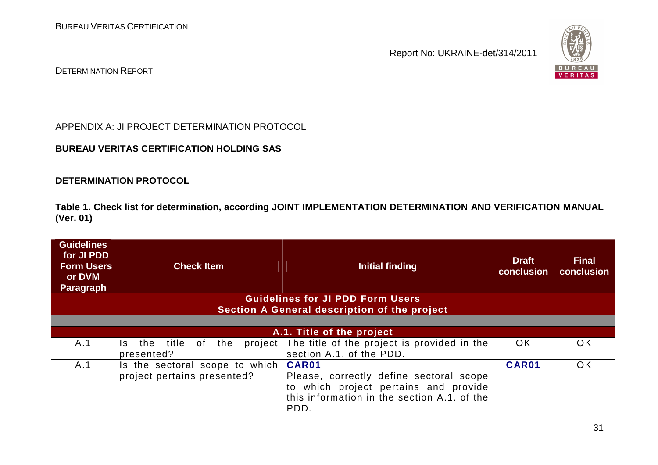

#### DETERMINATION REPORT

APPENDIX A: JI PROJECT DETERMINATION PROTOCOL

#### **BUREAU VERITAS CERTIFICATION HOLDING SAS**

#### **DETERMINATION PROTOCOL**

**Table 1. Check list for determination, according JOINT IMPLEMENTATION DETERMINATION AND VERIFICATION MANUAL (Ver. 01)** 

| <b>Form Users</b><br><b>Check Item</b>                                                  | <b>Initial finding</b>                                    | <b>Draft</b><br>conclusion                                                                                                                                                                                                            | <b>Final</b><br>conclusion |  |  |  |
|-----------------------------------------------------------------------------------------|-----------------------------------------------------------|---------------------------------------------------------------------------------------------------------------------------------------------------------------------------------------------------------------------------------------|----------------------------|--|--|--|
| <b>Guidelines for JI PDD Form Users</b><br>Section A General description of the project |                                                           |                                                                                                                                                                                                                                       |                            |  |  |  |
|                                                                                         |                                                           |                                                                                                                                                                                                                                       |                            |  |  |  |
|                                                                                         |                                                           |                                                                                                                                                                                                                                       | OK                         |  |  |  |
| presented?                                                                              | section A.1. of the PDD.                                  |                                                                                                                                                                                                                                       |                            |  |  |  |
| Is the sectoral scope to which                                                          | CAR01                                                     | CAR01                                                                                                                                                                                                                                 | <b>OK</b>                  |  |  |  |
|                                                                                         |                                                           |                                                                                                                                                                                                                                       |                            |  |  |  |
|                                                                                         |                                                           |                                                                                                                                                                                                                                       |                            |  |  |  |
|                                                                                         |                                                           |                                                                                                                                                                                                                                       |                            |  |  |  |
|                                                                                         | the title<br>of the<br>Is.<br>project pertains presented? | A.1. Title of the project<br>The title of the project is provided in the<br>$project \mid$<br>Please, correctly define sectoral scope<br>to which project pertains and provide<br>this information in the section A.1, of the<br>PDD. | OK                         |  |  |  |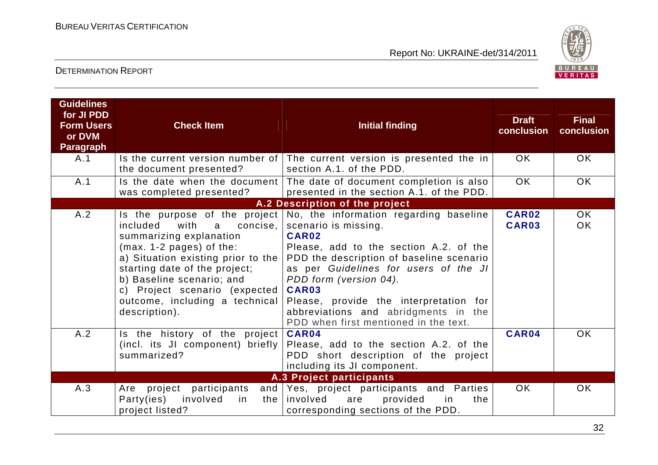

| <b>Guidelines</b><br>for JI PDD<br><b>Form Users</b><br>or DVM<br><b>Paragraph</b> | <b>Check Item</b>                                                                                                                                                                                                                                                               | <b>Initial finding</b>                                                                                                                                                                                                                                                                                                                                                                                      | <b>Draft</b><br>conclusion | <b>Final</b><br>conclusion |
|------------------------------------------------------------------------------------|---------------------------------------------------------------------------------------------------------------------------------------------------------------------------------------------------------------------------------------------------------------------------------|-------------------------------------------------------------------------------------------------------------------------------------------------------------------------------------------------------------------------------------------------------------------------------------------------------------------------------------------------------------------------------------------------------------|----------------------------|----------------------------|
| A.1                                                                                | the document presented?                                                                                                                                                                                                                                                         | Is the current version number of $ $ The current version is presented the in<br>section A.1. of the PDD.                                                                                                                                                                                                                                                                                                    | OK.                        | OK.                        |
| A.1                                                                                | was completed presented?                                                                                                                                                                                                                                                        | Is the date when the document   The date of document completion is also<br>presented in the section A.1. of the PDD.                                                                                                                                                                                                                                                                                        | <b>OK</b>                  | <b>OK</b>                  |
|                                                                                    |                                                                                                                                                                                                                                                                                 | A.2 Description of the project                                                                                                                                                                                                                                                                                                                                                                              |                            |                            |
| A.2                                                                                | Is the purpose of the project<br>with<br>included<br>a<br>concise,<br>summarizing explanation<br>$(max. 1-2 pages)$ of the:<br>starting date of the project;<br>b) Baseline scenario; and<br>c) Project scenario (expected  <br>outcome, including a technical<br>description). | No, the information regarding baseline<br>scenario is missing.<br>CAR02<br>Please, add to the section A.2. of the<br>a) Situation existing prior to the $ $ PDD the description of baseline scenario<br>as per Guidelines for users of the JI<br>PDD form (version 04).<br>CAR03<br>Please, provide the interpretation for<br>abbreviations and abridgments in the<br>PDD when first mentioned in the text. | CAR02<br>CAR03             | OK.<br><b>OK</b>           |
| A.2                                                                                | Is the history of the project<br>(incl. its JI component) briefly<br>summarized?                                                                                                                                                                                                | CAR04<br>Please, add to the section A.2. of the<br>PDD short description of the project<br>including its JI component.<br>A.3 Project participants                                                                                                                                                                                                                                                          | CAR04                      | <b>OK</b>                  |
| A.3                                                                                | Are project participants<br>involved<br>Party(ies)<br>in<br>the I<br>project listed?                                                                                                                                                                                            | and Yes, project participants and Parties<br>involved<br>are<br>provided<br>the<br><sub>in</sub><br>corresponding sections of the PDD.                                                                                                                                                                                                                                                                      | OK.                        | OK.                        |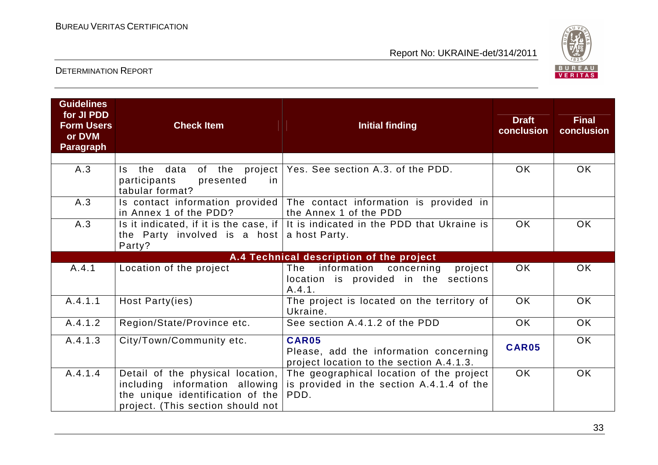

| <b>Guidelines</b><br>for JI PDD<br><b>Form Users</b><br>or DVM<br><b>Paragraph</b> | <b>Check Item</b>                                                                                                                                    | <b>Initial finding</b>                                                                             | <b>Draft</b><br>conclusion | <b>Final</b><br>conclusion |
|------------------------------------------------------------------------------------|------------------------------------------------------------------------------------------------------------------------------------------------------|----------------------------------------------------------------------------------------------------|----------------------------|----------------------------|
| A.3                                                                                | data<br>Is the<br>participants<br>presented<br>-in<br>tabular format?                                                                                | of the project   Yes. See section A.3. of the PDD.                                                 | OK.                        | OK.                        |
| A.3                                                                                | in Annex 1 of the PDD?                                                                                                                               | Is contact information provided   The contact information is provided in<br>the Annex 1 of the PDD |                            |                            |
| A.3                                                                                | the Party involved is a host a host Party.<br>Party?                                                                                                 | Is it indicated, if it is the case, if It is indicated in the PDD that Ukraine is                  | <b>OK</b>                  | <b>OK</b>                  |
|                                                                                    |                                                                                                                                                      | A.4 Technical description of the project                                                           |                            |                            |
| A.4.1                                                                              | Location of the project                                                                                                                              | information concerning<br>The<br>project<br>location is provided in the sections<br>A.4.1.         | OK.                        | <b>OK</b>                  |
| A.4.1.1                                                                            | Host Party(ies)                                                                                                                                      | The project is located on the territory of<br>Ukraine.                                             | <b>OK</b>                  | <b>OK</b>                  |
| A.4.1.2                                                                            | Region/State/Province etc.                                                                                                                           | See section A.4.1.2 of the PDD                                                                     | OK.                        | OK.                        |
| A.4.1.3                                                                            | City/Town/Community etc.                                                                                                                             | CAR05<br>Please, add the information concerning<br>project location to the section A.4.1.3.        | <b>CAR05</b>               | <b>OK</b>                  |
| A.4.1.4                                                                            | Detail of the physical location,<br>including information allowing<br>the unique identification of the $ PDD$ .<br>project. (This section should not | The geographical location of the project<br>is provided in the section A.4.1.4 of the              | <b>OK</b>                  | <b>OK</b>                  |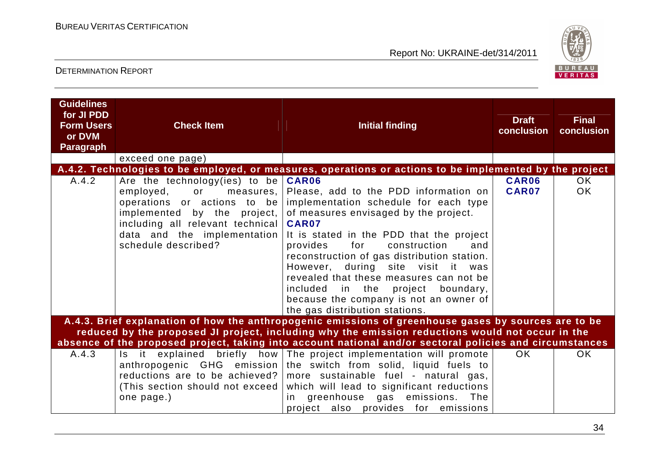

| <b>Guidelines</b><br>for JI PDD<br><b>Form Users</b><br>or DVM<br><b>Paragraph</b> | <b>Check Item</b>                                                                                                                                                                           | <b>Initial finding</b>                                                                                                                                                                                                                                                                                                                                                                                                                                                                             | <b>Draft</b><br>conclusion | <b>Final</b><br>conclusion |
|------------------------------------------------------------------------------------|---------------------------------------------------------------------------------------------------------------------------------------------------------------------------------------------|----------------------------------------------------------------------------------------------------------------------------------------------------------------------------------------------------------------------------------------------------------------------------------------------------------------------------------------------------------------------------------------------------------------------------------------------------------------------------------------------------|----------------------------|----------------------------|
|                                                                                    | exceed one page)                                                                                                                                                                            |                                                                                                                                                                                                                                                                                                                                                                                                                                                                                                    |                            |                            |
|                                                                                    |                                                                                                                                                                                             | A.4.2. Technologies to be employed, or measures, operations or actions to be implemented by the project                                                                                                                                                                                                                                                                                                                                                                                            |                            |                            |
| A.4.2                                                                              | Are the technology(ies) to be $CRRO6$<br>employed, or<br>measures,<br>implemented by the project,<br>including all relevant technical<br>data and the implementation<br>schedule described? | Please, add to the PDD information on<br>operations or actions to be implementation schedule for each type<br>of measures envisaged by the project.<br>CAR07<br>It is stated in the PDD that the project<br>for<br>construction<br>provides<br>and<br>reconstruction of gas distribution station.<br>However, during site visit it was<br>revealed that these measures can not be<br>included in the project boundary,<br>because the company is not an owner of<br>the gas distribution stations. | CAR06<br>CAR07             | OK.<br>OK.                 |
|                                                                                    |                                                                                                                                                                                             | A.4.3. Brief explanation of how the anthropogenic emissions of greenhouse gases by sources are to be                                                                                                                                                                                                                                                                                                                                                                                               |                            |                            |
|                                                                                    |                                                                                                                                                                                             | reduced by the proposed JI project, including why the emission reductions would not occur in the                                                                                                                                                                                                                                                                                                                                                                                                   |                            |                            |
|                                                                                    |                                                                                                                                                                                             | absence of the proposed project, taking into account national and/or sectoral policies and circumstances                                                                                                                                                                                                                                                                                                                                                                                           |                            |                            |
| A.4.3                                                                              | ls.<br>(This section should not exceed)<br>one page.)                                                                                                                                       | it explained briefly how The project implementation will promote<br>anthropogenic $GHG$ emission the switch from solid, liquid fuels to<br>reductions are to be achieved?   more sustainable fuel - natural gas,<br>which will lead to significant reductions<br>in greenhouse gas emissions. The<br>project also provides for emissions                                                                                                                                                           | <b>OK</b>                  | <b>OK</b>                  |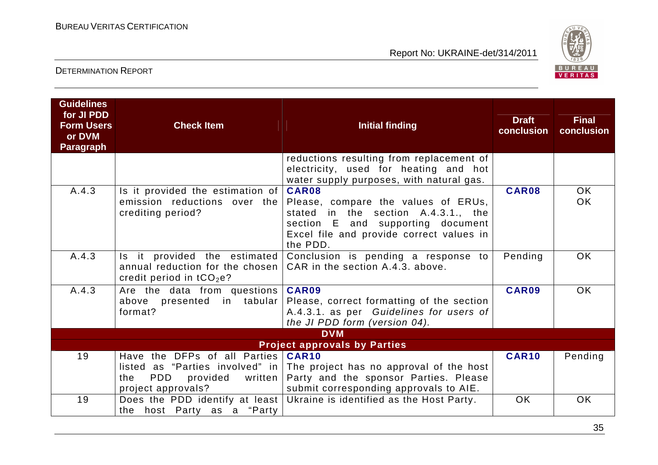

| <b>Guidelines</b><br>for JI PDD<br><b>Form Users</b> | <b>Check Item</b>                        | <b>Initial finding</b>                                                                                                        | <b>Draft</b> | <b>Final</b> |  |
|------------------------------------------------------|------------------------------------------|-------------------------------------------------------------------------------------------------------------------------------|--------------|--------------|--|
| or DVM                                               |                                          |                                                                                                                               | conclusion   | conclusion   |  |
| <b>Paragraph</b>                                     |                                          |                                                                                                                               |              |              |  |
|                                                      |                                          | reductions resulting from replacement of<br>electricity, used for heating and hot<br>water supply purposes, with natural gas. |              |              |  |
| A.4.3                                                | Is it provided the estimation of $CAR08$ |                                                                                                                               | CAR08        | OK.          |  |
|                                                      | emission reductions over the             | Please, compare the values of ERUs,                                                                                           |              | <b>OK</b>    |  |
|                                                      | crediting period?                        | stated in the section A.4.3.1., the                                                                                           |              |              |  |
|                                                      |                                          | section E and supporting document                                                                                             |              |              |  |
|                                                      |                                          | Excel file and provide correct values in                                                                                      |              |              |  |
|                                                      |                                          | the PDD.                                                                                                                      |              |              |  |
| A.4.3                                                |                                          | Is it provided the estimated Conclusion is pending a response to                                                              | Pending      | <b>OK</b>    |  |
|                                                      |                                          | annual reduction for the chosen $ $ CAR in the section A.4.3, above.                                                          |              |              |  |
|                                                      | credit period in $tCO2e$ ?               |                                                                                                                               |              |              |  |
| A.4.3                                                | Are the data from questions   CAR09      |                                                                                                                               | <b>CAR09</b> | OK.          |  |
|                                                      |                                          | above presented in tabular   Please, correct formatting of the section                                                        |              |              |  |
|                                                      | format?                                  | A.4.3.1. as per Guidelines for users of                                                                                       |              |              |  |
|                                                      |                                          | the JI PDD form (version 04).                                                                                                 |              |              |  |
| <b>DVM</b>                                           |                                          |                                                                                                                               |              |              |  |
| <b>Project approvals by Parties</b>                  |                                          |                                                                                                                               |              |              |  |
| 19                                                   | Have the DFPs of all Parties   CAR10     |                                                                                                                               | <b>CAR10</b> | Pending      |  |
|                                                      |                                          | listed as "Parties involved" in The project has no approval of the host                                                       |              |              |  |
|                                                      | <b>PDD</b><br>provided<br>the            | written   Party and the sponsor Parties. Please                                                                               |              |              |  |
|                                                      | project approvals?                       | submit corresponding approvals to AIE.                                                                                        |              |              |  |
| 19                                                   | the host Party as a "Party"              | Does the PDD identify at least Ukraine is identified as the Host Party.                                                       | <b>OK</b>    | <b>OK</b>    |  |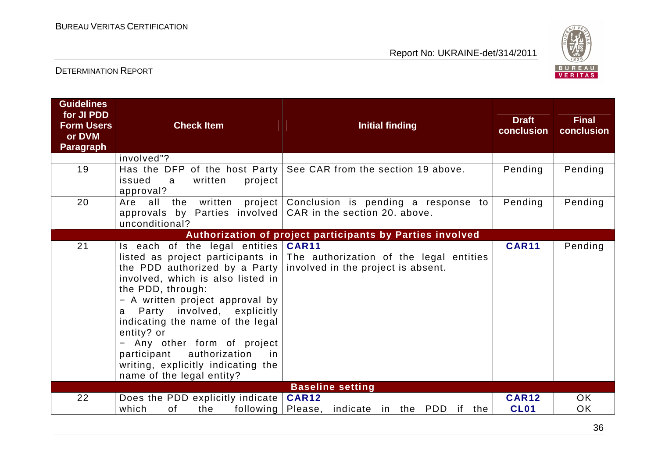

| <b>Guidelines</b><br>for JI PDD<br><b>Form Users</b><br>or DVM<br><b>Paragraph</b> | <b>Check Item</b>                                                                                                                                                                                                                                                                                                                                               | <b>Initial finding</b>                                                                                                                            | <b>Draft</b><br>conclusion  | <b>Final</b><br>conclusion |
|------------------------------------------------------------------------------------|-----------------------------------------------------------------------------------------------------------------------------------------------------------------------------------------------------------------------------------------------------------------------------------------------------------------------------------------------------------------|---------------------------------------------------------------------------------------------------------------------------------------------------|-----------------------------|----------------------------|
|                                                                                    | involved"?                                                                                                                                                                                                                                                                                                                                                      |                                                                                                                                                   |                             |                            |
| 19                                                                                 | written<br>issued<br>project<br>a<br>approval?                                                                                                                                                                                                                                                                                                                  | Has the DFP of the host Party See CAR from the section 19 above.                                                                                  | Pending                     | Pending                    |
| 20                                                                                 | Are<br>all<br>the<br>written<br>approvals by Parties involved $ $ CAR in the section 20. above.<br>unconditional?                                                                                                                                                                                                                                               | project Conclusion is pending a response to                                                                                                       | Pending                     | Pending                    |
|                                                                                    |                                                                                                                                                                                                                                                                                                                                                                 | Authorization of project participants by Parties involved                                                                                         |                             |                            |
| 21                                                                                 | Is each of the legal entities $CRR11$<br>involved, which is also listed in<br>the PDD, through:<br>- A written project approval by<br>Party involved, explicitly<br>a<br>indicating the name of the legal<br>entity? or<br>- Any other form of project<br>authorization<br>participant<br>in<br>writing, explicitly indicating the<br>name of the legal entity? | listed as project participants in $ $ The authorization of the legal entities<br>the PDD authorized by a Party involved in the project is absent. | <b>CAR11</b>                | Pending                    |
|                                                                                    |                                                                                                                                                                                                                                                                                                                                                                 | <b>Baseline setting</b>                                                                                                                           |                             |                            |
| 22                                                                                 | Does the PDD explicitly indicate<br>which<br>0f<br>the<br>following                                                                                                                                                                                                                                                                                             | <b>CAR12</b><br>Please,<br>indicate in the PDD if the                                                                                             | <b>CAR12</b><br><b>CL01</b> | <b>OK</b><br><b>OK</b>     |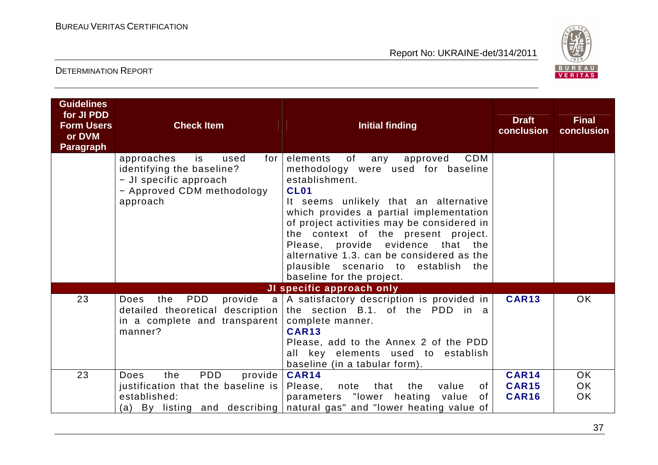

| <b>Guidelines</b><br>for JI PDD<br><b>Form Users</b><br>or DVM<br><b>Paragraph</b> | <b>Check Item</b>                                                                                                                             | <b>Initial finding</b>                                                                                                                                                                                                                                                                                                                                                                                                                         | <b>Draft</b><br>conclusion | <b>Final</b><br>conclusion |
|------------------------------------------------------------------------------------|-----------------------------------------------------------------------------------------------------------------------------------------------|------------------------------------------------------------------------------------------------------------------------------------------------------------------------------------------------------------------------------------------------------------------------------------------------------------------------------------------------------------------------------------------------------------------------------------------------|----------------------------|----------------------------|
|                                                                                    | is<br>approaches<br>used<br>for <sub>l</sub><br>identifying the baseline?<br>- JI specific approach<br>- Approved CDM methodology<br>approach | CDM<br>elements<br>of<br>approved<br>any<br>methodology were used for baseline<br>establishment.<br><b>CL01</b><br>It seems unlikely that an alternative<br>which provides a partial implementation<br>of project activities may be considered in<br>the context of the present project.<br>Please, provide evidence that the<br>alternative 1.3. can be considered as the<br>plausible scenario to establish the<br>baseline for the project. |                            |                            |
|                                                                                    |                                                                                                                                               | JI specific approach only                                                                                                                                                                                                                                                                                                                                                                                                                      |                            |                            |
| 23                                                                                 | PDD<br>provide<br><b>Does</b><br>the<br>detailed theoretical description<br>in a complete and transparent<br>manner?                          | a   A satisfactory description is provided in<br>the section B.1. of the PDD in a<br>complete manner.<br><b>CAR13</b><br>Please, add to the Annex 2 of the PDD<br>all key elements used to establish<br>baseline (in a tabular form).                                                                                                                                                                                                          | <b>CAR13</b>               | <b>OK</b>                  |
| 23                                                                                 | <b>PDD</b><br>the<br>provide<br><b>Does</b>                                                                                                   | <b>CAR14</b>                                                                                                                                                                                                                                                                                                                                                                                                                                   | <b>CAR14</b>               | <b>OK</b>                  |
|                                                                                    | justification that the baseline is                                                                                                            | that the<br>value<br>Please, note<br>0f                                                                                                                                                                                                                                                                                                                                                                                                        | <b>CAR15</b>               | OK                         |
|                                                                                    | established:<br>(a)                                                                                                                           | parameters "lower heating<br>value<br>of<br>By listing and describing   natural gas" and "lower heating value of                                                                                                                                                                                                                                                                                                                               | <b>CAR16</b>               | <b>OK</b>                  |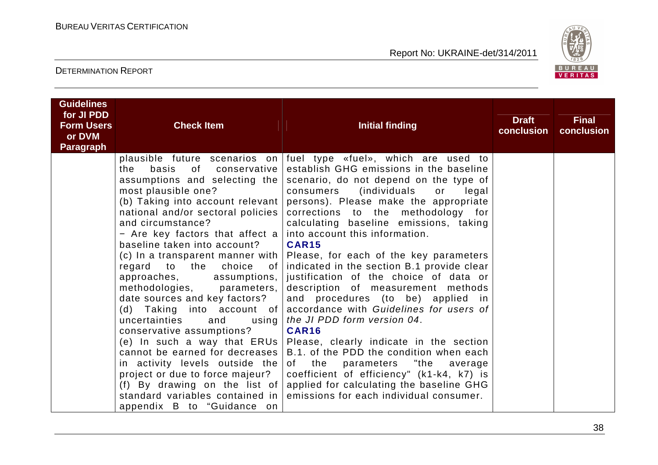

| <b>Guidelines</b><br>for JI PDD<br><b>Form Users</b><br>or DVM<br><b>Paragraph</b> | <b>Check Item</b>                                                                                                                                                                                                                                                                                                                                                                                                                                                                                                                                                                                                                                                   | <b>Initial finding</b>                                                                                                                                                                                                                                                                                                                                                                                                                                                                                                                                                                                                                                                                                                                                                                                                                                                                                                                                                                                                                                      | <b>Draft</b><br>conclusion | <b>Final</b><br>conclusion |
|------------------------------------------------------------------------------------|---------------------------------------------------------------------------------------------------------------------------------------------------------------------------------------------------------------------------------------------------------------------------------------------------------------------------------------------------------------------------------------------------------------------------------------------------------------------------------------------------------------------------------------------------------------------------------------------------------------------------------------------------------------------|-------------------------------------------------------------------------------------------------------------------------------------------------------------------------------------------------------------------------------------------------------------------------------------------------------------------------------------------------------------------------------------------------------------------------------------------------------------------------------------------------------------------------------------------------------------------------------------------------------------------------------------------------------------------------------------------------------------------------------------------------------------------------------------------------------------------------------------------------------------------------------------------------------------------------------------------------------------------------------------------------------------------------------------------------------------|----------------------------|----------------------------|
|                                                                                    | basis<br>conservative  <br>the<br>of __<br>assumptions and selecting the<br>most plausible one?<br>(b) Taking into account relevant<br>national and/or sectoral policies<br>and circumstance?<br>- Are key factors that affect a<br>baseline taken into account?<br>choice<br>regard to the<br>of I<br>approaches,<br>assumptions,  <br>methodologies, parameters,  <br>date sources and key factors?<br>uncertainties<br>and<br>conservative assumptions?<br>(e) In such a way that $ERUs$<br>cannot be earned for decreases<br>in activity levels outside the<br>project or due to force majeur?<br>standard variables contained in<br>appendix B to "Guidance on | plausible future scenarios on fuel type «fuel», which are used to<br>establish GHG emissions in the baseline<br>scenario, do not depend on the type of<br>individuals)<br>consumers<br>or<br>legal<br>persons). Please make the appropriate<br>corrections to the methodology for<br>calculating baseline emissions, taking<br>into account this information.<br><b>CAR15</b><br>(c) In a transparent manner with $ $ Please, for each of the key parameters<br>indicated in the section B.1 provide clear<br>justification of the choice of data or<br>description of measurement methods<br>and procedures (to be) applied in<br>(d) Taking into account of accordance with Guidelines for users of<br>using $ $ the JI PDD form version 04.<br><b>CAR16</b><br>Please, clearly indicate in the section<br>B.1. of the PDD the condition when each<br>of the parameters "the<br>average<br>coefficient of efficiency" (k1-k4, k7) is<br>(f) By drawing on the list of applied for calculating the baseline GHG<br>emissions for each individual consumer. |                            |                            |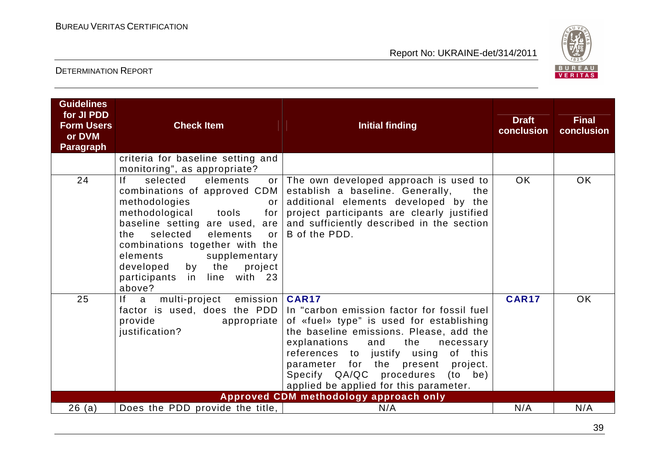

| <b>Guidelines</b><br>for JI PDD<br><b>Form Users</b><br>or DVM<br><b>Paragraph</b> | <b>Check Item</b>                                                                                                                                                                                                                                                                                                             | <b>Initial finding</b>                                                                                                                                                                                                                                                                                                                                     | <b>Draft</b><br>conclusion | <b>Final</b><br>conclusion |
|------------------------------------------------------------------------------------|-------------------------------------------------------------------------------------------------------------------------------------------------------------------------------------------------------------------------------------------------------------------------------------------------------------------------------|------------------------------------------------------------------------------------------------------------------------------------------------------------------------------------------------------------------------------------------------------------------------------------------------------------------------------------------------------------|----------------------------|----------------------------|
|                                                                                    | criteria for baseline setting and<br>monitoring", as appropriate?                                                                                                                                                                                                                                                             |                                                                                                                                                                                                                                                                                                                                                            |                            |                            |
| 24                                                                                 | selected<br>elements<br>lf.<br>combinations of approved CDM  <br>methodologies<br>or <sub>1</sub><br>methodological tools<br>for I<br>selected<br>elements<br>the<br>or l<br>combinations together with the<br>elements<br>supplementary<br>project<br>developed<br>by<br>the<br>line with 23<br>participants<br>in<br>above? | or The own developed approach is used to<br>establish a baseline. Generally,<br>the<br>additional elements developed by the<br>project participants are clearly justified<br>baseline setting are used, are and sufficiently described in the section<br>B of the PDD.                                                                                     | OK.                        | OK.                        |
| 25                                                                                 | multi-project<br>If a<br>emission  <br>factor is used, does the PDD<br>provide<br>appropriate<br>justification?                                                                                                                                                                                                               | <b>CAR17</b><br>In "carbon emission factor for fossil fuel<br>of «fuel» type" is used for establishing<br>the baseline emissions. Please, add the<br>explanations<br>the<br>and<br>necessary<br>of this<br>references to justify using<br>parameter for the present project.<br>Specify QA/QC procedures (to be)<br>applied be applied for this parameter. | <b>CAR17</b>               | <b>OK</b>                  |
|                                                                                    |                                                                                                                                                                                                                                                                                                                               | Approved CDM methodology approach only                                                                                                                                                                                                                                                                                                                     |                            |                            |
| 26(a)                                                                              | Does the PDD provide the title,                                                                                                                                                                                                                                                                                               | N/A                                                                                                                                                                                                                                                                                                                                                        | N/A                        | N/A                        |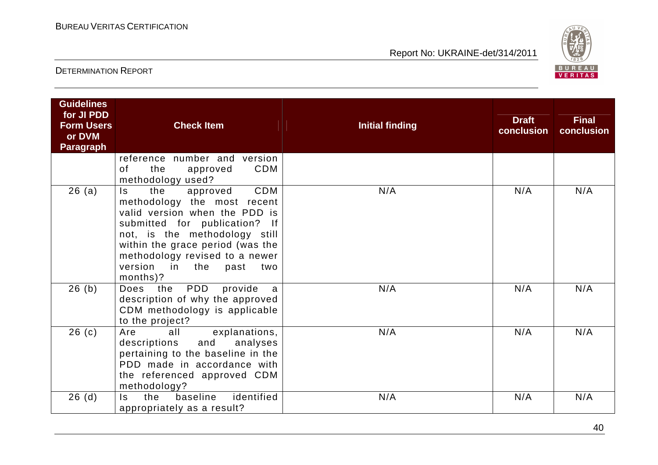

| <b>Guidelines</b><br>for JI PDD<br><b>Form Users</b><br>or DVM<br><b>Paragraph</b> | <b>Check Item</b>                                                                                                                                                                                                                                                                                                                                                                                                    | <b>Initial finding</b> | <b>Draft</b><br>conclusion | <b>Final</b><br>conclusion |
|------------------------------------------------------------------------------------|----------------------------------------------------------------------------------------------------------------------------------------------------------------------------------------------------------------------------------------------------------------------------------------------------------------------------------------------------------------------------------------------------------------------|------------------------|----------------------------|----------------------------|
|                                                                                    | reference number and version<br><b>CDM</b><br>0f<br>the<br>approved<br>methodology used?                                                                                                                                                                                                                                                                                                                             |                        |                            |                            |
| 26(a)                                                                              | CDM<br>$\mathsf{ls}$<br>the<br>approved<br>methodology the most recent<br>valid version when the PDD is<br>submitted for publication?<br>- If<br>not, is the methodology still<br>within the grace period (was the<br>methodology revised to a newer<br>version<br>the<br>in the set of the set of the set of the set of the set of the set of the set of the set of the set of the set o<br>past<br>two<br>months)? | N/A                    | N/A                        | N/A                        |
| 26(b)                                                                              | PDD<br>provide<br>Does<br>the<br>a<br>description of why the approved<br>CDM methodology is applicable<br>to the project?                                                                                                                                                                                                                                                                                            | N/A                    | N/A                        | N/A                        |
| 26(c)                                                                              | explanations,<br>Are<br>all<br>descriptions<br>and<br>analyses<br>pertaining to the baseline in the<br>PDD made in accordance with<br>the referenced approved CDM<br>methodology?                                                                                                                                                                                                                                    | N/A                    | N/A                        | N/A                        |
| 26(d)                                                                              | identified<br>baseline<br>the<br>Is.<br>appropriately as a result?                                                                                                                                                                                                                                                                                                                                                   | N/A                    | N/A                        | N/A                        |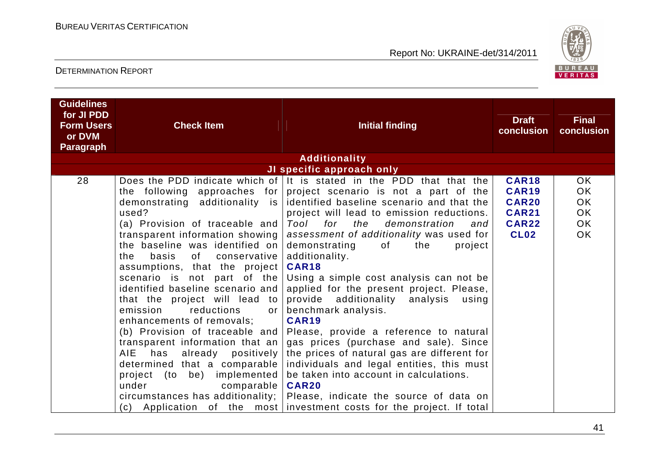

| <b>Guidelines</b><br>for JI PDD<br><b>Form Users</b><br>or DVM<br><b>Paragraph</b> | <b>Check Item</b>                                                                                                                                                                                                                                                                                                                                                                                                                                                                                                                                                                                                                                                                             | <b>Initial finding</b>                                                                                                                                                                                                                                                                                                                                                                                                                                                                                                                                                                                                                                                                                                                                                                                                                                                                         | <b>Draft</b><br>conclusion                                                                  | <b>Final</b><br>conclusion                                   |
|------------------------------------------------------------------------------------|-----------------------------------------------------------------------------------------------------------------------------------------------------------------------------------------------------------------------------------------------------------------------------------------------------------------------------------------------------------------------------------------------------------------------------------------------------------------------------------------------------------------------------------------------------------------------------------------------------------------------------------------------------------------------------------------------|------------------------------------------------------------------------------------------------------------------------------------------------------------------------------------------------------------------------------------------------------------------------------------------------------------------------------------------------------------------------------------------------------------------------------------------------------------------------------------------------------------------------------------------------------------------------------------------------------------------------------------------------------------------------------------------------------------------------------------------------------------------------------------------------------------------------------------------------------------------------------------------------|---------------------------------------------------------------------------------------------|--------------------------------------------------------------|
|                                                                                    |                                                                                                                                                                                                                                                                                                                                                                                                                                                                                                                                                                                                                                                                                               | <b>Additionality</b>                                                                                                                                                                                                                                                                                                                                                                                                                                                                                                                                                                                                                                                                                                                                                                                                                                                                           |                                                                                             |                                                              |
|                                                                                    |                                                                                                                                                                                                                                                                                                                                                                                                                                                                                                                                                                                                                                                                                               | JI specific approach only                                                                                                                                                                                                                                                                                                                                                                                                                                                                                                                                                                                                                                                                                                                                                                                                                                                                      |                                                                                             |                                                              |
| 28                                                                                 | the following approaches for<br>demonstrating additionality is<br>used?<br>(a) Provision of traceable and<br>transparent information showing<br>the baseline was identified on<br>basis<br>of l<br>conservative<br>the<br>assumptions, that the project<br>scenario is not part of the<br>identified baseline scenario and<br>that the project will lead to<br>emission<br>reductions<br>or<br>enhancements of removals;<br>(b) Provision of traceable and<br>transparent information that an<br>AIE<br>already<br>has<br>positively<br>determined that a comparable<br>project (to be) implemented<br>comparable<br>under<br>circumstances has additionality;<br>(c) Application of the most | Does the PDD indicate which of It is stated in the PDD that that the<br>project scenario is not a part of the<br>identified baseline scenario and that the<br>project will lead to emission reductions.<br>Tool<br>for<br>the<br>demonstration<br>and<br>assessment of additionality was used for<br>demonstrating<br>of<br>the<br>project<br>additionality.<br><b>CAR18</b><br>Using a simple cost analysis can not be<br>applied for the present project. Please,<br>provide additionality<br>analysis<br>using<br>benchmark analysis.<br><b>CAR19</b><br>Please, provide a reference to natural<br>gas prices (purchase and sale). Since<br>the prices of natural gas are different for<br>individuals and legal entities, this must<br>be taken into account in calculations.<br>CAR <sub>20</sub><br>Please, indicate the source of data on<br>investment costs for the project. If total | <b>CAR18</b><br><b>CAR19</b><br><b>CAR20</b><br><b>CAR21</b><br><b>CAR22</b><br><b>CL02</b> | <b>OK</b><br><b>OK</b><br><b>OK</b><br><b>OK</b><br>OK<br>OK |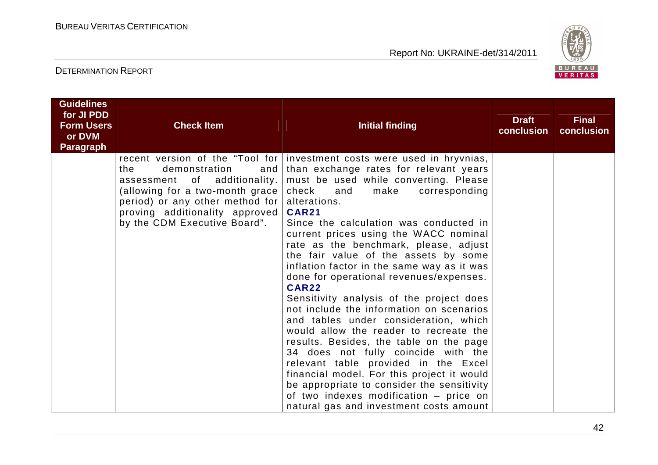

| <b>Guidelines</b><br>for JI PDD<br><b>Form Users</b> | <b>Check Item</b>                                                                                                                                                                                        |                                                                                                                                                                                                                                                                                                                                                                                                                                                                                                                                                                                                                                                                                                                                                                                                                                                                                                                                                                                                        | <b>Draft</b> | <b>Final</b> |
|------------------------------------------------------|----------------------------------------------------------------------------------------------------------------------------------------------------------------------------------------------------------|--------------------------------------------------------------------------------------------------------------------------------------------------------------------------------------------------------------------------------------------------------------------------------------------------------------------------------------------------------------------------------------------------------------------------------------------------------------------------------------------------------------------------------------------------------------------------------------------------------------------------------------------------------------------------------------------------------------------------------------------------------------------------------------------------------------------------------------------------------------------------------------------------------------------------------------------------------------------------------------------------------|--------------|--------------|
| or DVM                                               |                                                                                                                                                                                                          | <b>Initial finding</b>                                                                                                                                                                                                                                                                                                                                                                                                                                                                                                                                                                                                                                                                                                                                                                                                                                                                                                                                                                                 | conclusion   | conclusion   |
| <b>Paragraph</b>                                     |                                                                                                                                                                                                          |                                                                                                                                                                                                                                                                                                                                                                                                                                                                                                                                                                                                                                                                                                                                                                                                                                                                                                                                                                                                        |              |              |
|                                                      | the<br>demonstration<br>and $ $<br>assessment of additionality.<br>(allowing for a two-month grace)<br>period) or any other method for<br>proving additionality approved<br>by the CDM Executive Board". | recent version of the "Tool for investment costs were used in hryvnias,<br>than exchange rates for relevant years<br>must be used while converting. Please<br>check<br>and<br>corresponding<br>make<br>alterations.<br><b>CAR21</b><br>Since the calculation was conducted in<br>current prices using the WACC nominal<br>rate as the benchmark, please, adjust<br>the fair value of the assets by some<br>inflation factor in the same way as it was<br>done for operational revenues/expenses.<br><b>CAR22</b><br>Sensitivity analysis of the project does<br>not include the information on scenarios<br>and tables under consideration, which<br>would allow the reader to recreate the<br>results. Besides, the table on the page<br>34 does not fully coincide with the<br>relevant table provided in the Excel<br>financial model. For this project it would<br>be appropriate to consider the sensitivity<br>of two indexes modification - price on<br>natural gas and investment costs amount |              |              |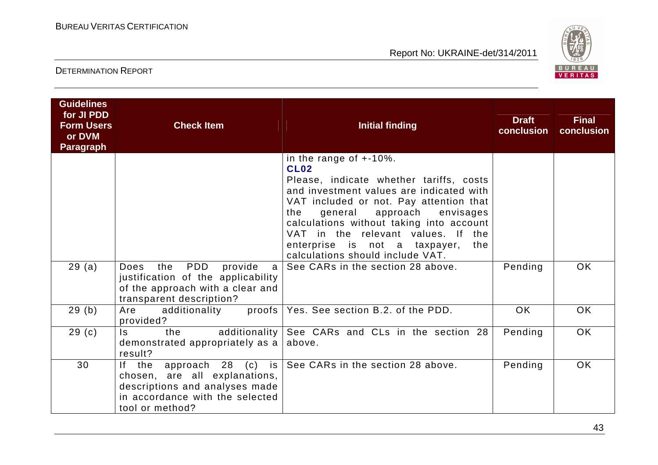

| <b>Guidelines</b><br>for JI PDD<br><b>Form Users</b><br>or DVM<br><b>Paragraph</b> | <b>Check Item</b>                                                                                                                                       | Initial finding                                                                                                                                                                                                                                                                                                                                                                     | <b>Draft</b><br>conclusion | <b>Final</b><br>conclusion |
|------------------------------------------------------------------------------------|---------------------------------------------------------------------------------------------------------------------------------------------------------|-------------------------------------------------------------------------------------------------------------------------------------------------------------------------------------------------------------------------------------------------------------------------------------------------------------------------------------------------------------------------------------|----------------------------|----------------------------|
|                                                                                    |                                                                                                                                                         | in the range of $+10\%$ .<br><b>CL02</b><br>Please, indicate whether tariffs, costs<br>and investment values are indicated with<br>VAT included or not. Pay attention that<br>approach<br>general<br>envisages<br>the<br>calculations without taking into account<br>VAT in the relevant values. If the<br>enterprise is not a taxpayer,<br>the<br>calculations should include VAT. |                            |                            |
| 29(a)                                                                              | PDD<br>provide<br><b>Does</b><br>the<br>a<br>justification of the applicability<br>of the approach with a clear and<br>transparent description?         | See CARs in the section 28 above.                                                                                                                                                                                                                                                                                                                                                   | Pending                    | OK.                        |
| 29(b)                                                                              | additionality<br>proofs<br>Are<br>provided?                                                                                                             | Yes. See section B.2. of the PDD.                                                                                                                                                                                                                                                                                                                                                   | <b>OK</b>                  | OK.                        |
| 29(c)                                                                              | additionality<br>ls.<br>the<br>demonstrated appropriately as a<br>result?                                                                               | See CARs and CLs in the section 28<br>above.                                                                                                                                                                                                                                                                                                                                        | Pending                    | <b>OK</b>                  |
| 30                                                                                 | If the approach 28 (c)<br>is l<br>chosen, are all explanations,<br>descriptions and analyses made<br>in accordance with the selected<br>tool or method? | See CARs in the section 28 above.                                                                                                                                                                                                                                                                                                                                                   | Pending                    | OK.                        |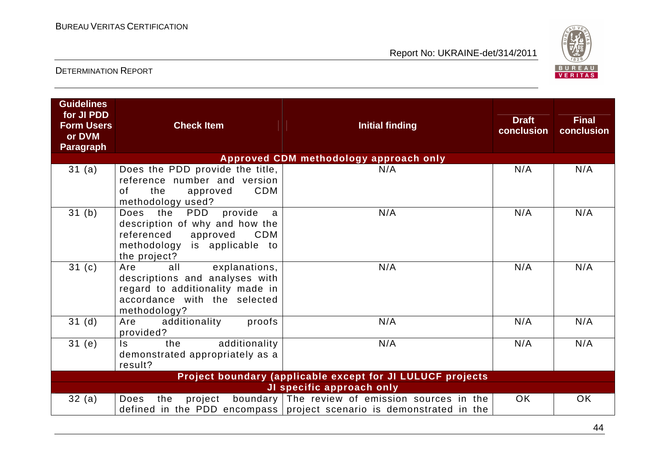

| <b>Guidelines</b><br>for JI PDD<br><b>Form Users</b><br>or DVM | <b>Check Item</b>                                                                                                                                | <b>Initial finding</b>                                                                                                         | <b>Draft</b><br>conclusion | <b>Final</b><br>conclusion |  |
|----------------------------------------------------------------|--------------------------------------------------------------------------------------------------------------------------------------------------|--------------------------------------------------------------------------------------------------------------------------------|----------------------------|----------------------------|--|
| <b>Paragraph</b>                                               |                                                                                                                                                  |                                                                                                                                |                            |                            |  |
|                                                                | Approved CDM methodology approach only                                                                                                           |                                                                                                                                |                            |                            |  |
| 31(a)                                                          | Does the PDD provide the title,<br>reference number and version<br>CDM<br>of<br>the<br>approved<br>methodology used?                             | N/A                                                                                                                            | N/A                        | N/A                        |  |
| 31 <sub>(b)</sub>                                              | provide<br>Does the PDD<br>a<br>description of why and how the<br>CDM<br>referenced<br>approved<br>methodology is applicable to<br>the project?  | N/A                                                                                                                            | N/A                        | N/A                        |  |
| 31 <sub>(c)</sub>                                              | all<br>Are<br>explanations,<br>descriptions and analyses with<br>regard to additionality made in<br>accordance with the selected<br>methodology? | N/A                                                                                                                            | N/A                        | N/A                        |  |
| 31 (d)                                                         | additionality<br>proofs<br>Are<br>provided?                                                                                                      | N/A                                                                                                                            | N/A                        | N/A                        |  |
| 31(e)                                                          | $\mathsf{ls}$<br>the<br>additionality<br>demonstrated appropriately as a<br>result?                                                              | N/A                                                                                                                            | N/A                        | N/A                        |  |
| Project boundary (applicable except for JI LULUCF projects     |                                                                                                                                                  |                                                                                                                                |                            |                            |  |
|                                                                |                                                                                                                                                  | JI specific approach only                                                                                                      |                            |                            |  |
| 32(a)                                                          | <b>Does</b><br>the                                                                                                                               | project boundary The review of emission sources in the<br>defined in the PDD encompass project scenario is demonstrated in the | OK.                        | <b>OK</b>                  |  |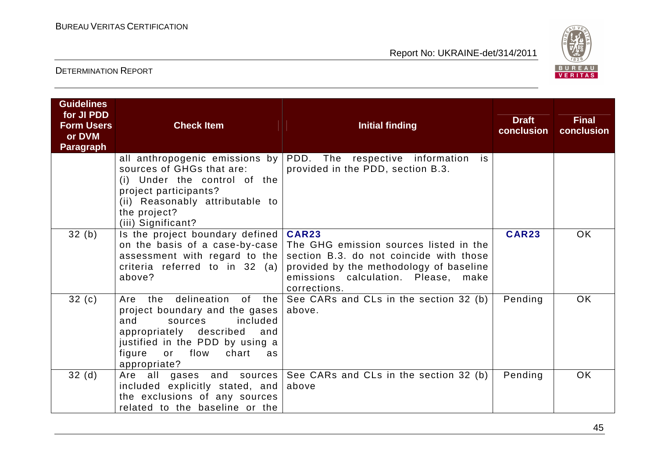

| <b>Guidelines</b><br>for JI PDD<br><b>Form Users</b><br>or DVM<br><b>Paragraph</b> | <b>Check Item</b>                                                                                                                                                                                                            | <b>Initial finding</b>                                                                                                                                                                              | <b>Draft</b><br>conclusion | <b>Final</b><br>conclusion |
|------------------------------------------------------------------------------------|------------------------------------------------------------------------------------------------------------------------------------------------------------------------------------------------------------------------------|-----------------------------------------------------------------------------------------------------------------------------------------------------------------------------------------------------|----------------------------|----------------------------|
|                                                                                    | sources of GHGs that are:<br>(i) Under the control of the<br>project participants?<br>(ii) Reasonably attributable to<br>the project?<br>(iii) Significant?                                                                  | all anthropogenic emissions by PDD. The respective information<br>is<br>provided in the PDD, section B.3.                                                                                           |                            |                            |
| 32(b)                                                                              | Is the project boundary defined<br>on the basis of a case-by-case<br>assessment with regard to the<br>criteria referred to in 32 (a)<br>above?                                                                               | <b>CAR23</b><br>The GHG emission sources listed in the<br>section B.3. do not coincide with those<br>provided by the methodology of baseline<br>emissions calculation. Please, make<br>corrections. | <b>CAR23</b>               | <b>OK</b>                  |
| 32(c)                                                                              | delineation of the<br>the<br>Are<br>project boundary and the gases<br>included<br>and<br>sources<br>appropriately described<br>and<br>justified in the PDD by using a<br>flow<br>figure<br>or<br>chart<br>as<br>appropriate? | See CARs and CLs in the section 32 (b)<br>above.                                                                                                                                                    | Pending                    | OK.                        |
| 32(d)                                                                              | Are all gases and sources<br>included explicitly stated, and<br>the exclusions of any sources<br>related to the baseline or the                                                                                              | See CARs and CLs in the section 32 (b)<br>above                                                                                                                                                     | Pending                    | <b>OK</b>                  |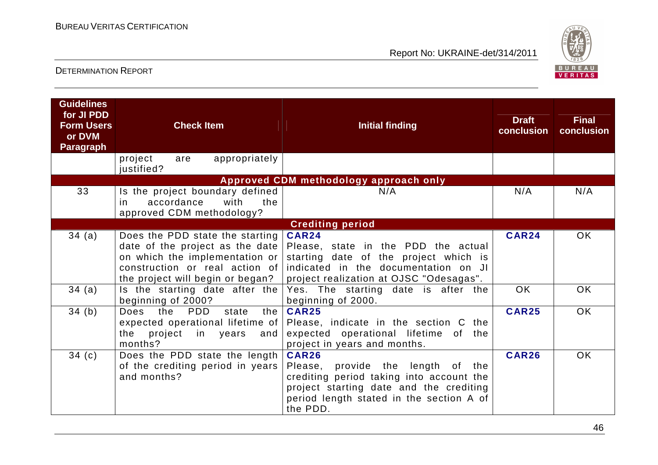

| <b>Guidelines</b><br>for JI PDD<br><b>Form Users</b><br>or DVM<br><b>Paragraph</b> | <b>Check Item</b>                                                                                                                                                          | <b>Initial finding</b>                                                                                                                                                                              | <b>Draft</b><br>conclusion | <b>Final</b><br>conclusion |
|------------------------------------------------------------------------------------|----------------------------------------------------------------------------------------------------------------------------------------------------------------------------|-----------------------------------------------------------------------------------------------------------------------------------------------------------------------------------------------------|----------------------------|----------------------------|
|                                                                                    | appropriately<br>project<br>are<br>justified?                                                                                                                              |                                                                                                                                                                                                     |                            |                            |
|                                                                                    |                                                                                                                                                                            | Approved CDM methodology approach only                                                                                                                                                              |                            |                            |
| 33                                                                                 | Is the project boundary defined<br>accordance<br>with<br>the<br>in.<br>approved CDM methodology?                                                                           | N/A                                                                                                                                                                                                 | N/A                        | N/A                        |
|                                                                                    |                                                                                                                                                                            | <b>Crediting period</b>                                                                                                                                                                             |                            |                            |
| 34(a)                                                                              | Does the PDD state the starting<br>date of the project as the date<br>on which the implementation or<br>construction or real action of<br>the project will begin or began? | <b>CAR24</b><br>Please, state in the PDD the actual<br>starting date of the project which is<br>indicated in the documentation on JI<br>project realization at OJSC "Odesagas".                     | <b>CAR24</b>               | <b>OK</b>                  |
| 34(a)                                                                              | Is the starting date after the<br>beginning of 2000?                                                                                                                       | Yes. The starting date is after the<br>beginning of 2000.                                                                                                                                           | <b>OK</b>                  | <b>OK</b>                  |
| 34(b)                                                                              | the<br><b>PDD</b><br><b>Does</b><br>state<br>the<br>expected operational lifetime of<br>the<br>project in years<br>and<br>months?                                          | <b>CAR25</b><br>Please, indicate in the section C the<br>expected operational lifetime of the<br>project in years and months.                                                                       | <b>CAR25</b>               | <b>OK</b>                  |
| 34(c)                                                                              | Does the PDD state the length<br>of the crediting period in years<br>and months?                                                                                           | <b>CAR26</b><br>provide the length of the<br>Please,<br>crediting period taking into account the<br>project starting date and the crediting<br>period length stated in the section A of<br>the PDD. | <b>CAR26</b>               | <b>OK</b>                  |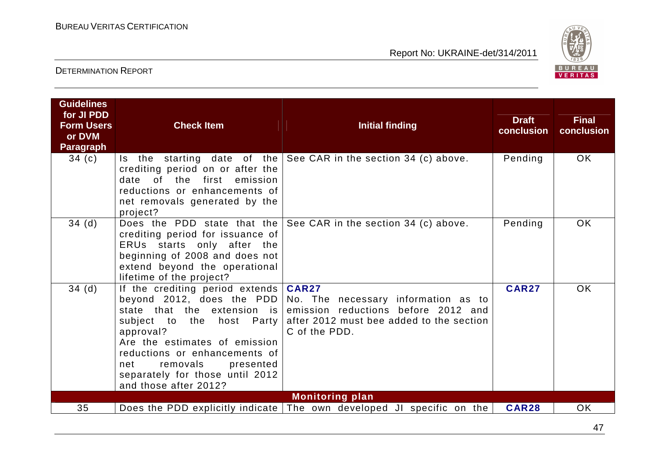

| <b>Guidelines</b><br>for JI PDD<br><b>Form Users</b><br>or DVM<br><b>Paragraph</b> | <b>Check Item</b>                                                                                                                                                                                                                                                                                             | <b>Initial finding</b>                                                                                                                  | <b>Draft</b><br>conclusion | <b>Final</b><br>conclusion |
|------------------------------------------------------------------------------------|---------------------------------------------------------------------------------------------------------------------------------------------------------------------------------------------------------------------------------------------------------------------------------------------------------------|-----------------------------------------------------------------------------------------------------------------------------------------|----------------------------|----------------------------|
| 34 $(c)$                                                                           | ls l<br>crediting period on or after the<br>of the first emission<br>date<br>reductions or enhancements of<br>net removals generated by the<br>project?                                                                                                                                                       | the starting date of the $\vert$ See CAR in the section 34 (c) above.                                                                   | Pending                    | <b>OK</b>                  |
| 34(d)                                                                              | crediting period for issuance of<br>ERUs starts only after the<br>beginning of 2008 and does not<br>extend beyond the operational<br>lifetime of the project?                                                                                                                                                 | Does the PDD state that the $ $ See CAR in the section 34 (c) above.                                                                    | Pending                    | <b>OK</b>                  |
| 34(d)                                                                              | If the crediting period extends $CAR27$<br>beyond 2012, does the $PDD$<br>state that the extension is<br>subject to the host Party<br>approval?<br>Are the estimates of emission<br>reductions or enhancements of<br>removals<br>presented<br>net<br>separately for those until 2012<br>and those after 2012? | No. The necessary information as to<br>emission reductions before 2012 and<br>after 2012 must bee added to the section<br>C of the PDD. | <b>CAR27</b>               | <b>OK</b>                  |
|                                                                                    |                                                                                                                                                                                                                                                                                                               | <b>Monitoring plan</b>                                                                                                                  |                            |                            |
| 35                                                                                 |                                                                                                                                                                                                                                                                                                               | Does the PDD explicitly indicate The own developed JI specific on the                                                                   | <b>CAR28</b>               | <b>OK</b>                  |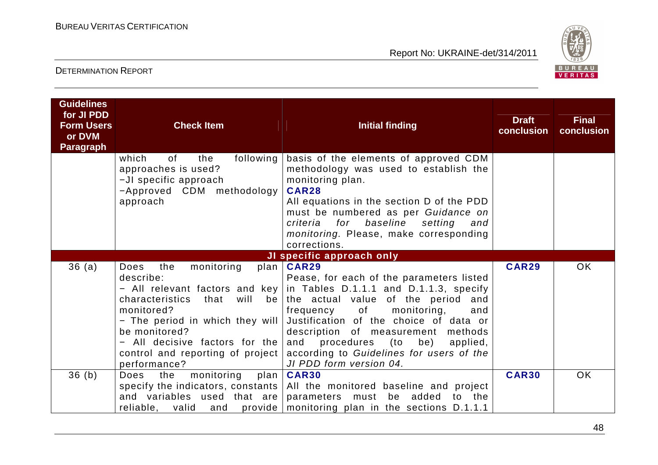

| <b>Guidelines</b><br>for JI PDD<br><b>Form Users</b><br>or DVM<br><b>Paragraph</b> | <b>Check Item</b>                                                                                                                                                                                                                   | <b>Initial finding</b>                                                                                                                                                                                                                                                                                                                                                                                                    | <b>Draft</b><br>conclusion | <b>Final</b><br>conclusion |
|------------------------------------------------------------------------------------|-------------------------------------------------------------------------------------------------------------------------------------------------------------------------------------------------------------------------------------|---------------------------------------------------------------------------------------------------------------------------------------------------------------------------------------------------------------------------------------------------------------------------------------------------------------------------------------------------------------------------------------------------------------------------|----------------------------|----------------------------|
|                                                                                    | which<br>of<br>following<br>the<br>approaches is used?<br>-JI specific approach<br>-Approved CDM methodology<br>approach                                                                                                            | basis of the elements of approved CDM<br>methodology was used to establish the<br>monitoring plan.<br><b>CAR28</b><br>All equations in the section D of the PDD<br>must be numbered as per Guidance on<br>for<br>baseline<br>criteria<br>setting<br>and<br>monitoring. Please, make corresponding<br>corrections.                                                                                                         |                            |                            |
|                                                                                    |                                                                                                                                                                                                                                     | JI specific approach only                                                                                                                                                                                                                                                                                                                                                                                                 |                            |                            |
| 36(a)                                                                              | the<br>monitoring<br>Does<br>describe:<br>will<br>characteristics<br>that<br>monitored?<br>- The period in which they will<br>be monitored?<br>$-$ All decisive factors for the<br>control and reporting of project<br>performance? | plan   CAR29<br>Pease, for each of the parameters listed<br>- All relevant factors and key in Tables D.1.1.1 and D.1.1.3, specify<br>be the actual value of the period and<br>of<br>frequency<br>monitoring,<br>and<br>Justification of the choice of data or<br>description of measurement<br>methods<br>procedures (to<br>be)<br>and<br>applied,<br>according to Guidelines for users of the<br>JI PDD form version 04. | <b>CAR29</b>               | OK                         |
| 36(b)                                                                              | monitoring<br>plan  <br>Does<br>the<br>and variables used that are<br>reliable, valid<br>provide<br>and                                                                                                                             | CAR30<br>specify the indicators, constants   All the monitored baseline and project<br>be added<br>parameters<br>must<br>to the<br>monitoring plan in the sections D.1.1.1                                                                                                                                                                                                                                                | <b>CAR30</b>               | OK                         |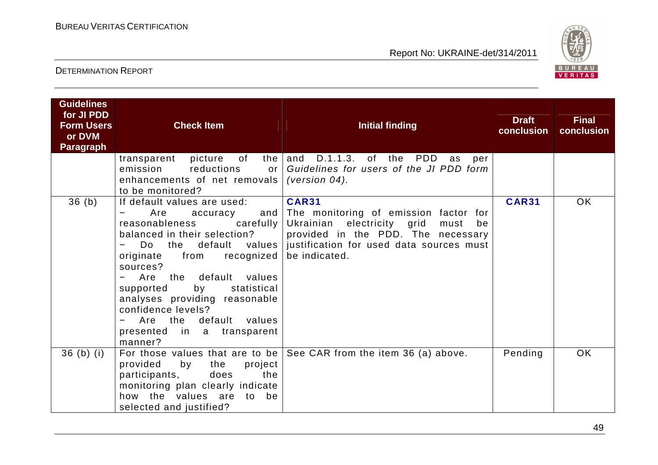

| <b>Guidelines</b><br>for JI PDD<br><b>Form Users</b><br>or DVM<br><b>Paragraph</b> | <b>Check Item</b>                                                                                                                                                                                                                                                                                                                                | <b>Initial finding</b>                                                                                                                                                                                                         | <b>Draft</b><br>conclusion | <b>Final</b><br>conclusion |
|------------------------------------------------------------------------------------|--------------------------------------------------------------------------------------------------------------------------------------------------------------------------------------------------------------------------------------------------------------------------------------------------------------------------------------------------|--------------------------------------------------------------------------------------------------------------------------------------------------------------------------------------------------------------------------------|----------------------------|----------------------------|
|                                                                                    | of<br>picture<br>transparent<br>emission<br>reductions<br>or <sub>1</sub><br>enhancements of net removals  <br>to be monitored?                                                                                                                                                                                                                  | the and $D.1.1.3$ . of the<br>PDD<br>as<br>per<br>Guidelines for users of the JI PDD form<br>(version $04$ ).                                                                                                                  |                            |                            |
| 36(b)                                                                              | If default values are used:<br>Are<br>accuracy<br>reasonableness carefully  <br>balanced in their selection?<br>from recognized  <br>originate<br>sources?<br>Are the default values<br>statistical<br>by<br>supported<br>analyses providing reasonable<br>confidence levels?<br>Are the default values<br>presented in a transparent<br>manner? | <b>CAR31</b><br>and The monitoring of emission factor for<br>Ukrainian electricity grid<br>must<br>be<br>provided in the PDD. The necessary<br>Do the default values justification for used data sources must<br>be indicated. | <b>CAR31</b>               | OK.                        |
| $36$ (b) (i)                                                                       | provided<br>by<br>the<br>project<br>does<br>participants,<br>the<br>monitoring plan clearly indicate<br>how the values are to be<br>selected and justified?                                                                                                                                                                                      | For those values that are to be $ $ See CAR from the item 36 (a) above.                                                                                                                                                        | Pending                    | <b>OK</b>                  |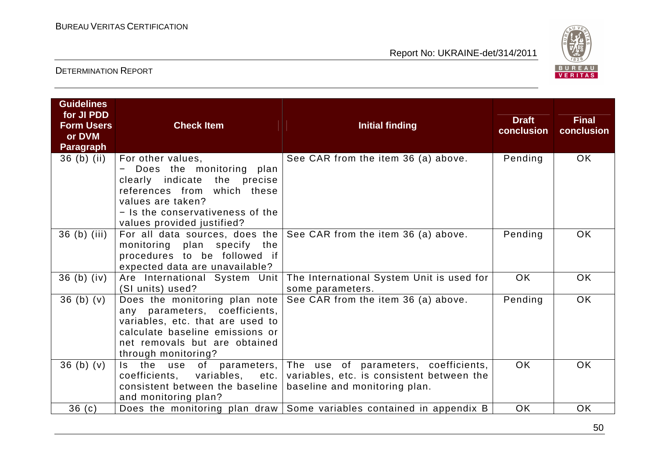

| <b>Guidelines</b><br>for JI PDD |                                                                                                                                                                                                     |                                                                                                                                                   | <b>Draft</b> | <b>Final</b> |
|---------------------------------|-----------------------------------------------------------------------------------------------------------------------------------------------------------------------------------------------------|---------------------------------------------------------------------------------------------------------------------------------------------------|--------------|--------------|
| <b>Form Users</b><br>or DVM     | <b>Check Item</b>                                                                                                                                                                                   | <b>Initial finding</b>                                                                                                                            | conclusion   | conclusion   |
| <b>Paragraph</b>                |                                                                                                                                                                                                     |                                                                                                                                                   |              |              |
| $36$ (b) (ii)                   | For other values,<br>Does the monitoring plan<br>clearly indicate the precise<br>references from which these<br>values are taken?<br>- Is the conservativeness of the<br>values provided justified? | See CAR from the item 36 (a) above.                                                                                                               | Pending      | OK           |
| 36 (b) (iii)                    | monitoring plan specify the<br>procedures to be followed if<br>expected data are unavailable?                                                                                                       | For all data sources, does the See CAR from the item 36 (a) above.                                                                                | Pending      | <b>OK</b>    |
| $36(b)$ (iv)                    | (SI units) used?                                                                                                                                                                                    | Are International System Unit   The International System Unit is used for<br>some parameters.                                                     | <b>OK</b>    | <b>OK</b>    |
| 36(b)(v)                        | any parameters, coefficients,<br>variables, etc. that are used to<br>calculate baseline emissions or<br>net removals but are obtained<br>through monitoring?                                        | Does the monitoring plan note See CAR from the item 36 (a) above.                                                                                 | Pending      | <b>OK</b>    |
| 36(b)(v)                        | coefficients, variables,<br>consistent between the baseline  <br>and monitoring plan?                                                                                                               | Is the use of parameters, The use of parameters, coefficients,<br>etc. variables, etc. is consistent between the<br>baseline and monitoring plan. | <b>OK</b>    | <b>OK</b>    |
| 36(c)                           |                                                                                                                                                                                                     | Does the monitoring plan draw Some variables contained in appendix B                                                                              | <b>OK</b>    | <b>OK</b>    |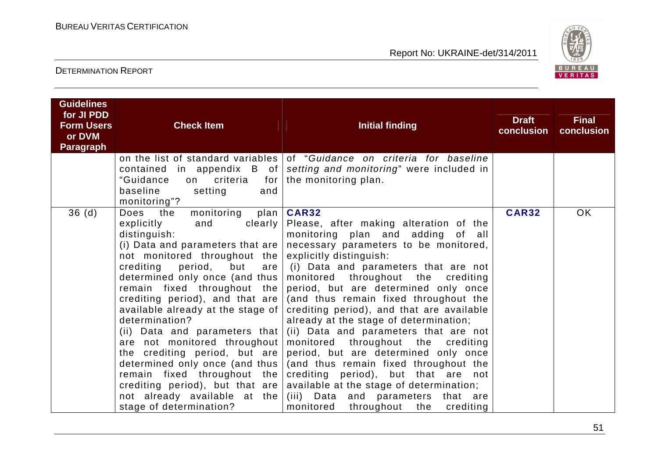

| <b>Guidelines</b><br>for JI PDD<br><b>Form Users</b><br>or DVM<br><b>Paragraph</b> | <b>Check Item</b>                                                                                                                                                                                                                                                                                                                                                                                                                                                                                                                                                    | <b>Initial finding</b>                                                                                                                                                                                                                                                                                                                                                                                                                                                                                                                                                                                                                                                                                                                                                                                   | <b>Draft</b><br>conclusion | <b>Final</b><br>conclusion |
|------------------------------------------------------------------------------------|----------------------------------------------------------------------------------------------------------------------------------------------------------------------------------------------------------------------------------------------------------------------------------------------------------------------------------------------------------------------------------------------------------------------------------------------------------------------------------------------------------------------------------------------------------------------|----------------------------------------------------------------------------------------------------------------------------------------------------------------------------------------------------------------------------------------------------------------------------------------------------------------------------------------------------------------------------------------------------------------------------------------------------------------------------------------------------------------------------------------------------------------------------------------------------------------------------------------------------------------------------------------------------------------------------------------------------------------------------------------------------------|----------------------------|----------------------------|
|                                                                                    | "Guidance<br>on<br>criteria<br>baseline<br>setting<br>and<br>monitoring"?                                                                                                                                                                                                                                                                                                                                                                                                                                                                                            | on the list of standard variables of "Guidance on criteria for baseline<br>contained in appendix $B$ of setting and monitoring" were included in<br>for   the monitoring plan.                                                                                                                                                                                                                                                                                                                                                                                                                                                                                                                                                                                                                           |                            |                            |
| 36(d)                                                                              | monitoring<br>Does the<br>explicitly<br>and<br>distinguish:<br>not monitored throughout the<br>crediting<br>period, but<br>are  <br>determined only once (and thus  <br>remain fixed throughout the<br>crediting period), and that are<br>available already at the stage of<br>determination?<br>(ii) Data and parameters that $ $<br>are not monitored throughout<br>the crediting period, but are<br>determined only once (and thus  <br>remain fixed throughout the<br>crediting period), but that are<br>not already available at the<br>stage of determination? | plan   CAR32<br>clearly Please, after making alteration of the<br>monitoring plan and adding<br>of all<br>(i) Data and parameters that are   necessary parameters to be monitored,<br>explicitly distinguish:<br>(i) Data and parameters that are not<br>monitored throughout the crediting<br>period, but are determined only once<br>(and thus remain fixed throughout the<br>crediting period), and that are available<br>already at the stage of determination;<br>(ii) Data and parameters that are not<br>monitored throughout the crediting<br>period, but are determined only once<br>(and thus remain fixed throughout the<br>crediting period), but that are not<br>available at the stage of determination;<br>(iii) Data and parameters that are<br>monitored<br>throughout the<br>crediting | <b>CAR32</b>               | OK                         |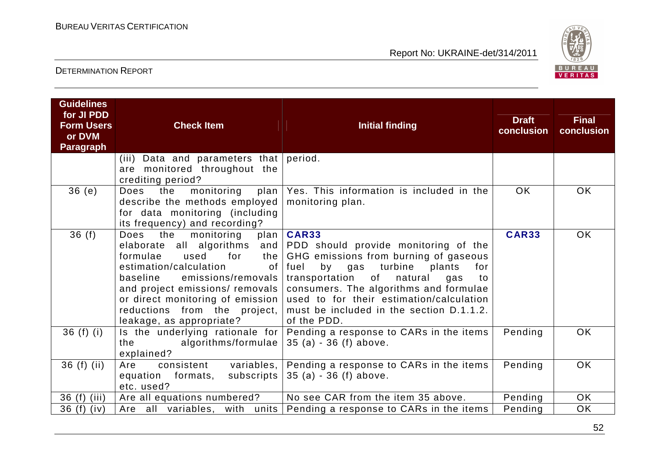

| <b>Guidelines</b><br>for JI PDD<br><b>Form Users</b><br>or DVM<br><b>Paragraph</b> | <b>Check Item</b>                                                                                                                                                                                                                                                         | <b>Initial finding</b>                                                                                                                                                                                                                                                                                                                                     | <b>Draft</b><br>conclusion | <b>Final</b><br>conclusion |
|------------------------------------------------------------------------------------|---------------------------------------------------------------------------------------------------------------------------------------------------------------------------------------------------------------------------------------------------------------------------|------------------------------------------------------------------------------------------------------------------------------------------------------------------------------------------------------------------------------------------------------------------------------------------------------------------------------------------------------------|----------------------------|----------------------------|
|                                                                                    | (iii) Data and parameters that period.<br>are monitored throughout the<br>crediting period?                                                                                                                                                                               |                                                                                                                                                                                                                                                                                                                                                            |                            |                            |
| 36(e)                                                                              | the<br>monitoring<br>Does<br>describe the methods employed<br>for data monitoring (including<br>its frequency) and recording?                                                                                                                                             | plan   Yes. This information is included in the<br>monitoring plan.                                                                                                                                                                                                                                                                                        | OK.                        | OK                         |
| 36(f)                                                                              | the<br>monitoring<br>Does<br>elaborate all algorithms<br>used for<br>formulae<br>the  <br>estimation/calculation<br>of<br>baseline<br>and project emissions/ removals  <br>or direct monitoring of emission  <br>reductions from the project,<br>leakage, as appropriate? | plan   CAR33<br>and PDD should provide monitoring of the<br>GHG emissions from burning of gaseous<br>by gas turbine<br>fuel<br>plants<br>for<br>emissions/removals transportation of natural<br>gas<br>to<br>consumers. The algorithms and formulae<br>used to for their estimation/calculation<br>must be included in the section D.1.1.2.<br>of the PDD. | <b>CAR33</b>               | OK                         |
| $36(f)$ (i)                                                                        | algorithms/formulae<br>the<br>explained?                                                                                                                                                                                                                                  | Is the underlying rationale for Pending a response to CARs in the items<br>$35(a) - 36(f)$ above.                                                                                                                                                                                                                                                          | Pending                    | OK                         |
| $36(f)$ (ii)                                                                       | consistent<br>variables,<br>Are<br>equation formats,<br>subscripts  <br>etc. used?                                                                                                                                                                                        | Pending a response to CARs in the items<br>$35(a) - 36(f)$ above.                                                                                                                                                                                                                                                                                          | Pending                    | OK                         |
| 36 (f) (iii)                                                                       | Are all equations numbered?                                                                                                                                                                                                                                               | No see CAR from the item 35 above.                                                                                                                                                                                                                                                                                                                         | Pending                    | <b>OK</b>                  |
| 36 $(f)$ (iv)                                                                      |                                                                                                                                                                                                                                                                           | Are all variables, with units   Pending a response to CARs in the items                                                                                                                                                                                                                                                                                    | Pending                    | OK                         |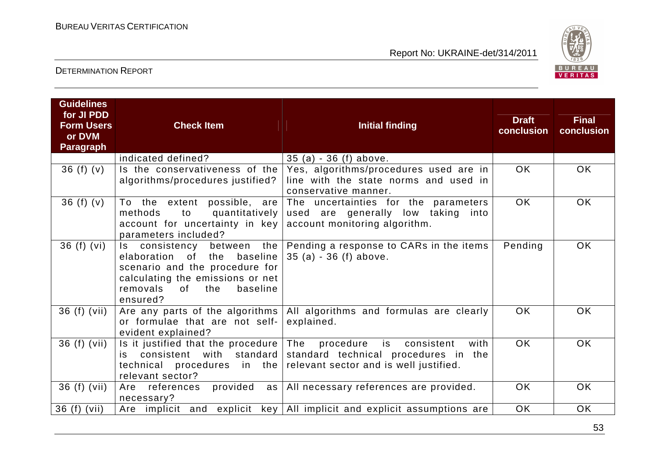

| <b>Guidelines</b><br>for JI PDD<br><b>Form Users</b><br>or DVM<br><b>Paragraph</b> | <b>Check Item</b>                                                                                                                                                      | <b>Initial finding</b>                                                                                               | <b>Draft</b><br>conclusion | <b>Final</b><br>conclusion |
|------------------------------------------------------------------------------------|------------------------------------------------------------------------------------------------------------------------------------------------------------------------|----------------------------------------------------------------------------------------------------------------------|----------------------------|----------------------------|
|                                                                                    | indicated defined?                                                                                                                                                     | $35(a) - 36(f)$ above.                                                                                               |                            |                            |
| 36(f)(v)                                                                           | Is the conservativeness of the $ $<br>algorithms/procedures justified?                                                                                                 | Yes, algorithms/procedures used are in<br>line with the state norms and used in<br>conservative manner.              | OK.                        | <b>OK</b>                  |
| 36 (f) $(v)$                                                                       | To the extent possible, are<br>methods<br>to<br>quantitatively<br>account for uncertainty in key<br>parameters included?                                               | The uncertainties for the parameters<br>used are generally low taking into<br>account monitoring algorithm.          | <b>OK</b>                  | <b>OK</b>                  |
| 36(f)(vi)                                                                          | Is consistency<br>elaboration of the<br>baseline  <br>scenario and the procedure for<br>calculating the emissions or net<br>removals of<br>baseline<br>the<br>ensured? | between the   Pending a response to CARs in the items<br>$35(a) - 36(f)$ above.                                      | Pending                    | <b>OK</b>                  |
| 36 (f) (vii)                                                                       | Are any parts of the algorithms<br>or formulae that are not self-<br>evident explained?                                                                                | All algorithms and formulas are clearly<br>explained.                                                                | <b>OK</b>                  | <b>OK</b>                  |
| 36 (f) (vii)                                                                       | Is it justified that the procedure $\vert$ The<br>consistent with standard<br>is -<br>$technical$ procedures in the<br>relevant sector?                                | procedure is<br>consistent<br>with<br>standard technical procedures in the<br>relevant sector and is well justified. | <b>OK</b>                  | <b>OK</b>                  |
| 36 (f) (vii)                                                                       | provided<br>Are references<br>as  <br>necessary?                                                                                                                       | All necessary references are provided.                                                                               | <b>OK</b>                  | <b>OK</b>                  |
| 36 (f) (vii)                                                                       | Are implicit and explicit key                                                                                                                                          | All implicit and explicit assumptions are                                                                            | <b>OK</b>                  | <b>OK</b>                  |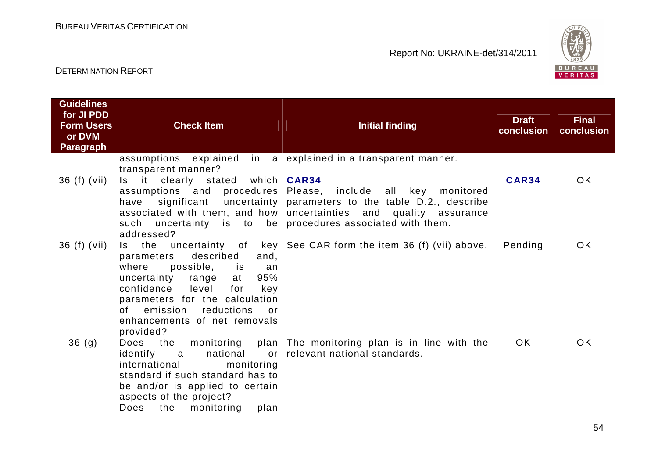

| <b>Guidelines</b><br>for JI PDD<br><b>Form Users</b><br>or DVM<br><b>Paragraph</b> | <b>Check Item</b>                                                                                                                                                                                                                                                                      | <b>Initial finding</b>                                                                                                                                                                    | <b>Draft</b><br>conclusion | <b>Final</b><br>conclusion |
|------------------------------------------------------------------------------------|----------------------------------------------------------------------------------------------------------------------------------------------------------------------------------------------------------------------------------------------------------------------------------------|-------------------------------------------------------------------------------------------------------------------------------------------------------------------------------------------|----------------------------|----------------------------|
|                                                                                    | assumptions explained<br>in a<br>transparent manner?                                                                                                                                                                                                                                   | explained in a transparent manner.                                                                                                                                                        |                            |                            |
| $36(f)$ (vii)                                                                      | Is it clearly stated which<br>assumptions and procedures<br>significant uncertainty<br>have<br>associated with them, and how  <br>addressed?                                                                                                                                           | CAR34<br>Please, include all key monitored<br>parameters to the table D.2., describe<br>uncertainties and quality assurance<br>such uncertainty is to be procedures associated with them. | <b>CAR34</b>               | OK.                        |
| 36 (f) (vii)                                                                       | Is the uncertainty of<br>key<br>described<br>parameters<br>and,<br>possible, is<br>where<br>an<br>95%<br>uncertainty range at<br>confidence level<br>for<br>key<br>parameters for the calculation<br>emission<br>reductions<br>of l<br>or<br>enhancements of net removals<br>provided? | See CAR form the item 36 (f) (vii) above.                                                                                                                                                 | Pending                    | <b>OK</b>                  |
| 36 <sub>(g)</sub>                                                                  | monitoring<br>the<br>Does<br>identify a<br>national<br>or<br>international<br>monitoring<br>standard if such standard has to<br>be and/or is applied to certain<br>aspects of the project?<br>Does<br>the<br>monitoring<br>plan                                                        | plan The monitoring plan is in line with the<br>relevant national standards.                                                                                                              | <b>OK</b>                  | <b>OK</b>                  |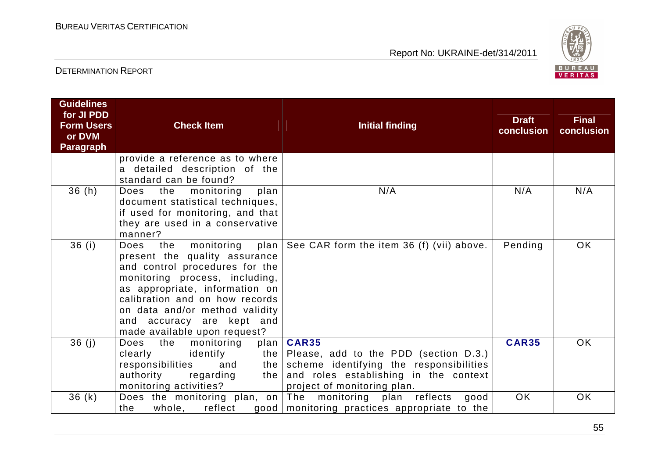

| <b>Guidelines</b><br>for JI PDD<br><b>Form Users</b><br>or DVM<br><b>Paragraph</b> | <b>Check Item</b>                                                                                                                                                                                                                                                                                           | <b>Initial finding</b>                                                                                                                                                          | <b>Draft</b><br>conclusion | <b>Final</b><br>conclusion |
|------------------------------------------------------------------------------------|-------------------------------------------------------------------------------------------------------------------------------------------------------------------------------------------------------------------------------------------------------------------------------------------------------------|---------------------------------------------------------------------------------------------------------------------------------------------------------------------------------|----------------------------|----------------------------|
|                                                                                    | provide a reference as to where<br>a detailed description of the<br>standard can be found?                                                                                                                                                                                                                  |                                                                                                                                                                                 |                            |                            |
| 36(h)                                                                              | the<br>monitoring<br>plan<br>Does<br>document statistical techniques,<br>if used for monitoring, and that<br>they are used in a conservative<br>manner?                                                                                                                                                     | N/A                                                                                                                                                                             | N/A                        | N/A                        |
| 36(i)                                                                              | monitoring<br>the<br>plan  <br>Does<br>present the quality assurance<br>and control procedures for the<br>monitoring process, including,<br>as appropriate, information on<br>calibration and on how records<br>on data and/or method validity<br>and accuracy are kept and<br>made available upon request? | See CAR form the item 36 (f) (vii) above.                                                                                                                                       | Pending                    | <b>OK</b>                  |
| 36(j)                                                                              | the monitoring<br>Does<br>clearly<br>identify<br>responsibilities<br>and<br>the $\vert$<br>authority<br>regarding<br>the<br>monitoring activities?                                                                                                                                                          | plan   CAR35<br>the Please, add to the PDD (section $D.3$ .)<br>scheme identifying the responsibilities<br>and roles establishing in the context<br>project of monitoring plan. | <b>CAR35</b>               | <b>OK</b>                  |
| 36(k)                                                                              | Does the monitoring plan, on The<br>reflect<br>whole,<br>the                                                                                                                                                                                                                                                | monitoring plan reflects<br>good<br>good   monitoring practices appropriate to the                                                                                              | <b>OK</b>                  | <b>OK</b>                  |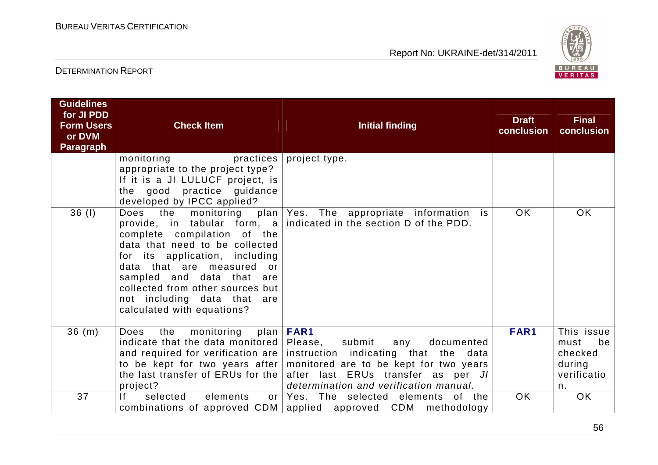

| <b>Guidelines</b><br>for JI PDD<br><b>Form Users</b><br>or DVM<br>Paragraph | <b>Check Item</b>                                                                                                                                                                                                                                                                               | <b>Initial finding</b>                                                                                                                                                                                                     | <b>Draft</b><br>conclusion | <b>Final</b><br>conclusion                                         |
|-----------------------------------------------------------------------------|-------------------------------------------------------------------------------------------------------------------------------------------------------------------------------------------------------------------------------------------------------------------------------------------------|----------------------------------------------------------------------------------------------------------------------------------------------------------------------------------------------------------------------------|----------------------------|--------------------------------------------------------------------|
|                                                                             | monitoring<br>practices<br>appropriate to the project type?<br>If it is a JI LULUCF project, is<br>the good practice guidance<br>developed by IPCC applied?                                                                                                                                     | project type.                                                                                                                                                                                                              |                            |                                                                    |
| 36 (1)                                                                      | the<br>Does<br>monitoring<br>plan<br>complete compilation of the<br>data that need to be collected<br>for its application, including<br>data that are measured or<br>sampled and data that are<br>collected from other sources but<br>not including data that are<br>calculated with equations? | Yes. The appropriate information is<br>provide, in tabular form, a indicated in the section D of the PDD.                                                                                                                  | OK.                        | OK                                                                 |
| 36(m)                                                                       | monitoring<br>the<br>Does<br>indicate that the data monitored<br>and required for verification are<br>to be kept for two years after<br>the last transfer of ERUs for the<br>project?                                                                                                           | plan   FAR1<br>Please,<br>submit<br>any<br>documented<br>instruction indicating that the<br>data<br>monitored are to be kept for two years<br>after last ERUs transfer as per JI<br>determination and verification manual. | FAR1                       | This issue<br>must<br>be<br>checked<br>during<br>verificatio<br>n. |
| 37                                                                          | f <br>selected<br>elements<br>or 1                                                                                                                                                                                                                                                              | Yes. The selected elements of the<br>combinations of approved CDM   applied approved CDM methodology                                                                                                                       | OK.                        | OK                                                                 |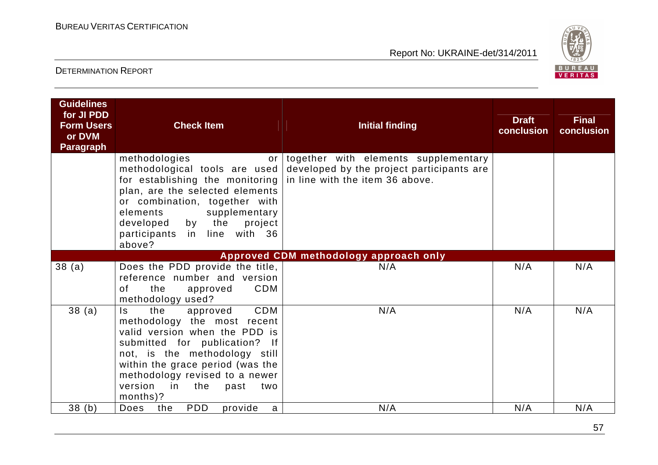

| <b>Guidelines</b><br>for JI PDD<br><b>Form Users</b><br>or DVM<br><b>Paragraph</b> | <b>Check Item</b>                                                                                                                                                                                                                                                                  | <b>Initial finding</b>                                                                                               | <b>Draft</b><br>conclusion | <b>Final</b><br>conclusion |
|------------------------------------------------------------------------------------|------------------------------------------------------------------------------------------------------------------------------------------------------------------------------------------------------------------------------------------------------------------------------------|----------------------------------------------------------------------------------------------------------------------|----------------------------|----------------------------|
|                                                                                    | methodologies<br>or 1<br>methodological tools are used<br>for establishing the monitoring<br>plan, are the selected elements<br>or combination, together with<br>elements<br>supplementary<br>developed by the<br>project<br>participants in line with 36<br>above?                | together with elements supplementary<br>developed by the project participants are<br>in line with the item 36 above. |                            |                            |
|                                                                                    |                                                                                                                                                                                                                                                                                    | Approved CDM methodology approach only                                                                               |                            |                            |
| 38(a)                                                                              | Does the PDD provide the title,<br>reference number and version<br><b>CDM</b><br>the<br>of l<br>approved<br>methodology used?                                                                                                                                                      | N/A                                                                                                                  | N/A                        | N/A                        |
| 38(a)                                                                              | CDM<br>ls.<br>the<br>approved<br>methodology the most recent<br>valid version when the PDD is<br>submitted for publication? If<br>not, is the methodology still<br>within the grace period (was the<br>methodology revised to a newer<br>version in<br>the past<br>two<br>months)? | N/A                                                                                                                  | N/A                        | N/A                        |
| 38(h)                                                                              | <b>PDD</b><br>Does<br>provide<br>the<br>a                                                                                                                                                                                                                                          | N/A                                                                                                                  | N/A                        | N/A                        |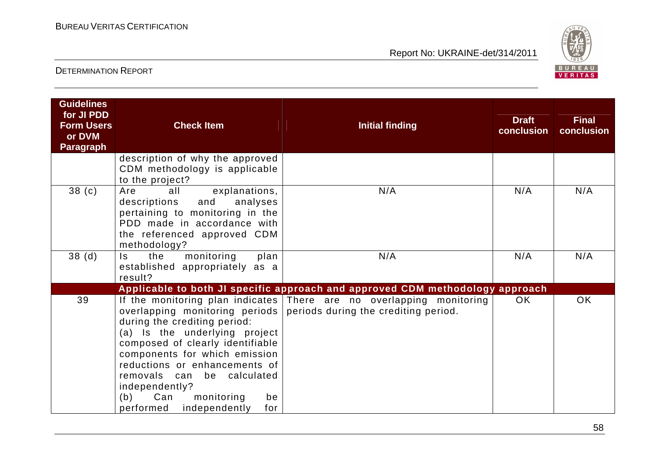

| <b>Guidelines</b><br>for JI PDD<br><b>Form Users</b><br>or DVM<br><b>Paragraph</b> | <b>Check Item</b>                                                                                                                                                                                                                                                                          | <b>Initial finding</b>                                                                                                                        | <b>Draft</b><br>conclusion | <b>Final</b><br>conclusion |
|------------------------------------------------------------------------------------|--------------------------------------------------------------------------------------------------------------------------------------------------------------------------------------------------------------------------------------------------------------------------------------------|-----------------------------------------------------------------------------------------------------------------------------------------------|----------------------------|----------------------------|
|                                                                                    | description of why the approved<br>CDM methodology is applicable<br>to the project?                                                                                                                                                                                                        |                                                                                                                                               |                            |                            |
| 38 <sub>(c)</sub>                                                                  | explanations,<br>Are<br>all<br>descriptions<br>and<br>analyses<br>pertaining to monitoring in the<br>PDD made in accordance with<br>the referenced approved CDM<br>methodology?                                                                                                            | N/A                                                                                                                                           | N/A                        | N/A                        |
| 38 <sub>(d)</sub>                                                                  | monitoring<br>the<br>plan<br>$\mathsf{ls}$<br>established appropriately as a<br>result?                                                                                                                                                                                                    | N/A                                                                                                                                           | N/A                        | N/A                        |
|                                                                                    |                                                                                                                                                                                                                                                                                            | Applicable to both JI specific approach and approved CDM methodology approach                                                                 |                            |                            |
| 39                                                                                 | during the crediting period:<br>(a) Is the underlying project<br>composed of clearly identifiable<br>components for which emission<br>reductions or enhancements of<br>removals can be calculated<br>independently?<br>Can<br>monitoring<br>(b)<br>be<br>performed<br>independently<br>for | If the monitoring plan indicates There are no overlapping monitoring<br>overlapping monitoring periods   periods during the crediting period. | <b>OK</b>                  | <b>OK</b>                  |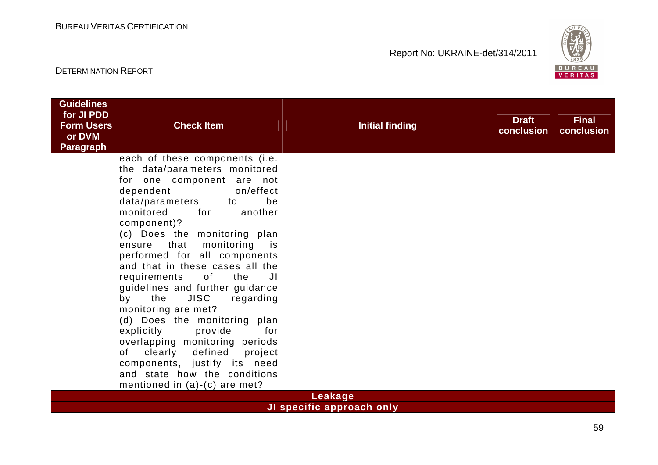

| <b>Guidelines</b><br>for JI PDD<br><b>Form Users</b><br>or DVM<br><b>Paragraph</b> | <b>Check Item</b>                                                                                                                                                                                                                                                                                                                                                                                                                                                                                                                                                                                                                                                                                                 | <b>Initial finding</b>               | <b>Draft</b><br>conclusion | <b>Final</b><br>conclusion |
|------------------------------------------------------------------------------------|-------------------------------------------------------------------------------------------------------------------------------------------------------------------------------------------------------------------------------------------------------------------------------------------------------------------------------------------------------------------------------------------------------------------------------------------------------------------------------------------------------------------------------------------------------------------------------------------------------------------------------------------------------------------------------------------------------------------|--------------------------------------|----------------------------|----------------------------|
|                                                                                    | each of these components (i.e.<br>the data/parameters monitored<br>for one component are not<br>dependent<br>on/effect<br>data/parameters<br>to to<br>be<br>monitored<br>another<br>for<br>component)?<br>(c) Does the monitoring plan<br>that monitoring<br>ensure<br>is i<br>performed for all components<br>and that in these cases all the<br>requirements of the<br>JI<br>guidelines and further guidance<br><b>JISC</b><br>by the<br>regarding<br>monitoring are met?<br>(d) Does the monitoring plan<br>explicitly<br>provide<br>for<br>overlapping monitoring periods<br>of clearly defined<br>project<br>components, justify its need<br>and state how the conditions<br>mentioned in $(a)-(c)$ are met? |                                      |                            |                            |
|                                                                                    |                                                                                                                                                                                                                                                                                                                                                                                                                                                                                                                                                                                                                                                                                                                   | Leakage<br>JI specific approach only |                            |                            |
|                                                                                    |                                                                                                                                                                                                                                                                                                                                                                                                                                                                                                                                                                                                                                                                                                                   |                                      |                            |                            |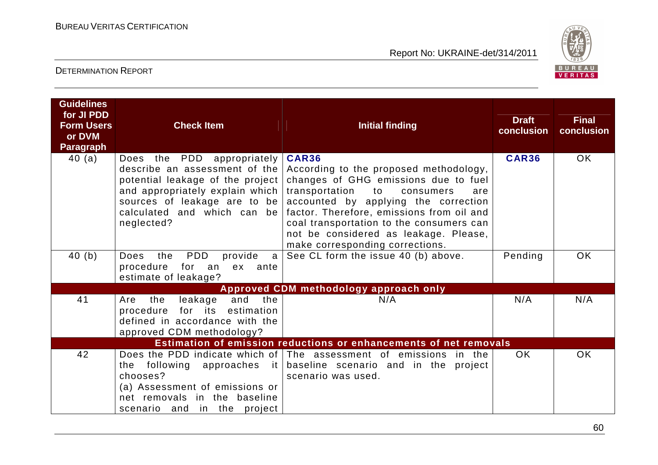

| <b>Guidelines</b><br>for JI PDD |                                                                                                                                                                                                                 |                                                                                                                                                                                                                                                                                                                                                         |                            | <b>Final</b> |  |
|---------------------------------|-----------------------------------------------------------------------------------------------------------------------------------------------------------------------------------------------------------------|---------------------------------------------------------------------------------------------------------------------------------------------------------------------------------------------------------------------------------------------------------------------------------------------------------------------------------------------------------|----------------------------|--------------|--|
| <b>Form Users</b>               | <b>Check Item</b>                                                                                                                                                                                               | <b>Initial finding</b>                                                                                                                                                                                                                                                                                                                                  | <b>Draft</b><br>conclusion | conclusion   |  |
| or DVM<br><b>Paragraph</b>      |                                                                                                                                                                                                                 |                                                                                                                                                                                                                                                                                                                                                         |                            |              |  |
| 40(a)                           | Does the PDD appropriately<br>describe an assessment of the<br>potential leakage of the project<br>and appropriately explain which<br>sources of leakage are to be<br>calculated and which can be<br>neglected? | <b>CAR36</b><br>According to the proposed methodology,<br>changes of GHG emissions due to fuel<br>transportation<br>to<br>consumers<br>are<br>accounted by applying the correction<br>factor. Therefore, emissions from oil and<br>coal transportation to the consumers can<br>not be considered as leakage. Please,<br>make corresponding corrections. | <b>CAR36</b>               | <b>OK</b>    |  |
| 40(b)                           | PDD<br>the<br>provide<br>Does<br>a<br>for an<br>procedure<br>ex ante<br>estimate of leakage?                                                                                                                    | See CL form the issue 40 (b) above.                                                                                                                                                                                                                                                                                                                     | Pending                    | <b>OK</b>    |  |
|                                 |                                                                                                                                                                                                                 | Approved CDM methodology approach only                                                                                                                                                                                                                                                                                                                  |                            |              |  |
| 41                              | and the<br>the leakage<br>Are<br>estimation<br>procedure for its<br>defined in accordance with the<br>approved CDM methodology?                                                                                 | N/A                                                                                                                                                                                                                                                                                                                                                     | N/A                        | N/A          |  |
|                                 |                                                                                                                                                                                                                 | Estimation of emission reductions or enhancements of net removals                                                                                                                                                                                                                                                                                       |                            |              |  |
| 42                              | the following approaches<br>chooses?<br>(a) Assessment of emissions or<br>net removals in the baseline<br>scenario and in the project                                                                           | Does the PDD indicate which of $ $ The assessment of emissions in the<br>it baseline scenario and in the project<br>scenario was used.                                                                                                                                                                                                                  | OK.                        | <b>OK</b>    |  |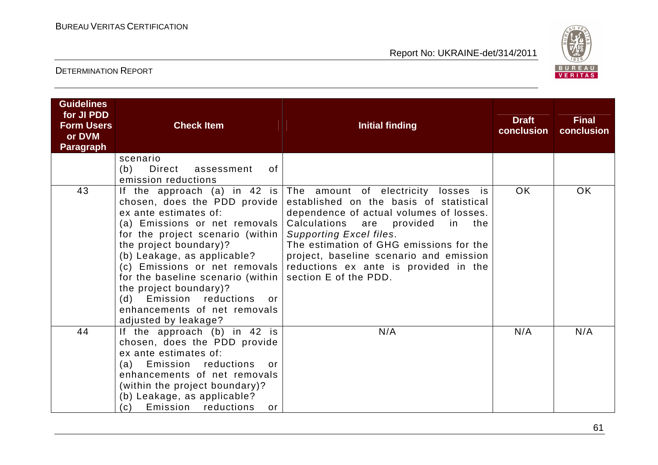

| <b>Guidelines</b><br>for JI PDD<br><b>Form Users</b><br>or DVM<br><b>Paragraph</b> | <b>Check Item</b>                                                                                                                                                                                                                                                                                                                                                                                                  | <b>Initial finding</b>                                                                                                                                                                                                                                                                                                                                              | <b>Draft</b><br>conclusion | <b>Final</b><br>conclusion |
|------------------------------------------------------------------------------------|--------------------------------------------------------------------------------------------------------------------------------------------------------------------------------------------------------------------------------------------------------------------------------------------------------------------------------------------------------------------------------------------------------------------|---------------------------------------------------------------------------------------------------------------------------------------------------------------------------------------------------------------------------------------------------------------------------------------------------------------------------------------------------------------------|----------------------------|----------------------------|
|                                                                                    | scenario<br>Direct<br>(b)<br>0f<br>assessment<br>emission reductions                                                                                                                                                                                                                                                                                                                                               |                                                                                                                                                                                                                                                                                                                                                                     |                            |                            |
| 43                                                                                 | If the approach (a) in 42 is<br>chosen, does the PDD provide<br>ex ante estimates of:<br>(a) Emissions or net removals  <br>for the project scenario (within)<br>the project boundary)?<br>(b) Leakage, as applicable?<br>(c) Emissions or net removals<br>for the baseline scenario (within<br>the project boundary)?<br>Emission reductions<br>(d)<br>or<br>enhancements of net removals<br>adjusted by leakage? | The amount of electricity<br>losses is<br>established on the basis of statistical<br>dependence of actual volumes of losses.<br>Calculations<br>provided<br>in the<br>are<br><b>Supporting Excel files.</b><br>The estimation of GHG emissions for the<br>project, baseline scenario and emission<br>reductions ex ante is provided in the<br>section E of the PDD. | <b>OK</b>                  | <b>OK</b>                  |
| 44                                                                                 | If the approach $(b)$ in 42 is<br>chosen, does the PDD provide<br>ex ante estimates of:<br>(a) Emission reductions<br>or<br>enhancements of net removals<br>(within the project boundary)?<br>(b) Leakage, as applicable?<br>Emission reductions<br>$\mathsf{(c)}$<br>or                                                                                                                                           | N/A                                                                                                                                                                                                                                                                                                                                                                 | N/A                        | N/A                        |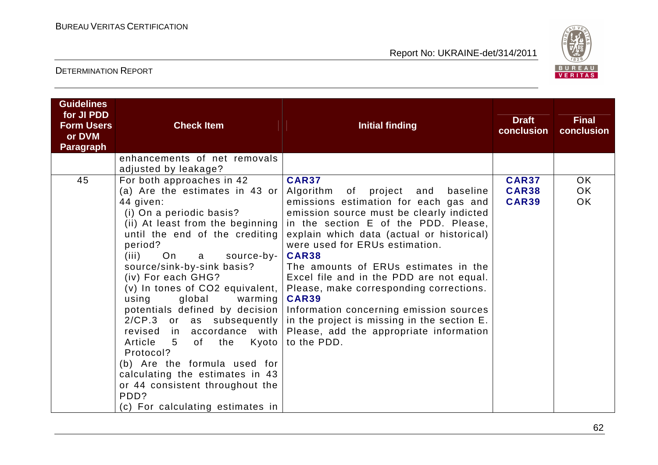

| <b>Guidelines</b><br>for JI PDD<br><b>Form Users</b><br>or DVM<br>Paragraph | <b>Check Item</b>                                                                                                                                                                                                                                                                                                                                                                                                                                                                                                                                                                                                                                     | <b>Initial finding</b>                                                                                                                                                                                                                                                                                                                                                                                                                                                                                                                                                    | <b>Draft</b><br>conclusion                   | <b>Final</b><br>conclusion |
|-----------------------------------------------------------------------------|-------------------------------------------------------------------------------------------------------------------------------------------------------------------------------------------------------------------------------------------------------------------------------------------------------------------------------------------------------------------------------------------------------------------------------------------------------------------------------------------------------------------------------------------------------------------------------------------------------------------------------------------------------|---------------------------------------------------------------------------------------------------------------------------------------------------------------------------------------------------------------------------------------------------------------------------------------------------------------------------------------------------------------------------------------------------------------------------------------------------------------------------------------------------------------------------------------------------------------------------|----------------------------------------------|----------------------------|
|                                                                             | enhancements of net removals<br>adjusted by leakage?                                                                                                                                                                                                                                                                                                                                                                                                                                                                                                                                                                                                  |                                                                                                                                                                                                                                                                                                                                                                                                                                                                                                                                                                           |                                              |                            |
| 45                                                                          | For both approaches in 42<br>(a) Are the estimates in 43 or<br>44 given:<br>(i) On a periodic basis?<br>(ii) At least from the beginning<br>until the end of the crediting<br>period?<br>(iii)<br>On<br>source-by-<br>a<br>source/sink-by-sink basis?<br>(iv) For each GHG?<br>(v) In tones of CO2 equivalent,<br>using<br>global<br>warming<br>potentials defined by decision<br>2/CP.3 or as subsequently<br>revised in accordance with<br>Article<br>$5^{\circ}$<br>of the<br>Kyoto<br>Protocol?<br>(b) Are the formula used for<br>calculating the estimates in 43<br>or 44 consistent throughout the<br>PDD?<br>(c) For calculating estimates in | <b>CAR37</b><br>Algorithm of project and baseline<br>emissions estimation for each gas and<br>emission source must be clearly indicted<br>in the section E of the PDD. Please,<br>explain which data (actual or historical)<br>were used for ERUs estimation.<br>CAR38<br>The amounts of ERUs estimates in the<br>Excel file and in the PDD are not equal.<br>Please, make corresponding corrections.<br><b>CAR39</b><br>Information concerning emission sources<br>in the project is missing in the section E.<br>Please, add the appropriate information<br>to the PDD. | <b>CAR37</b><br><b>CAR38</b><br><b>CAR39</b> | OK.<br>OK.<br><b>OK</b>    |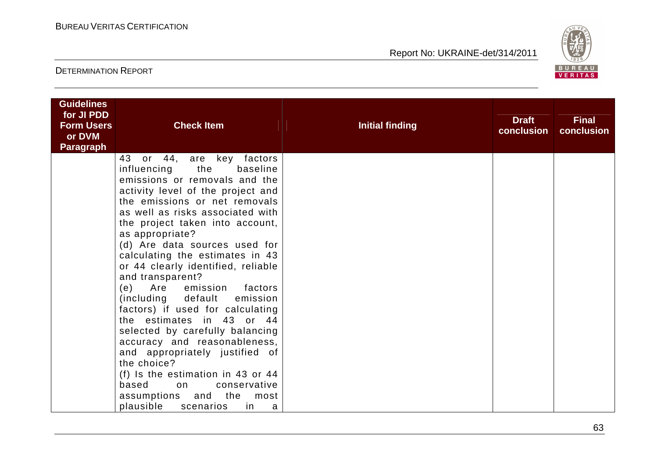

| <b>Guidelines</b><br>for JI PDD<br><b>Form Users</b><br>or DVM<br><b>Paragraph</b> | <b>Check Item</b>                                                     | Initial finding | <b>Draft</b><br>conclusion | <b>Final</b><br>conclusion |
|------------------------------------------------------------------------------------|-----------------------------------------------------------------------|-----------------|----------------------------|----------------------------|
|                                                                                    | 43 or 44, are key factors                                             |                 |                            |                            |
|                                                                                    | influencing<br>the<br>baseline<br>emissions or removals and the       |                 |                            |                            |
|                                                                                    | activity level of the project and                                     |                 |                            |                            |
|                                                                                    | the emissions or net removals                                         |                 |                            |                            |
|                                                                                    | as well as risks associated with                                      |                 |                            |                            |
|                                                                                    | the project taken into account,                                       |                 |                            |                            |
|                                                                                    | as appropriate?                                                       |                 |                            |                            |
|                                                                                    | (d) Are data sources used for                                         |                 |                            |                            |
|                                                                                    | calculating the estimates in 43<br>or 44 clearly identified, reliable |                 |                            |                            |
|                                                                                    | and transparent?                                                      |                 |                            |                            |
|                                                                                    | (e) Are emission factors                                              |                 |                            |                            |
|                                                                                    | (including default emission                                           |                 |                            |                            |
|                                                                                    | factors) if used for calculating                                      |                 |                            |                            |
|                                                                                    | the estimates in 43 or 44                                             |                 |                            |                            |
|                                                                                    | selected by carefully balancing                                       |                 |                            |                            |
|                                                                                    | accuracy and reasonableness,<br>and appropriately justified of        |                 |                            |                            |
|                                                                                    | the choice?                                                           |                 |                            |                            |
|                                                                                    | (f) Is the estimation in 43 or 44                                     |                 |                            |                            |
|                                                                                    | based<br>conservative<br>on                                           |                 |                            |                            |
|                                                                                    | assumptions and the<br>most                                           |                 |                            |                            |
|                                                                                    | plausible<br>scenarios<br>in.<br>a                                    |                 |                            |                            |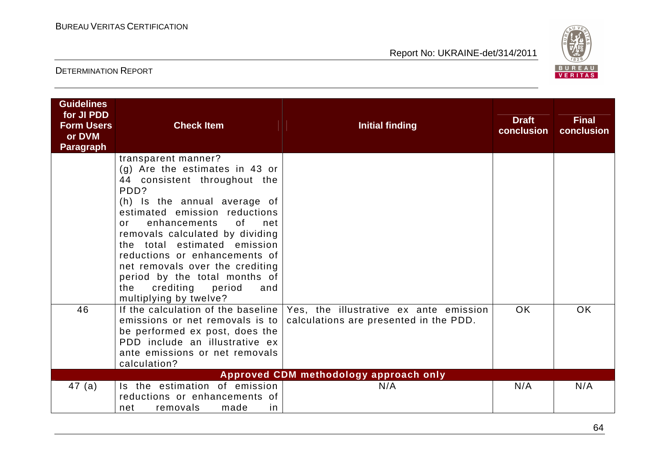

| <b>Guidelines</b><br>for JI PDD<br><b>Form Users</b><br>or DVM<br><b>Paragraph</b> | <b>Check Item</b>                                                                                                                                                                                                                                                                                                                                                                                                                       | <b>Initial finding</b>                                                           | <b>Draft</b><br>conclusion | <b>Final</b><br>conclusion |
|------------------------------------------------------------------------------------|-----------------------------------------------------------------------------------------------------------------------------------------------------------------------------------------------------------------------------------------------------------------------------------------------------------------------------------------------------------------------------------------------------------------------------------------|----------------------------------------------------------------------------------|----------------------------|----------------------------|
|                                                                                    | transparent manner?<br>$(g)$ Are the estimates in 43 or<br>44 consistent throughout the<br>PDD?<br>(h) Is the annual average of<br>estimated emission reductions<br>enhancements<br>of<br>net<br>or<br>removals calculated by dividing<br>the total estimated emission<br>reductions or enhancements of<br>net removals over the crediting<br>period by the total months of<br>crediting period<br>the<br>and<br>multiplying by twelve? |                                                                                  |                            |                            |
| 46                                                                                 | If the calculation of the baseline<br>emissions or net removals is to<br>be performed ex post, does the<br>PDD include an illustrative ex<br>ante emissions or net removals<br>calculation?                                                                                                                                                                                                                                             | Yes, the illustrative ex ante emission<br>calculations are presented in the PDD. | OK.                        | <b>OK</b>                  |
| 47(a)                                                                              | Is the estimation of emission<br>reductions or enhancements of<br>in<br>removals<br>made<br>net                                                                                                                                                                                                                                                                                                                                         | <b>Approved CDM methodology approach only</b><br>N/A                             | N/A                        | N/A                        |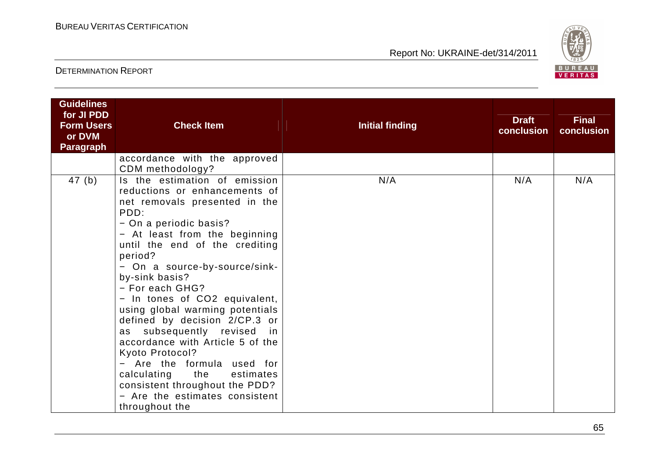

| <b>Guidelines</b><br>for JI PDD<br><b>Form Users</b><br>or DVM<br><b>Paragraph</b> | <b>Check Item</b>                                                                                                                                                                                                                                                                                                                                                                                                                                                                                                                                                                                                                      | <b>Initial finding</b> | <b>Draft</b><br>conclusion | <b>Final</b><br>conclusion |
|------------------------------------------------------------------------------------|----------------------------------------------------------------------------------------------------------------------------------------------------------------------------------------------------------------------------------------------------------------------------------------------------------------------------------------------------------------------------------------------------------------------------------------------------------------------------------------------------------------------------------------------------------------------------------------------------------------------------------------|------------------------|----------------------------|----------------------------|
|                                                                                    | accordance with the approved<br>CDM methodology?                                                                                                                                                                                                                                                                                                                                                                                                                                                                                                                                                                                       |                        |                            |                            |
| 47(b)                                                                              | Is the estimation of emission<br>reductions or enhancements of<br>net removals presented in the<br>PDD:<br>- On a periodic basis?<br>- At least from the beginning<br>until the end of the crediting<br>period?<br>- On a source-by-source/sink-<br>by-sink basis?<br>- For each GHG?<br>- In tones of CO2 equivalent,<br>using global warming potentials<br>defined by decision 2/CP.3 or<br>as subsequently revised in<br>accordance with Article 5 of the<br>Kyoto Protocol?<br>- Are the formula used for<br>calculating<br>the<br>estimates<br>consistent throughout the PDD?<br>- Are the estimates consistent<br>throughout the | N/A                    | N/A                        | N/A                        |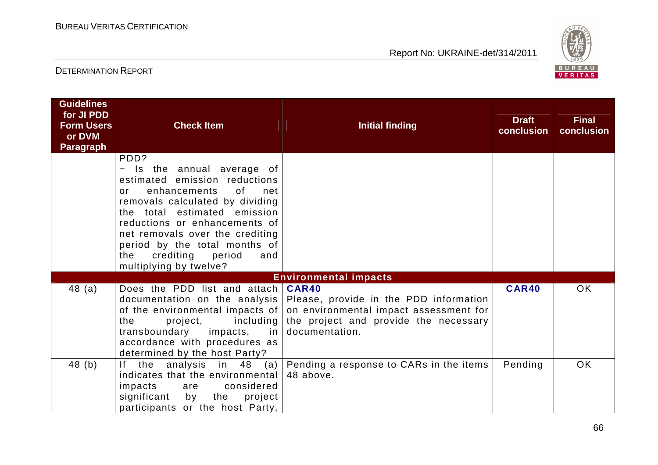

| <b>Guidelines</b><br>for JI PDD<br><b>Form Users</b><br>or DVM<br><b>Paragraph</b> | <b>Check Item</b>                                                                                                                                                                                                                                                                                                                           | <b>Initial finding</b>                                                                                                                                                             | <b>Draft</b><br>conclusion | <b>Final</b><br>conclusion |
|------------------------------------------------------------------------------------|---------------------------------------------------------------------------------------------------------------------------------------------------------------------------------------------------------------------------------------------------------------------------------------------------------------------------------------------|------------------------------------------------------------------------------------------------------------------------------------------------------------------------------------|----------------------------|----------------------------|
|                                                                                    | PDD?<br>Is the annual average of<br>estimated emission reductions<br>enhancements<br>of<br>net<br>or<br>removals calculated by dividing<br>the total estimated emission<br>reductions or enhancements of<br>net removals over the crediting<br>period by the total months of<br>the<br>crediting<br>period<br>and<br>multiplying by twelve? |                                                                                                                                                                                    |                            |                            |
|                                                                                    |                                                                                                                                                                                                                                                                                                                                             | <b>Environmental impacts</b>                                                                                                                                                       |                            |                            |
| 48 (a)                                                                             | Does the PDD list and attach<br>of the environmental impacts of<br>the<br>including<br>project,<br>transboundary<br>impacts,<br>in I<br>accordance with procedures as<br>determined by the host Party?                                                                                                                                      | CAR40<br>documentation on the analysis Please, provide in the PDD information<br>on environmental impact assessment for<br>the project and provide the necessary<br>documentation. | <b>CAR40</b>               | OK                         |
| 48(b)                                                                              | If the analysis in 48<br>(a)<br>indicates that the environmental<br>considered<br>impacts<br>are<br>significant<br>the<br>project<br>by<br>participants or the host Party,                                                                                                                                                                  | Pending a response to CARs in the items<br>48 above.                                                                                                                               | Pending                    | <b>OK</b>                  |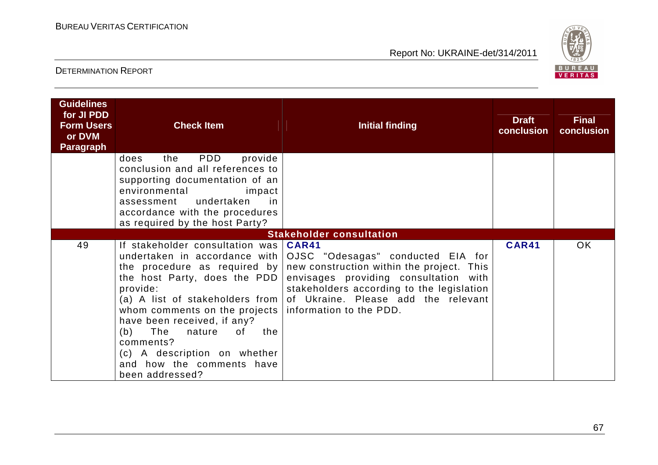

| <b>Guidelines</b><br>for JI PDD<br><b>Form Users</b><br>or DVM<br><b>Paragraph</b> | <b>Check Item</b>                                                                                                                                                                                                                                                                                                                                                                         | <b>Initial finding</b>                                                                                                                                                                                                                          | <b>Draft</b><br>conclusion | <b>Final</b><br>conclusion |
|------------------------------------------------------------------------------------|-------------------------------------------------------------------------------------------------------------------------------------------------------------------------------------------------------------------------------------------------------------------------------------------------------------------------------------------------------------------------------------------|-------------------------------------------------------------------------------------------------------------------------------------------------------------------------------------------------------------------------------------------------|----------------------------|----------------------------|
|                                                                                    | <b>PDD</b><br>provide<br>does<br>the<br>conclusion and all references to                                                                                                                                                                                                                                                                                                                  |                                                                                                                                                                                                                                                 |                            |                            |
|                                                                                    | supporting documentation of an                                                                                                                                                                                                                                                                                                                                                            |                                                                                                                                                                                                                                                 |                            |                            |
|                                                                                    | environmental<br>impact                                                                                                                                                                                                                                                                                                                                                                   |                                                                                                                                                                                                                                                 |                            |                            |
|                                                                                    | undertaken<br>in<br>assessment                                                                                                                                                                                                                                                                                                                                                            |                                                                                                                                                                                                                                                 |                            |                            |
|                                                                                    | accordance with the procedures                                                                                                                                                                                                                                                                                                                                                            |                                                                                                                                                                                                                                                 |                            |                            |
|                                                                                    | as required by the host Party?                                                                                                                                                                                                                                                                                                                                                            | <b>Stakeholder consultation</b>                                                                                                                                                                                                                 |                            |                            |
| 49                                                                                 | If stakeholder consultation was<br>undertaken in accordance with  <br>the procedure as required by<br>the host Party, does the PDD<br>provide:<br>(a) A list of stakeholders from $ $<br>whom comments on the projects  <br>have been received, if any?<br>The<br>nature<br>the<br>(b)<br>of<br>comments?<br>(c) A description on whether<br>and how the comments have<br>been addressed? | CAR41<br>OJSC "Odesagas" conducted EIA for<br>new construction within the project. This<br>envisages providing consultation with<br>stakeholders according to the legislation<br>of Ukraine. Please add the relevant<br>information to the PDD. | <b>CAR41</b>               | <b>OK</b>                  |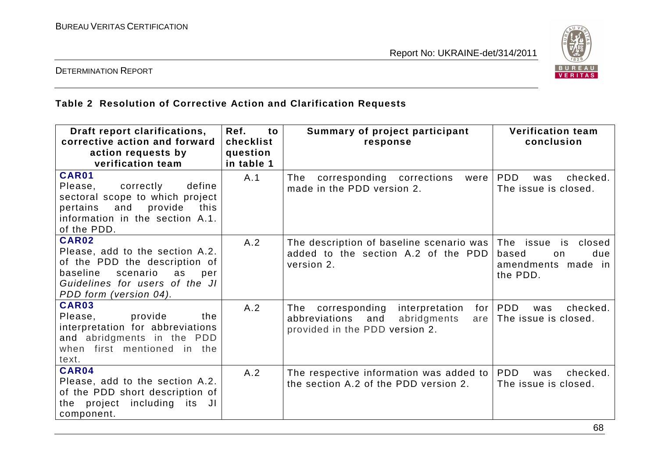

#### DETERMINATION REPORT

#### **Table 2 Resolution of Corrective Action and Clarification Requests**

| Draft report clarifications,<br>corrective action and forward<br>action requests by<br>verification team                                                                   | Ref.<br>to<br>checklist<br>question<br>in table 1 | Summary of project participant<br>response                                                                                   | <b>Verification team</b><br>conclusion                                                   |
|----------------------------------------------------------------------------------------------------------------------------------------------------------------------------|---------------------------------------------------|------------------------------------------------------------------------------------------------------------------------------|------------------------------------------------------------------------------------------|
| CAR01<br>Please,<br>correctly<br>define<br>sectoral scope to which project<br>and<br>provide<br>pertains<br>this<br>information in the section A.1.<br>of the PDD.         | A.1                                               | corresponding corrections<br>The<br>were<br>made in the PDD version 2.                                                       | <b>PDD</b><br>checked.<br>was<br>The issue is closed.                                    |
| CAR02<br>Please, add to the section A.2.<br>of the PDD the description of<br>baseline<br>scenario<br>as<br>per<br>Guidelines for users of the JI<br>PDD form (version 04). | A.2                                               | The description of baseline scenario was<br>added to the section A.2 of the PDD<br>version 2.                                | The issue<br>closed<br>is.<br>based<br>due<br>$\Omega$<br>amendments made in<br>the PDD. |
| CAR03<br>provide<br>Please,<br>the<br>interpretation for abbreviations<br>and abridgments in the PDD<br>when first mentioned in the<br>text.                               | A.2                                               | The corresponding<br>interpretation<br>for I<br>abbreviations<br>abridgments<br>and<br>are<br>provided in the PDD version 2. | <b>PDD</b><br>checked.<br>was<br>The issue is closed.                                    |
| CAR04<br>Please, add to the section A.2.<br>of the PDD short description of<br>including its<br>the project<br>JI<br>component.                                            | A.2                                               | The respective information was added to<br>the section A.2 of the PDD version 2.                                             | <b>PDD</b><br>checked.<br>was<br>The issue is closed.                                    |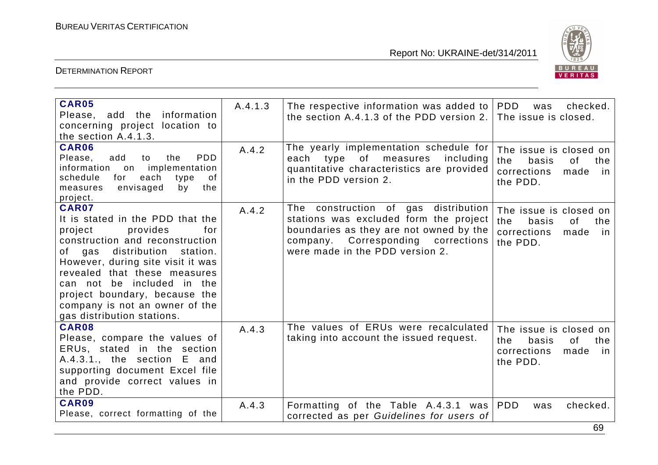

| CAR06<br>The yearly implementation schedule for<br>A.4.2<br><b>PDD</b><br>Please,<br>add<br>the<br>to<br>of<br>measures<br>each type<br>including<br>the<br>basis<br>of<br>information<br>implementation<br>on<br>quantitative characteristics are provided<br>made<br>corrections<br>schedule<br>each<br>type<br>for<br>οf<br>in the PDD version 2.<br>the PDD.<br>envisaged<br>measures<br>by<br>the<br>project.<br><b>CAR07</b><br>The construction of gas distribution<br>A.4.2<br>It is stated in the PDD that the<br>stations was excluded form the project<br>basis<br>of<br>the<br>boundaries as they are not owned by the<br>project<br>provides<br>for<br>corrections<br>made<br>construction and reconstruction<br>company. Corresponding corrections<br>the PDD.<br>were made in the PDD version 2.<br>of gas distribution station.<br>However, during site visit it was<br>revealed that these measures<br>can not be included in the<br>project boundary, because the<br>company is not an owner of the<br>gas distribution stations.<br>CAR08<br>The values of ERUs were recalculated<br>A.4.3<br>Please, compare the values of<br>taking into account the issued request.<br>basis<br>the<br>0f<br>ERUs, stated in the section<br>made<br>corrections<br>A.4.3.1., the section E and<br>the PDD.<br>supporting document Excel file<br>and provide correct values in<br>the PDD.<br>CAR09<br>A.4.3<br>Formatting of the Table A.4.3.1 was<br>PDD<br>was<br>Please, correct formatting of the<br>corrected as per Guidelines for users of | <b>CAR05</b><br>Please, add the information<br>concerning project location to<br>the section A.4.1.3. | A.4.1.3 | The respective information was added to<br>the section A.4.1.3 of the PDD version 2. | PDD<br>checked.<br>was<br>The issue is closed. |
|---------------------------------------------------------------------------------------------------------------------------------------------------------------------------------------------------------------------------------------------------------------------------------------------------------------------------------------------------------------------------------------------------------------------------------------------------------------------------------------------------------------------------------------------------------------------------------------------------------------------------------------------------------------------------------------------------------------------------------------------------------------------------------------------------------------------------------------------------------------------------------------------------------------------------------------------------------------------------------------------------------------------------------------------------------------------------------------------------------------------------------------------------------------------------------------------------------------------------------------------------------------------------------------------------------------------------------------------------------------------------------------------------------------------------------------------------------------------------------------------------------------------------------------------------------|-------------------------------------------------------------------------------------------------------|---------|--------------------------------------------------------------------------------------|------------------------------------------------|
|                                                                                                                                                                                                                                                                                                                                                                                                                                                                                                                                                                                                                                                                                                                                                                                                                                                                                                                                                                                                                                                                                                                                                                                                                                                                                                                                                                                                                                                                                                                                                         |                                                                                                       |         |                                                                                      | The issue is closed on<br>the<br>in            |
|                                                                                                                                                                                                                                                                                                                                                                                                                                                                                                                                                                                                                                                                                                                                                                                                                                                                                                                                                                                                                                                                                                                                                                                                                                                                                                                                                                                                                                                                                                                                                         |                                                                                                       |         |                                                                                      | The issue is closed on<br>the<br>in            |
|                                                                                                                                                                                                                                                                                                                                                                                                                                                                                                                                                                                                                                                                                                                                                                                                                                                                                                                                                                                                                                                                                                                                                                                                                                                                                                                                                                                                                                                                                                                                                         |                                                                                                       |         |                                                                                      | The issue is closed on<br>the<br>in            |
|                                                                                                                                                                                                                                                                                                                                                                                                                                                                                                                                                                                                                                                                                                                                                                                                                                                                                                                                                                                                                                                                                                                                                                                                                                                                                                                                                                                                                                                                                                                                                         |                                                                                                       |         |                                                                                      | checked.<br>$\Omega$                           |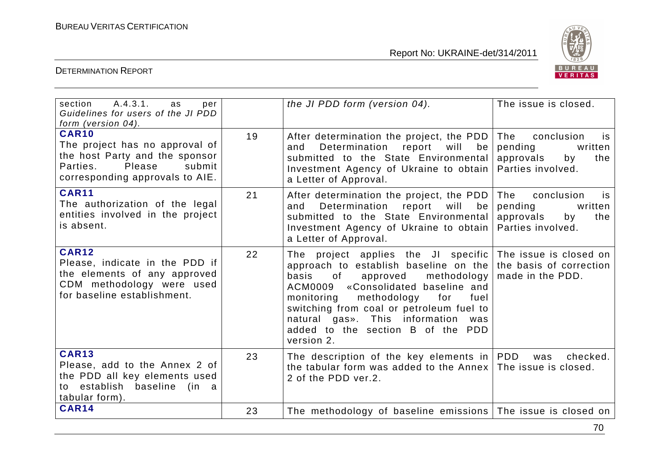

| A.4.3.1.<br>section<br>as<br>per<br>Guidelines for users of the JI PDD<br>form (version $04$ ).                                                     |    | the JI PDD form (version 04).                                                                                                                                                                                                                                                                                                                      | The issue is closed.                                                                          |
|-----------------------------------------------------------------------------------------------------------------------------------------------------|----|----------------------------------------------------------------------------------------------------------------------------------------------------------------------------------------------------------------------------------------------------------------------------------------------------------------------------------------------------|-----------------------------------------------------------------------------------------------|
| <b>CAR10</b><br>The project has no approval of<br>the host Party and the sponsor<br>Please<br>submit<br>Parties.<br>corresponding approvals to AIE. | 19 | After determination the project, the PDD<br>Determination report<br>will<br>and<br>be<br>submitted to the State Environmental<br>Investment Agency of Ukraine to obtain<br>a Letter of Approval.                                                                                                                                                   | The<br>conclusion<br>is.<br>pending<br>written<br>approvals<br>by<br>the<br>Parties involved. |
| <b>CAR11</b><br>The authorization of the legal<br>entities involved in the project<br>is absent.                                                    | 21 | After determination the project, the PDD<br>Determination<br>report<br>will<br>be<br>and<br>submitted to the State Environmental<br>Investment Agency of Ukraine to obtain<br>a Letter of Approval.                                                                                                                                                | The<br>conclusion<br>is.<br>written<br>pending<br>approvals<br>by<br>the<br>Parties involved. |
| <b>CAR12</b><br>Please, indicate in the PDD if<br>the elements of any approved<br>CDM methodology were used<br>for baseline establishment.          | 22 | The project applies the JI specific<br>approach to establish baseline on the<br>basis<br>of<br>approved<br>methodology  <br>ACM0009 «Consolidated baseline and<br>monitoring<br>methodology<br>for<br>fuel<br>switching from coal or petroleum fuel to<br>natural gas». This information<br>was<br>added to the section B of the PDD<br>version 2. | The issue is closed on<br>the basis of correction<br>made in the PDD.                         |
| <b>CAR13</b><br>Please, add to the Annex 2 of<br>the PDD all key elements used<br>to establish baseline (in a<br>tabular form).                     | 23 | The description of the key elements in $ PDD $<br>the tabular form was added to the Annex<br>2 of the PDD ver.2.                                                                                                                                                                                                                                   | checked.<br>was<br>The issue is closed.                                                       |
| <b>CAR14</b>                                                                                                                                        | 23 | The methodology of baseline emissions                                                                                                                                                                                                                                                                                                              | The issue is closed on                                                                        |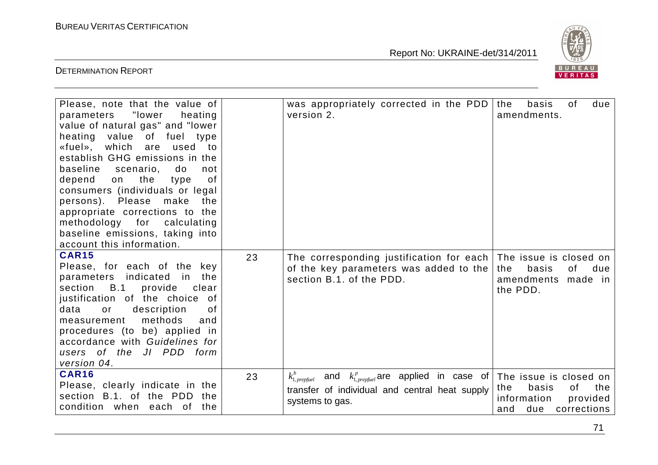

| Please, note that the value of<br>"lower<br>parameters<br>heating<br>value of natural gas" and "lower<br>heating value of fuel type<br>«fuel», which are used to<br>establish GHG emissions in the<br>baseline scenario,<br>do<br>not<br>the<br>depend<br>on<br>type<br>0f<br>consumers (individuals or legal<br>persons). Please<br>make<br>the<br>appropriate corrections to the<br>methodology for<br>calculating<br>baseline emissions, taking into<br>account this information. |    | was appropriately corrected in the PDD<br>version 2.                                                           |                                                       | the<br>basis<br>amendments.                                         | of                            | due |
|--------------------------------------------------------------------------------------------------------------------------------------------------------------------------------------------------------------------------------------------------------------------------------------------------------------------------------------------------------------------------------------------------------------------------------------------------------------------------------------|----|----------------------------------------------------------------------------------------------------------------|-------------------------------------------------------|---------------------------------------------------------------------|-------------------------------|-----|
| <b>CAR15</b><br>Please, for each of the key<br>parameters indicated<br>the<br>in<br>section B.1<br>provide<br>clear<br>justification of the choice of<br>description<br>data<br>0f<br>or<br>methods<br>measurement<br>and<br>procedures (to be) applied in<br>accordance with Guidelines for<br>JI PDD<br>users of the<br>form<br>version 04.                                                                                                                                        | 23 | The corresponding justification for each<br>of the key parameters was added to the<br>section B.1. of the PDD. |                                                       | The issue is closed on<br>the<br>basis<br>amendments<br>the PDD.    | 0f<br>made in                 | due |
| <b>CAR16</b><br>Please, clearly indicate in the<br>section B.1, of the PDD<br>the<br>condition when each of<br>the                                                                                                                                                                                                                                                                                                                                                                   | 23 | $k_{1, prepfuel}^b$<br>transfer of individual and central heat supply<br>systems to gas.                       | and $k_{1, \text{perfluid}}^p$ are applied in case of | The issue is closed on<br>basis<br>the<br>information<br>due<br>and | of<br>provided<br>corrections | the |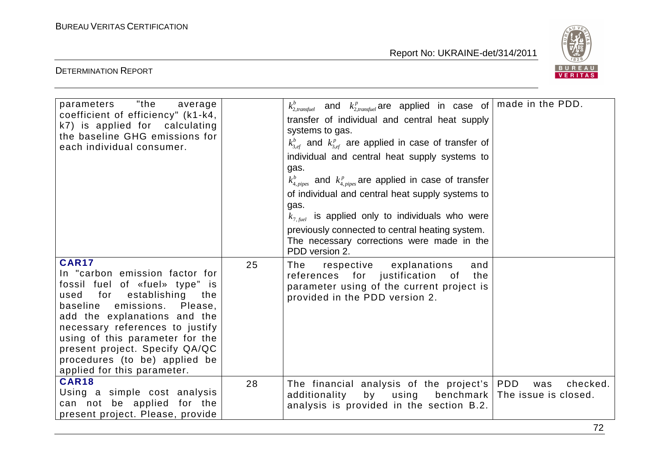

| parameters "the<br>average<br>coefficient of efficiency" (k1-k4,<br>k7) is applied for calculating<br>the baseline GHG emissions for<br>each individual consumer.                                                                                                                                                                                       |    | $k_{2,transfuel}^b$ and $k_{2,transfuel}^p$ are applied in case of<br>transfer of individual and central heat supply<br>systems to gas.<br>$k_{3,\text{eff}}^b$ and $k_{3,\text{eff}}^p$ are applied in case of transfer of<br>individual and central heat supply systems to<br>gas.<br>$k_{4, \text{pipes}}^b$ and $k_{4, \text{pipes}}^p$ are applied in case of transfer<br>of individual and central heat supply systems to<br>gas.<br>$k_{\text{t, fuel}}$ is applied only to individuals who were<br>previously connected to central heating system.<br>The necessary corrections were made in the<br>PDD version 2. | made in the PDD.                        |
|---------------------------------------------------------------------------------------------------------------------------------------------------------------------------------------------------------------------------------------------------------------------------------------------------------------------------------------------------------|----|----------------------------------------------------------------------------------------------------------------------------------------------------------------------------------------------------------------------------------------------------------------------------------------------------------------------------------------------------------------------------------------------------------------------------------------------------------------------------------------------------------------------------------------------------------------------------------------------------------------------------|-----------------------------------------|
| <b>CAR17</b><br>In "carbon emission factor for<br>fossil fuel of «fuel» type" is<br>used for establishing<br>the<br>baseline emissions. Please,<br>add the explanations and the<br>necessary references to justify<br>using of this parameter for the<br>present project. Specify QA/QC<br>procedures (to be) applied be<br>applied for this parameter. | 25 | respective explanations<br>The<br>and<br>references for justification of<br>the<br>parameter using of the current project is<br>provided in the PDD version 2.                                                                                                                                                                                                                                                                                                                                                                                                                                                             |                                         |
| <b>CAR18</b><br>Using a simple cost analysis<br>can not be applied for the<br>present project. Please, provide                                                                                                                                                                                                                                          | 28 | The financial analysis of the project's PDD<br>by<br>using benchmark<br>additionality<br>analysis is provided in the section B.2.                                                                                                                                                                                                                                                                                                                                                                                                                                                                                          | checked.<br>was<br>The issue is closed. |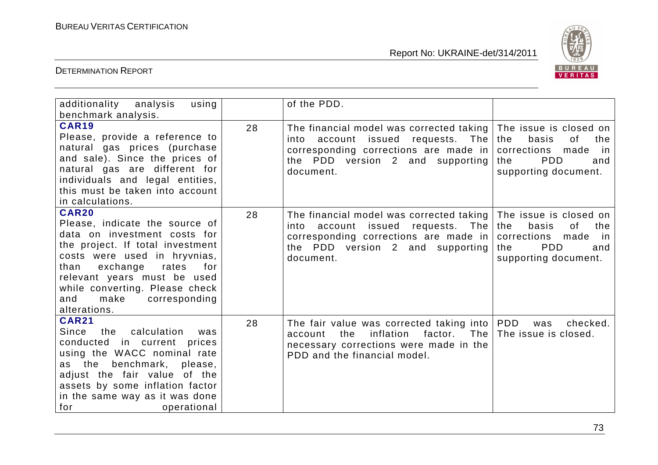

| additionality<br>analysis<br>using<br>benchmark analysis.                                                                                                                                                                                                                                               |    | of the PDD.                                                                                                                                                                                            |                                                                                                                               |
|---------------------------------------------------------------------------------------------------------------------------------------------------------------------------------------------------------------------------------------------------------------------------------------------------------|----|--------------------------------------------------------------------------------------------------------------------------------------------------------------------------------------------------------|-------------------------------------------------------------------------------------------------------------------------------|
| <b>CAR19</b><br>Please, provide a reference to<br>natural gas prices (purchase<br>and sale). Since the prices of<br>natural gas are different for<br>individuals and legal entities,<br>this must be taken into account<br>in calculations.                                                             | 28 | The financial model was corrected taking   The issue is closed on<br>account issued<br>requests. The<br>into<br>corresponding corrections are made in<br>the PDD version 2 and supporting<br>document. | basis<br>the<br>0f<br>the<br>corrections made in<br><b>PDD</b><br>the<br>and<br>supporting document.                          |
| <b>CAR20</b><br>Please, indicate the source of<br>data on investment costs for<br>the project. If total investment<br>costs were used in hryvnias,<br>exchange<br>than<br>rates<br>for<br>relevant years must be used<br>while converting. Please check<br>make<br>corresponding<br>and<br>alterations. | 28 | The financial model was corrected taking<br>into $account$ issued requests. The the<br>corresponding corrections are made in<br>the PDD version 2 and supporting<br>document.                          | The issue is closed on<br>basis<br>the<br>of<br>corrections<br>made<br>in<br><b>PDD</b><br>the<br>and<br>supporting document. |
| <b>CAR21</b><br>Since<br>the calculation<br>was<br>conducted in current prices<br>using the WACC nominal rate<br>as the<br>benchmark, please,<br>adjust the fair value of the<br>assets by some inflation factor<br>in the same way as it was done<br>operational<br>for                                | 28 | The fair value was corrected taking into   PDD<br>inflation<br>factor.<br>The<br>the<br>account<br>necessary corrections were made in the<br>PDD and the financial model.                              | checked.<br>was<br>The issue is closed.                                                                                       |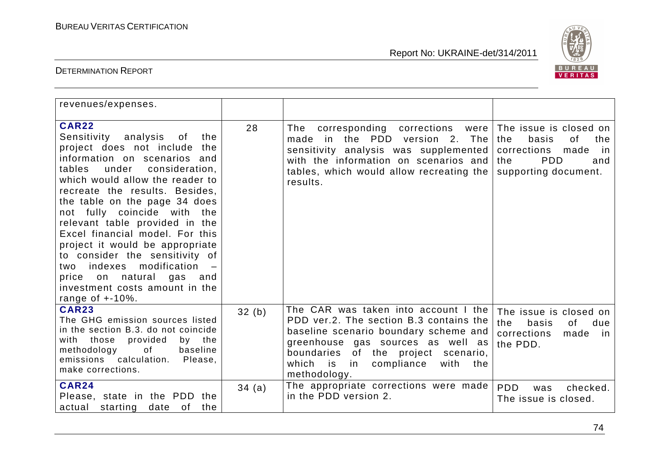

| revenues/expenses.                                                                                                                                                                                                                                                                                                                                                                                                                                                                                                                                               |       |                                                                                                                                                                                                                                                                        |                                                                                                                                       |
|------------------------------------------------------------------------------------------------------------------------------------------------------------------------------------------------------------------------------------------------------------------------------------------------------------------------------------------------------------------------------------------------------------------------------------------------------------------------------------------------------------------------------------------------------------------|-------|------------------------------------------------------------------------------------------------------------------------------------------------------------------------------------------------------------------------------------------------------------------------|---------------------------------------------------------------------------------------------------------------------------------------|
| <b>CAR22</b><br>Sensitivity analysis<br>of<br>the<br>project does not include<br>the<br>information on scenarios and<br>tables<br>under<br>consideration,<br>which would allow the reader to<br>recreate the results. Besides,<br>the table on the page 34 does<br>not fully coincide with the<br>relevant table provided in the<br>Excel financial model. For this<br>project it would be appropriate<br>to consider the sensitivity of<br>indexes<br>modification<br>two<br>price on natural gas and<br>investment costs amount in the<br>range of $+ -10\%$ . | 28    | The corresponding corrections were<br>the PDD version 2. The<br>made in<br>sensitivity analysis was supplemented<br>with the information on scenarios and<br>tables, which would allow recreating the<br>results.                                                      | The issue is closed on<br>the<br>basis<br>οf<br>the<br>corrections<br>made<br>in.<br><b>PDD</b><br>the<br>and<br>supporting document. |
| <b>CAR23</b><br>The GHG emission sources listed<br>in the section B.3. do not coincide<br>provided<br>with<br>those<br>by the<br>of<br>methodology<br>baseline<br>emissions calculation.<br>Please,<br>make corrections.                                                                                                                                                                                                                                                                                                                                         | 32(b) | The CAR was taken into account I the<br>PDD ver.2. The section B.3 contains the<br>baseline scenario boundary scheme and<br>greenhouse gas sources as well as<br>boundaries<br>of the project scenario,<br>compliance<br>which is<br>in<br>with<br>the<br>methodology. | The issue is closed on<br>the<br>basis<br>of<br>due<br>corrections<br>made<br>in.<br>the PDD.                                         |
| <b>CAR24</b><br>Please, state in the PDD the<br>starting date of<br>the<br>actual                                                                                                                                                                                                                                                                                                                                                                                                                                                                                | 34(a) | The appropriate corrections were made<br>in the PDD version 2.                                                                                                                                                                                                         | <b>PDD</b><br>checked.<br>was<br>The issue is closed.                                                                                 |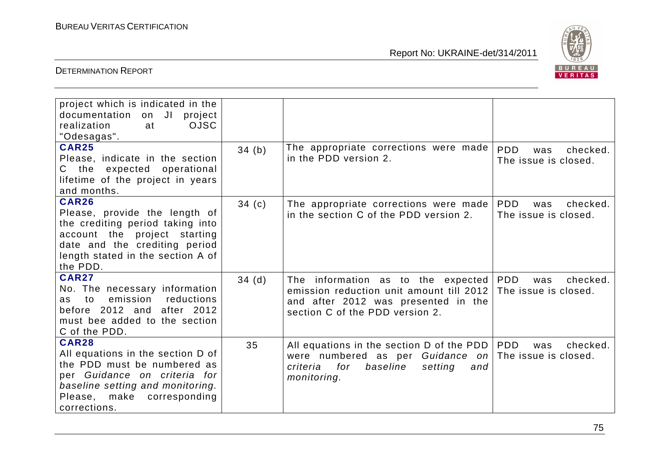

| project which is indicated in the<br>documentation on JI<br>project<br><b>OJSC</b><br>realization<br>at<br>"Odesagas".                                                                                |       |                                                                                                                                                          |                                                       |
|-------------------------------------------------------------------------------------------------------------------------------------------------------------------------------------------------------|-------|----------------------------------------------------------------------------------------------------------------------------------------------------------|-------------------------------------------------------|
| <b>CAR25</b><br>Please, indicate in the section<br>expected operational<br>C the<br>lifetime of the project in years<br>and months.                                                                   | 34(b) | The appropriate corrections were made<br>in the PDD version 2.                                                                                           | <b>PDD</b><br>checked.<br>was<br>The issue is closed. |
| <b>CAR26</b><br>Please, provide the length of<br>the crediting period taking into<br>account the project starting<br>date and the crediting period<br>length stated in the section A of<br>the PDD.   | 34(c) | The appropriate corrections were made<br>in the section C of the PDD version 2.                                                                          | <b>PDD</b><br>checked.<br>was<br>The issue is closed. |
| <b>CAR27</b><br>No. The necessary information<br>emission<br>reductions<br>to<br>as.<br>before 2012 and<br>after 2012<br>must bee added to the section<br>C of the PDD.                               | 34(d) | The information as to the expected<br>emission reduction unit amount till 2012<br>and after 2012 was presented in the<br>section C of the PDD version 2. | <b>PDD</b><br>checked.<br>was<br>The issue is closed. |
| <b>CAR28</b><br>All equations in the section D of<br>the PDD must be numbered as<br>per Guidance on criteria for<br>baseline setting and monitoring.<br>Please, make<br>corresponding<br>corrections. | 35    | All equations in the section D of the PDD<br>were numbered as per Guidance on<br>criteria<br>for<br>baseline<br>setting<br>and<br>monitoring.            | <b>PDD</b><br>checked.<br>was<br>The issue is closed. |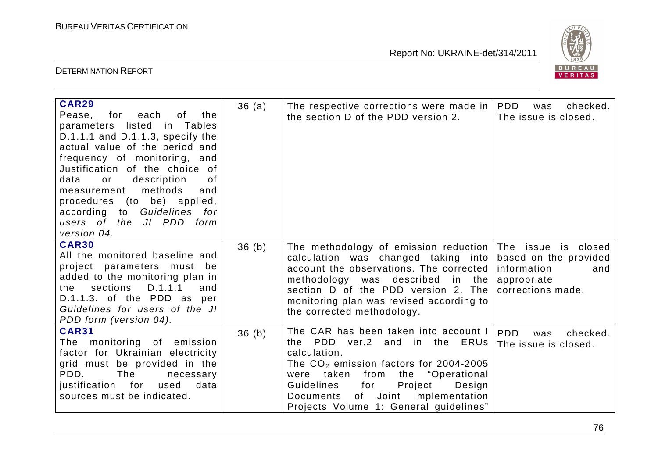

| <b>CAR29</b><br>for each of<br>Pease,<br>the<br>parameters listed in Tables<br>$D.1.1.1$ and $D.1.1.3$ , specify the<br>actual value of the period and<br>frequency of monitoring, and<br>Justification of the choice of<br>description<br>data<br>or<br>0f<br>methods<br>measurement<br>and<br>procedures (to be) applied,<br>according<br>to Guidelines for<br>JI PDD form<br>users of the<br>version 04. | 36(a) | The respective corrections were made in<br>the section D of the PDD version 2.                                                                                                                                                                                                                                            | <b>PDD</b><br>checked.<br>was<br>The issue is closed.  |
|-------------------------------------------------------------------------------------------------------------------------------------------------------------------------------------------------------------------------------------------------------------------------------------------------------------------------------------------------------------------------------------------------------------|-------|---------------------------------------------------------------------------------------------------------------------------------------------------------------------------------------------------------------------------------------------------------------------------------------------------------------------------|--------------------------------------------------------|
| <b>CAR30</b><br>All the monitored baseline and<br>project parameters must<br>be<br>added to the monitoring plan in<br>D.1.1.1<br>sections<br>the<br>and<br>D.1.1.3. of the PDD as per<br>Guidelines for users of the JI<br>PDD form (version 04).                                                                                                                                                           | 36(h) | The methodology of emission reduction   The issue is closed<br>calculation was changed taking into based on the provided<br>account the observations. The corrected<br>methodology was described in the<br>section D of the PDD version 2. The<br>monitoring plan was revised according to<br>the corrected methodology.  | information<br>and<br>appropriate<br>corrections made. |
| <b>CAR31</b><br>The monitoring of emission<br>factor for Ukrainian electricity<br>grid must be provided in the<br>PDD.<br>The<br>necessary<br>justification for<br>used<br>data<br>sources must be indicated.                                                                                                                                                                                               | 36(h) | The CAR has been taken into account I<br>the PDD ver.2 and in the ERUs<br>calculation.<br>The $CO2$ emission factors for 2004-2005<br>the "Operational<br>from<br>were taken<br><b>Guidelines</b><br>Project<br>Design<br>for<br>Joint Implementation<br>of<br><b>Documents</b><br>Projects Volume 1: General guidelines" | <b>PDD</b><br>checked.<br>was<br>The issue is closed.  |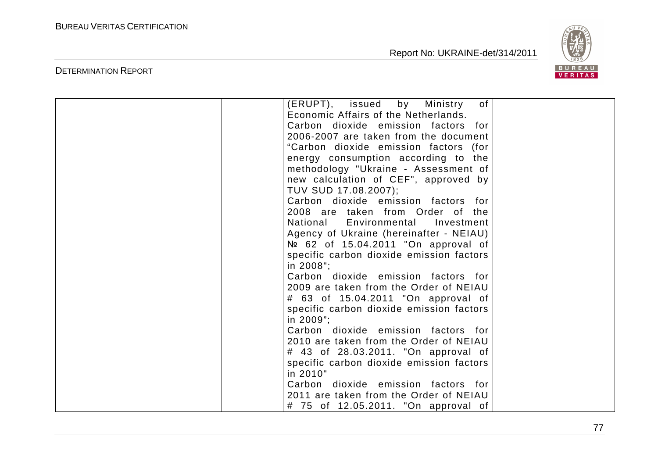DETERMINATION REPORT

Report No: UKRAINE-det/314/2011



| (ERUPT), issued<br>of<br>by<br>Ministry  |  |
|------------------------------------------|--|
| Economic Affairs of the Netherlands.     |  |
| Carbon dioxide emission factors for      |  |
| 2006-2007 are taken from the document    |  |
| "Carbon dioxide emission factors (for    |  |
| energy consumption according to the      |  |
| methodology "Ukraine - Assessment of     |  |
| new calculation of CEF", approved by     |  |
| TUV SUD 17.08.2007);                     |  |
| Carbon dioxide emission factors for      |  |
| 2008 are taken from Order of the         |  |
| National<br>Environmental Investment     |  |
| Agency of Ukraine (hereinafter - NEIAU)  |  |
| Nº 62 of 15.04.2011 "On approval of      |  |
| specific carbon dioxide emission factors |  |
| in 2008";                                |  |
| Carbon dioxide emission factors for      |  |
| 2009 are taken from the Order of NEIAU   |  |
| # 63 of 15.04.2011 "On approval of       |  |
| specific carbon dioxide emission factors |  |
| in 2009";                                |  |
| Carbon dioxide emission factors for      |  |
| 2010 are taken from the Order of NEIAU   |  |
| # 43 of 28.03.2011. "On approval of      |  |
| specific carbon dioxide emission factors |  |
| in 2010"                                 |  |
| Carbon dioxide emission factors for      |  |
| 2011 are taken from the Order of NEIAU   |  |
| # 75 of 12.05.2011. "On approval of      |  |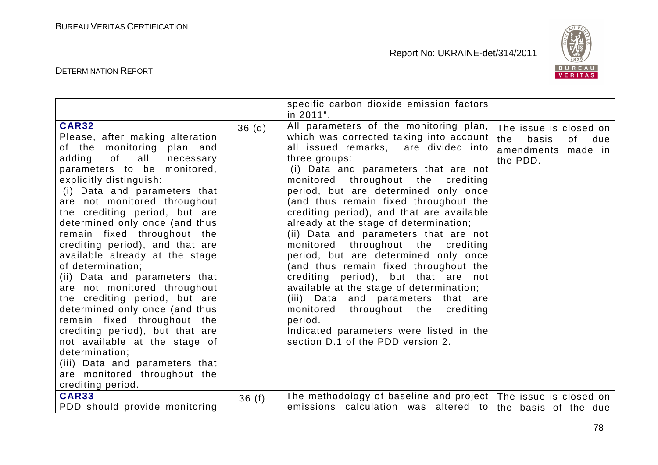

|                                                                                                                                                                                                                                                                                                                                                                                                                                                                                                                                                                                                                                                                                                                                                                                   |       | specific carbon dioxide emission factors<br>in 2011".                                                                                                                                                                                                                                                                                                                                                                                                                                                                                                                                                                                                                                                                                                                                                                                  |                                                                                       |
|-----------------------------------------------------------------------------------------------------------------------------------------------------------------------------------------------------------------------------------------------------------------------------------------------------------------------------------------------------------------------------------------------------------------------------------------------------------------------------------------------------------------------------------------------------------------------------------------------------------------------------------------------------------------------------------------------------------------------------------------------------------------------------------|-------|----------------------------------------------------------------------------------------------------------------------------------------------------------------------------------------------------------------------------------------------------------------------------------------------------------------------------------------------------------------------------------------------------------------------------------------------------------------------------------------------------------------------------------------------------------------------------------------------------------------------------------------------------------------------------------------------------------------------------------------------------------------------------------------------------------------------------------------|---------------------------------------------------------------------------------------|
| <b>CAR32</b><br>Please, after making alteration<br>of the monitoring plan and<br>adding of all<br>necessary<br>parameters to be monitored,<br>explicitly distinguish:<br>(i) Data and parameters that<br>are not monitored throughout<br>the crediting period, but are<br>determined only once (and thus<br>remain fixed throughout the<br>crediting period), and that are<br>available already at the stage<br>of determination:<br>(ii) Data and parameters that<br>are not monitored throughout<br>the crediting period, but are<br>determined only once (and thus<br>remain fixed throughout the<br>crediting period), but that are<br>not available at the stage of<br>determination;<br>(iii) Data and parameters that<br>are monitored throughout the<br>crediting period. | 36(d) | All parameters of the monitoring plan,<br>which was corrected taking into account<br>all issued remarks, are divided into<br>three groups:<br>(i) Data and parameters that are not<br>monitored throughout the crediting<br>period, but are determined only once<br>(and thus remain fixed throughout the<br>crediting period), and that are available<br>already at the stage of determination;<br>(ii) Data and parameters that are not<br>monitored throughout the crediting<br>period, but are determined only once<br>(and thus remain fixed throughout the<br>crediting period), but that are<br>not<br>available at the stage of determination;<br>(iii) Data and parameters<br>that are<br>throughout the<br>monitored<br>crediting<br>period.<br>Indicated parameters were listed in the<br>section D.1 of the PDD version 2. | The issue is closed on<br>the<br>due<br>basis<br>of<br>amendments made in<br>the PDD. |
| <b>CAR33</b><br>PDD should provide monitoring                                                                                                                                                                                                                                                                                                                                                                                                                                                                                                                                                                                                                                                                                                                                     | 36(f) | The methodology of baseline and project The issue is closed on<br>emissions calculation was altered to   the basis of the due                                                                                                                                                                                                                                                                                                                                                                                                                                                                                                                                                                                                                                                                                                          |                                                                                       |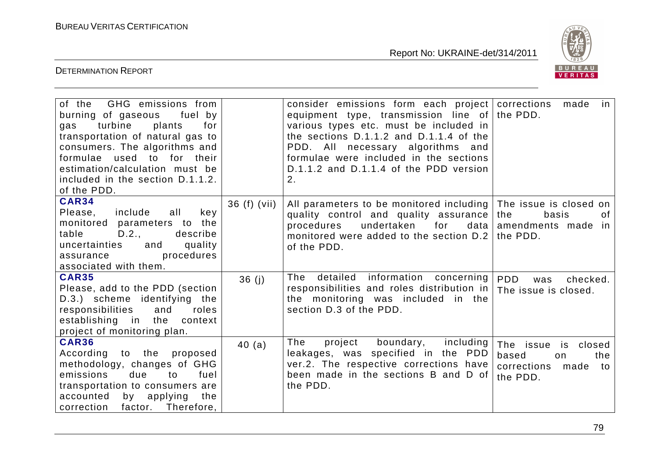

| GHG emissions from<br>of the<br>burning of gaseous fuel by<br>turbine<br>plants<br>for<br>gas<br>transportation of natural gas to<br>consumers. The algorithms and<br>formulae used to for their<br>estimation/calculation must be<br>included in the section D.1.1.2.<br>of the PDD. |              | consider emissions form each project corrections<br>equipment type, transmission line of<br>various types etc. must be included in<br>the sections D.1.1.2 and D.1.1.4 of the<br>PDD. All necessary algorithms and<br>formulae were included in the sections<br>D.1.1.2 and D.1.1.4 of the PDD version<br>2. | made<br>in<br>the PDD.                                                          |
|---------------------------------------------------------------------------------------------------------------------------------------------------------------------------------------------------------------------------------------------------------------------------------------|--------------|--------------------------------------------------------------------------------------------------------------------------------------------------------------------------------------------------------------------------------------------------------------------------------------------------------------|---------------------------------------------------------------------------------|
| <b>CAR34</b><br>Please,<br>include<br>key<br>all<br>monitored parameters to the<br>table<br>D.2.,<br>describe<br>quality<br>uncertainties<br>and<br>procedures<br>assurance<br>associated with them.                                                                                  | 36 (f) (vii) | All parameters to be monitored including The issue is closed on<br>quality control and quality assurance<br>undertaken for data<br>procedures<br>monitored were added to the section D.2<br>of the PDD.                                                                                                      | of<br>the<br>basis<br>amendments made in<br>the PDD.                            |
| <b>CAR35</b><br>Please, add to the PDD (section<br>D.3.) scheme identifying the<br>responsibilities<br>and<br>roles<br>establishing in the context<br>project of monitoring plan.                                                                                                     | 36(j)        | The detailed information concerning<br>responsibilities and roles distribution in<br>the monitoring was included in the<br>section D.3 of the PDD.                                                                                                                                                           | <b>PDD</b><br>checked.<br>was<br>The issue is closed.                           |
| <b>CAR36</b><br>According to the proposed<br>methodology, changes of GHG<br>emissions<br>due<br>to<br>fuel<br>transportation to consumers are<br>accounted by applying<br>the<br>correction factor. Therefore,                                                                        | 40(a)        | The<br>project boundary,<br>including<br>leakages, was specified in the PDD<br>ver.2. The respective corrections have<br>been made in the sections B and D of<br>the PDD.                                                                                                                                    | The issue is closed<br>based<br>the<br>on<br>corrections<br>made to<br>the PDD. |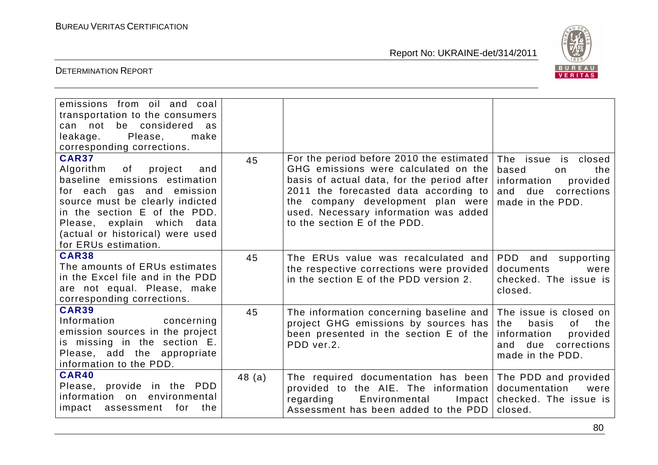

| emissions from oil and coal<br>transportation to the consumers<br>be considered<br>can not<br>as<br>make<br>leakage.<br>Please,<br>corresponding corrections.                                                                                                          |       |                                                                                                                                                                                                                                                                                       |                                                                                                                           |
|------------------------------------------------------------------------------------------------------------------------------------------------------------------------------------------------------------------------------------------------------------------------|-------|---------------------------------------------------------------------------------------------------------------------------------------------------------------------------------------------------------------------------------------------------------------------------------------|---------------------------------------------------------------------------------------------------------------------------|
| <b>CAR37</b><br>Algorithm of project<br>and<br>baseline emissions estimation<br>for each gas and emission<br>source must be clearly indicted<br>in the section E of the PDD.<br>Please, explain which data<br>(actual or historical) were used<br>for ERUs estimation. | 45    | For the period before 2010 the estimated<br>GHG emissions were calculated on the<br>basis of actual data, for the period after<br>2011 the forecasted data according to<br>the company development plan were<br>used. Necessary information was added<br>to the section E of the PDD. | The issue is<br>closed<br>based<br>the<br>on.<br>provided<br>information<br>and due corrections<br>made in the PDD.       |
| <b>CAR38</b><br>The amounts of ERUs estimates<br>in the Excel file and in the PDD<br>are not equal. Please, make<br>corresponding corrections.                                                                                                                         | 45    | The ERUs value was recalculated and<br>the respective corrections were provided<br>in the section E of the PDD version 2.                                                                                                                                                             | PDD and supporting<br>documents<br>were<br>checked. The issue is<br>closed.                                               |
| <b>CAR39</b><br>Information<br>concerning<br>emission sources in the project<br>is missing in the section E.<br>Please, add the appropriate<br>information to the PDD.                                                                                                 | 45    | The information concerning baseline and<br>project GHG emissions by sources has<br>been presented in the section E of the<br>PDD ver.2.                                                                                                                                               | The issue is closed on<br>the<br>basis<br>of<br>the<br>information<br>provided<br>and due corrections<br>made in the PDD. |
| CAR40<br>Please, provide in the PDD<br>information on environmental<br>impact<br>for<br>the<br>assessment                                                                                                                                                              | 48(a) | The required documentation has been The PDD and provided<br>provided to the AIE. The information<br>Environmental<br>regarding<br>Impact<br>Assessment has been added to the PDD                                                                                                      | documentation<br>were<br>checked. The issue is<br>closed.                                                                 |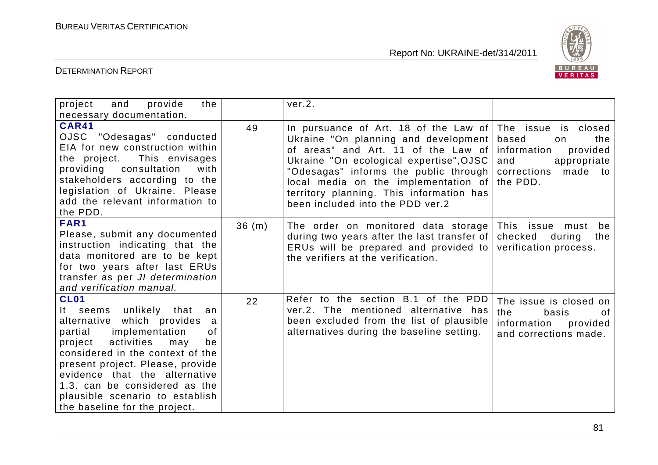

| provide<br>project<br>the<br>and                                                                                                                                                                                                                                                                                                                                |       | ver.2.                                                                                                                                                                                                                                                                                                                                                           |                                                                                                  |
|-----------------------------------------------------------------------------------------------------------------------------------------------------------------------------------------------------------------------------------------------------------------------------------------------------------------------------------------------------------------|-------|------------------------------------------------------------------------------------------------------------------------------------------------------------------------------------------------------------------------------------------------------------------------------------------------------------------------------------------------------------------|--------------------------------------------------------------------------------------------------|
| necessary documentation.                                                                                                                                                                                                                                                                                                                                        |       |                                                                                                                                                                                                                                                                                                                                                                  |                                                                                                  |
| <b>CAR41</b><br>OJSC "Odesagas" conducted<br>EIA for new construction within<br>the project. This envisages<br>providing<br>consultation<br>with<br>stakeholders according to the<br>legislation of Ukraine. Please<br>add the relevant information to<br>the PDD.                                                                                              | 49    | In pursuance of Art. 18 of the Law of The issue is closed<br>Ukraine "On planning and development<br>of areas" and Art. 11 of the Law of information<br>Ukraine "On ecological expertise", OJSC<br>"Odesagas" informs the public through<br>local media on the implementation of<br>territory planning. This information has<br>been included into the PDD ver.2 | based<br>the<br>on<br>provided<br>appropriate<br>and<br>made to<br>corrections<br>the PDD.       |
| FAR <sub>1</sub><br>Please, submit any documented<br>instruction indicating that the<br>data monitored are to be kept<br>for two years after last ERUs<br>transfer as per JI determination<br>and verification manual.                                                                                                                                          | 36(m) | The order on monitored data storage This issue must<br>during two years after the last transfer of   checked<br>ERUs will be prepared and provided to verification process.<br>the verifiers at the verification.                                                                                                                                                | be<br>during<br>the                                                                              |
| <b>CL01</b><br>It seems unlikely that<br>an<br>alternative which provides<br>a<br>partial implementation<br>0f<br>project activities<br>may<br>be<br>considered in the context of the<br>present project. Please, provide<br>evidence that the alternative<br>1.3. can be considered as the<br>plausible scenario to establish<br>the baseline for the project. | 22    | Refer to the section B.1 of the PDD<br>ver.2. The mentioned alternative has<br>been excluded from the list of plausible<br>alternatives during the baseline setting.                                                                                                                                                                                             | The issue is closed on<br>the<br>basis<br>0f<br>information<br>provided<br>and corrections made. |